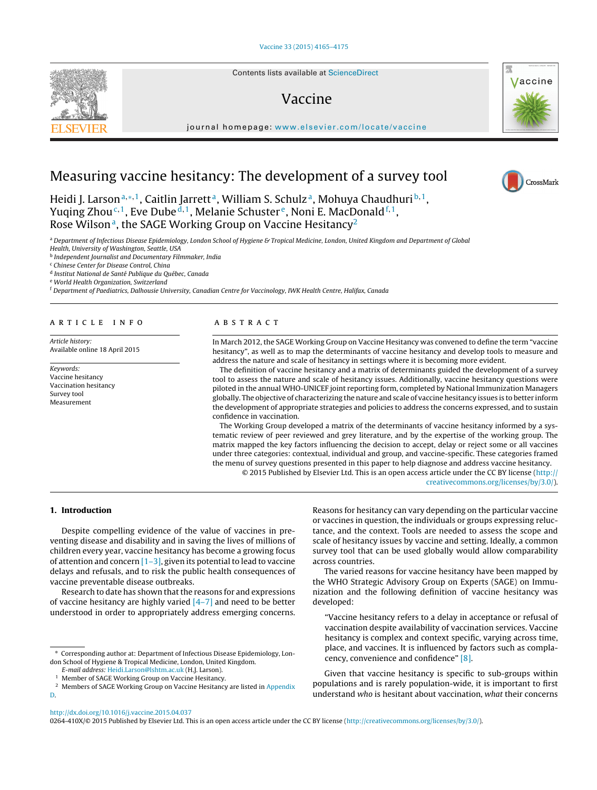Contents lists available at [ScienceDirect](http://www.sciencedirect.com/science/journal/0264410X)

# Vaccine

iournal homepage: [www.elsevier.com/locate/vaccine](http://www.elsevier.com/locate/vaccine)

# Measuring vaccine hesitancy: The development of a survey tool

Heidi J. Larson<sup>a,∗, 1</sup>, Caitlin Jarrett<sup>a</sup>, William S. Schulz<sup>a</sup>, Mohuya Chaudhuri<sup>b, 1</sup>, Yuqing Zhou<sup>c, 1</sup>, Eve Dube<sup>d, 1</sup>, Melanie Schuster<sup>e</sup>, Noni E. MacDonald<sup>f, 1</sup>, Rose Wilson<sup>a</sup>, the SAGE Working Group on Vaccine Hesitancy<sup>2</sup>

a Department of Infectious Disease Epidemiology, London School of Hygiene & Tropical Medicine, London, United Kingdom and Department of Global

Health, University of Washington, Seattle, USA

**b** Independent Journalist and Documentary Filmmaker, India

<sup>c</sup> Chinese Center for Disease Control, China

<sup>d</sup> Institut National de Santé Publique du Québec, Canada

<sup>e</sup> World Health Organization, Switzerland

<sup>f</sup> Department of Paediatrics, Dalhousie University, Canadian Centre for Vaccinology, IWK Health Centre, Halifax, Canada

## a r t i c l e i n f o

Article history: Available online 18 April 2015

Keywords: Vaccine hesitancy Vaccination hesitancy Survey tool Measurement

# A B S T R A C T

In March 2012, the SAGE Working Group on Vaccine Hesitancy was convened to define the term "vaccine hesitancy", as well as to map the determinants of vaccine hesitancy and develop tools to measure and address the nature and scale of hesitancy in settings where it is becoming more evident.

The definition of vaccine hesitancy and a matrix of determinants guided the development of a survey tool to assess the nature and scale of hesitancy issues. Additionally, vaccine hesitancy questions were piloted in the annual WHO-UNICEF joint reporting form, completed by National Immunization Managers globally. The objective of characterizing the nature and scale of vaccine hesitancy issues is to better inform the development of appropriate strategies and policies to address the concerns expressed, and to sustain confidence in vaccination.

The Working Group developed a matrix of the determinants of vaccine hesitancy informed by a systematic review of peer reviewed and grey literature, and by the expertise of the working group. The matrix mapped the key factors influencing the decision to accept, delay or reject some or all vaccines under three categories: contextual, individual and group, and vaccine-specific. These categories framed the menu of survey questions presented in this paper to help diagnose and address vaccine hesitancy.

© 2015 Published by Elsevier Ltd. This is an open access article under the CC BY license [\(http://](http://creativecommons.org/licenses/by/3.0/) [creativecommons.org/licenses/by/3.0/](http://creativecommons.org/licenses/by/3.0/)).

## **1. Introduction**

Despite compelling evidence of the value of vaccines in preventing disease and disability and in saving the lives of millions of children every year, vaccine hesitancy has become a growing focus of attention and concern  $[1-3]$ , given its potential to lead to vaccine delays and refusals, and to risk the public health consequences of vaccine preventable disease outbreaks.

Research to date has shown that the reasons for and expressions of vaccine hesitancy are highly varied  $[4-7]$  and need to be better understood in order to appropriately address emerging concerns.

∗ Corresponding author at: Department of Infectious Disease Epidemiology, London School of Hygiene & Tropical Medicine, London, United Kingdom.

E-mail address: [Heidi.Larson@lshtm.ac.uk](mailto:Heidi.Larson@lshtm.ac.uk) (H.J. Larson).

Member of SAGE Working Group on Vaccine Hesitancy.

Reasons for hesitancy can vary depending on the particular vaccine or vaccines in question, the individuals or groups expressing reluctance, and the context. Tools are needed to assess the scope and scale of hesitancy issues by vaccine and setting. Ideally, a common survey tool that can be used globally would allow comparability across countries.

The varied reasons for vaccine hesitancy have been mapped by the WHO Strategic Advisory Group on Experts (SAGE) on Immunization and the following definition of vaccine hesitancy was developed:

"Vaccine hesitancy refers to a delay in acceptance or refusal of vaccination despite availability of vaccination services. Vaccine hesitancy is complex and context specific, varying across time, place, and vaccines. It is influenced by factors such as complacency, convenience and confidence" [\[8\].](#page-8-0)

Given that vaccine hesitancy is specific to sub-groups within populations and is rarely population-wide, it is important to first understand who is hesitant about vaccination, what their concerns

0264-410X/© 2015 Published by Elsevier Ltd. This is an open access article under the CC BY license [\(http://creativecommons.org/licenses/by/3.0/\)](http://creativecommons.org/licenses/by/3.0/).







<sup>&</sup>lt;sup>2</sup> Members of SAGE Working Group on Vaccine Hesitancy are listed in [Appendix](#page-8-0) [D.](#page-8-0)

[http://dx.doi.org/10.1016/j.vaccine.2015.04.037](dx.doi.org/10.1016/j.vaccine.2015.04.037)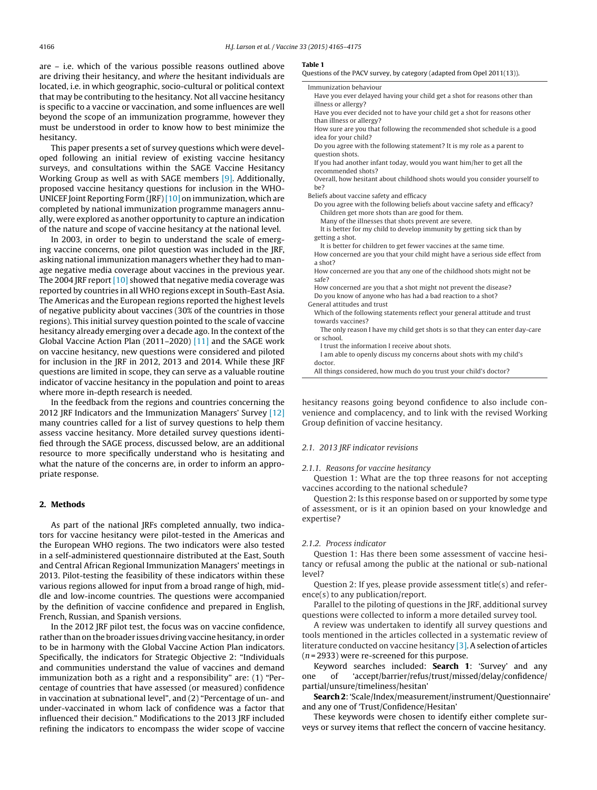<span id="page-1-0"></span>are – i.e. which of the various possible reasons outlined above are driving their hesitancy, and where the hesitant individuals are located, i.e. in which geographic, socio-cultural or political context that may be contributing to the hesitancy. Not all vaccine hesitancy is specific to a vaccine or vaccination, and some influences are well beyond the scope of an immunization programme, however they must be understood in order to know how to best minimize the hesitancy.

This paper presents a set of survey questions which were developed following an initial review of existing vaccine hesitancy surveys, and consultations within the SAGE Vaccine Hesitancy Working Group as well as with SAGE members [\[9\].](#page-8-0) Additionally, proposed vaccine hesitancy questions for inclusion in the WHO-UNICEF Joint Reporting Form (JRF)[\[10\]](#page-8-0) on immunization, which are completed by national immunization programme managers annually, were explored as another opportunity to capture an indication of the nature and scope of vaccine hesitancy at the national level.

In 2003, in order to begin to understand the scale of emerging vaccine concerns, one pilot question was included in the JRF, asking national immunization managers whether they had to manage negative media coverage about vaccines in the previous year. The 2004 JRF report  $[10]$  showed that negative media coverage was reported by countries in all WHO regions except in South-East Asia. The Americas and the European regions reported the highest levels of negative publicity about vaccines (30% of the countries in those regions). This initial survey question pointed to the scale of vaccine hesitancy already emerging over a decade ago. In the context of the Global Vaccine Action Plan (2011–2020) [\[11\]](#page-8-0) and the SAGE work on vaccine hesitancy, new questions were considered and piloted for inclusion in the JRF in 2012, 2013 and 2014. While these JRF questions are limited in scope, they can serve as a valuable routine indicator of vaccine hesitancy in the population and point to areas where more in-depth research is needed.

In the feedback from the regions and countries concerning the 2012 JRF Indicators and the Immunization Managers' Survey [\[12\]](#page-8-0) many countries called for a list of survey questions to help them assess vaccine hesitancy. More detailed survey questions identified through the SAGE process, discussed below, are an additional resource to more specifically understand who is hesitating and what the nature of the concerns are, in order to inform an appropriate response.

# **2. Methods**

As part of the national JRFs completed annually, two indicators for vaccine hesitancy were pilot-tested in the Americas and the European WHO regions. The two indicators were also tested in a self-administered questionnaire distributed at the East, South and Central African Regional Immunization Managers' meetings in 2013. Pilot-testing the feasibility of these indicators within these various regions allowed for input from a broad range of high, middle and low-income countries. The questions were accompanied by the definition of vaccine confidence and prepared in English, French, Russian, and Spanish versions.

In the 2012 JRF pilot test, the focus was on vaccine confidence, rather than on the broader issues driving vaccine hesitancy, in order to be in harmony with the Global Vaccine Action Plan indicators. Specifically, the indicators for Strategic Objective 2: "Individuals and communities understand the value of vaccines and demand immunization both as a right and a responsibility" are: (1) "Percentage of countries that have assessed (or measured) confidence in vaccination at subnational level", and (2) "Percentage of un- and under-vaccinated in whom lack of confidence was a factor that influenced their decision." Modifications to the 2013 JRF included refining the indicators to encompass the wider scope of vaccine

### **Table 1**

| Questions of the PACV survey, by category (adapted from Opel 2011(13)).                                                         |
|---------------------------------------------------------------------------------------------------------------------------------|
| Immunization behaviour                                                                                                          |
| Have you ever delayed having your child get a shot for reasons other than                                                       |
| illness or allergy?                                                                                                             |
| Have you ever decided not to have your child get a shot for reasons other<br>than illness or allergy?                           |
| How sure are you that following the recommended shot schedule is a good<br>idea for your child?                                 |
| Do you agree with the following statement? It is my role as a parent to<br>question shots.                                      |
| If you had another infant today, would you want him/her to get all the<br>recommended shots?                                    |
| Overall, how hesitant about childhood shots would you consider yourself to<br>be?                                               |
| Beliefs about vaccine safety and efficacy                                                                                       |
| Do you agree with the following beliefs about vaccine safety and efficacy?<br>Children get more shots than are good for them.   |
| Many of the illnesses that shots prevent are severe.                                                                            |
| It is better for my child to develop immunity by getting sick than by<br>getting a shot.                                        |
| It is better for children to get fewer vaccines at the same time.                                                               |
| How concerned are you that your child might have a serious side effect from<br>a shot?                                          |
| How concerned are you that any one of the childhood shots might not be<br>safe?                                                 |
| How concerned are you that a shot might not prevent the disease?<br>Do you know of anyone who has had a bad reaction to a shot? |
| General attitudes and trust                                                                                                     |
| Which of the following statements reflect your general attitude and trust<br>towards vaccines?                                  |
| The only reason I have my child get shots is so that they can enter day-care<br>or school.                                      |
| I trust the information I receive about shots.                                                                                  |
| Y chos is followed the control of the company control of company of the constant model of the other than the s                  |

I am able to openly discuss my concerns about shots with my child's doctor.

All things considered, how much do you trust your child's doctor?

hesitancy reasons going beyond confidence to also include convenience and complacency, and to link with the revised Working Group definition of vaccine hesitancy.

#### 2.1. 2013 JRF indicator revisions

#### 2.1.1. Reasons for vaccine hesitancy

Question 1: What are the top three reasons for not accepting vaccines according to the national schedule?

Question 2: Is this response based on or supported by some type of assessment, or is it an opinion based on your knowledge and expertise?

#### 2.1.2. Process indicator

Question 1: Has there been some assessment of vaccine hesitancy or refusal among the public at the national or sub-national level?

Question 2: If yes, please provide assessment title(s) and reference(s) to any publication/report.

Parallel to the piloting of questions in the JRF, additional survey questions were collected to inform a more detailed survey tool.

A review was undertaken to identify all survey questions and tools mentioned in the articles collected in a systematic review of literature conducted on vaccine hesitancy  $[3]$ . A selection of articles  $(n = 2933)$  were re-screened for this purpose.

Keyword searches included: **Search 1**: 'Survey' and any one of 'accept/barrier/refus/trust/missed/delay/confidence/ partial/unsure/timeliness/hesitan'

**Search2**:'Scale/Index/measurement/instrument/Questionnaire' and any one of 'Trust/Confidence/Hesitan'

These keywords were chosen to identify either complete surveys or survey items that reflect the concern of vaccine hesitancy.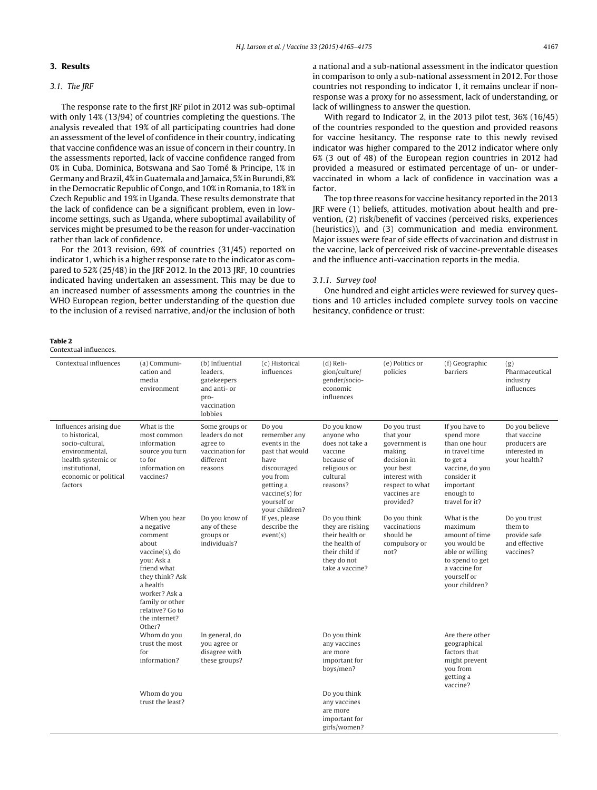# <span id="page-2-0"></span>3.1. The JRF

The response rate to the first JRF pilot in 2012 was sub-optimal with only 14% (13/94) of countries completing the questions. The analysis revealed that 19% of all participating countries had done an assessment of the level of confidence in their country, indicating that vaccine confidence was an issue of concern in their country. In the assessments reported, lack of vaccine confidence ranged from 0% in Cuba, Dominica, Botswana and Sao Tomé & Principe, 1% in Germany and Brazil, 4% in Guatemala and Jamaica, 5% in Burundi, 8% in the Democratic Republic of Congo, and 10% in Romania, to 18% in Czech Republic and 19% in Uganda. These results demonstrate that the lack of confidence can be a significant problem, even in lowincome settings, such as Uganda, where suboptimal availability of services might be presumed to be the reason for under-vaccination rather than lack of confidence.

For the 2013 revision, 69% of countries (31/45) reported on indicator 1, which is a higher response rate to the indicator as compared to 52% (25/48) in the JRF 2012. In the 2013 JRF, 10 countries indicated having undertaken an assessment. This may be due to an increased number of assessments among the countries in the WHO European region, better understanding of the question due to the inclusion of a revised narrative, and/or the inclusion of both

#### **Table 2**

Contextual influences.

a national and a sub-national assessment in the indicator question in comparison to only a sub-national assessment in 2012. For those countries not responding to indicator 1, it remains unclear if nonresponse was a proxy for no assessment, lack of understanding, or lack of willingness to answer the question.

With regard to Indicator 2, in the 2013 pilot test, 36% (16/45) of the countries responded to the question and provided reasons for vaccine hesitancy. The response rate to this newly revised indicator was higher compared to the 2012 indicator where only 6% (3 out of 48) of the European region countries in 2012 had provided a measured or estimated percentage of un- or undervaccinated in whom a lack of confidence in vaccination was a factor.

The top three reasons for vaccine hesitancy reported in the 2013 JRF were (1) beliefs, attitudes, motivation about health and prevention, (2) risk/benefit of vaccines (perceived risks, experiences (heuristics)), and (3) communication and media environment. Major issues were fear of side effects of vaccination and distrust in the vaccine, lack of perceived risk of vaccine-preventable diseases and the influence anti-vaccination reports in the media.

## 3.1.1. Survey tool

One hundred and eight articles were reviewed for survey questions and 10 articles included complete survey tools on vaccine hesitancy, confidence or trust:

| Contextual influences                                                                                                                                     | (a) Communi-<br>cation and<br>media<br>environment                                                                                                                                                              | (b) Influential<br>leaders,<br>gatekeepers<br>and anti- or<br>pro-<br>vaccination<br>lobbies | (c) Historical<br>influences                                                                                                                                    | $(d)$ Reli-<br>gion/culture/<br>gender/socio-<br>economic<br>influences                                                  | (e) Politics or<br>policies                                                                                                                       | (f) Geographic<br><b>barriers</b>                                                                                                                         | (g)<br>Pharmaceutical<br>industry<br>influences                                  |
|-----------------------------------------------------------------------------------------------------------------------------------------------------------|-----------------------------------------------------------------------------------------------------------------------------------------------------------------------------------------------------------------|----------------------------------------------------------------------------------------------|-----------------------------------------------------------------------------------------------------------------------------------------------------------------|--------------------------------------------------------------------------------------------------------------------------|---------------------------------------------------------------------------------------------------------------------------------------------------|-----------------------------------------------------------------------------------------------------------------------------------------------------------|----------------------------------------------------------------------------------|
| Influences arising due<br>to historical.<br>socio-cultural.<br>environmental.<br>health systemic or<br>institutional.<br>economic or political<br>factors | What is the<br>most common<br>information<br>source you turn<br>to for<br>information on<br>vaccines?                                                                                                           | Some groups or<br>leaders do not<br>agree to<br>vaccination for<br>different<br>reasons      | Do you<br>remember any<br>events in the<br>past that would<br>have<br>discouraged<br>you from<br>getting a<br>$vaccine(s)$ for<br>yourself or<br>your children? | Do you know<br>anyone who<br>does not take a<br>vaccine<br>because of<br>religious or<br>cultural<br>reasons?            | Do you trust<br>that your<br>government is<br>making<br>decision in<br>your best<br>interest with<br>respect to what<br>vaccines are<br>provided? | If you have to<br>spend more<br>than one hour<br>in travel time<br>to get a<br>vaccine, do you<br>consider it<br>important<br>enough to<br>travel for it? | Do you believe<br>that vaccine<br>producers are<br>interested in<br>your health? |
|                                                                                                                                                           | When you hear<br>a negative<br>comment<br>about<br>vaccine(s), do<br>you: Ask a<br>friend what<br>they think? Ask<br>a health<br>worker? Ask a<br>family or other<br>relative? Go to<br>the internet?<br>Other? | Do you know of<br>any of these<br>groups or<br>individuals?                                  | If yes, please<br>describe the<br>event(s)                                                                                                                      | Do you think<br>they are risking<br>their health or<br>the health of<br>their child if<br>they do not<br>take a vaccine? | Do you think<br>vaccinations<br>should be<br>compulsory or<br>not?                                                                                | What is the<br>maximum<br>amount of time<br>you would be<br>able or willing<br>to spend to get<br>a vaccine for<br>yourself or<br>your children?          | Do you trust<br>them to<br>provide safe<br>and effective<br>vaccines?            |
|                                                                                                                                                           | Whom do you<br>trust the most<br>for<br>information?                                                                                                                                                            | In general, do<br>you agree or<br>disagree with<br>these groups?                             |                                                                                                                                                                 | Do you think<br>any vaccines<br>are more<br>important for<br>boys/men?                                                   |                                                                                                                                                   | Are there other<br>geographical<br>factors that<br>might prevent<br>you from<br>getting a<br>vaccine?                                                     |                                                                                  |
|                                                                                                                                                           | Whom do you<br>trust the least?                                                                                                                                                                                 |                                                                                              |                                                                                                                                                                 | Do you think<br>any vaccines<br>are more<br>important for<br>girls/women?                                                |                                                                                                                                                   |                                                                                                                                                           |                                                                                  |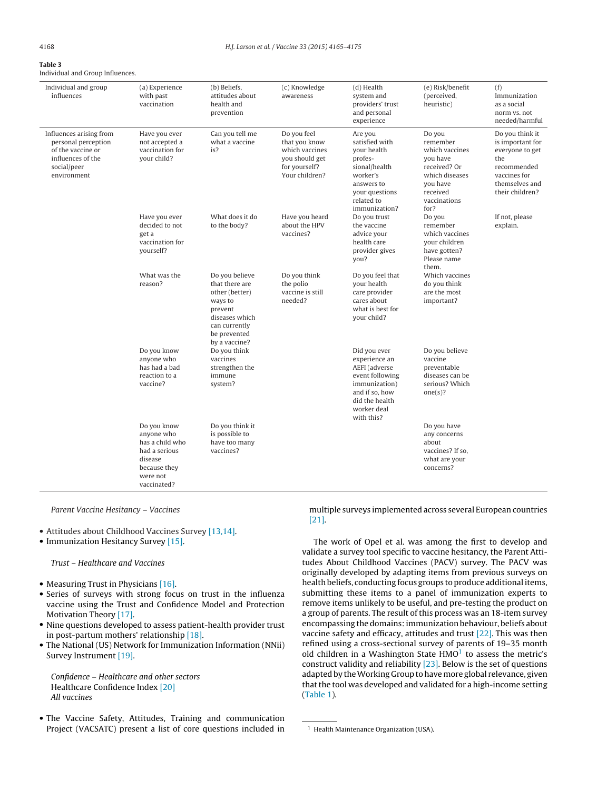#### **Table 3** Individual and Group Influences.

| Individual and group<br>influences                                                                                     | (a) Experience<br>with past<br>vaccination                                                                          | (b) Beliefs,<br>attitudes about<br>health and<br>prevention                                                                                  | (c) Knowledge<br>awareness                                                                          | (d) Health<br>system and<br>providers' trust<br>and personal<br>experience                                                                          | (e) Risk/benefit<br>(perceived,<br>heuristic)                                                                                      | (f)<br>Immunization<br>as a social<br>norm vs. not<br>needed/harmful                                                              |
|------------------------------------------------------------------------------------------------------------------------|---------------------------------------------------------------------------------------------------------------------|----------------------------------------------------------------------------------------------------------------------------------------------|-----------------------------------------------------------------------------------------------------|-----------------------------------------------------------------------------------------------------------------------------------------------------|------------------------------------------------------------------------------------------------------------------------------------|-----------------------------------------------------------------------------------------------------------------------------------|
| Influences arising from<br>personal perception<br>of the vaccine or<br>influences of the<br>social/peer<br>environment | Have you ever<br>not accepted a<br>vaccination for<br>your child?                                                   | Can you tell me<br>what a vaccine<br>is?                                                                                                     | Do you feel<br>that you know<br>which vaccines<br>you should get<br>for yourself?<br>Your children? | Are you<br>satisfied with<br>your health<br>profes-<br>sional/health<br>worker's<br>answers to<br>your questions<br>related to<br>immunization?     | Do you<br>remember<br>which vaccines<br>you have<br>received? Or<br>which diseases<br>you have<br>received<br>vaccinations<br>for? | Do you think it<br>is important for<br>everyone to get<br>the<br>recommended<br>vaccines for<br>themselves and<br>their children? |
|                                                                                                                        | Have you ever<br>decided to not<br>get a<br>vaccination for<br>yourself?                                            | What does it do<br>to the body?                                                                                                              | Have you heard<br>about the HPV<br>vaccines?                                                        | Do you trust<br>the vaccine<br>advice your<br>health care<br>provider gives<br>you?                                                                 | Do you<br>remember<br>which vaccines<br>your children<br>have gotten?<br>Please name<br>them.                                      | If not, please<br>explain.                                                                                                        |
|                                                                                                                        | What was the<br>reason?                                                                                             | Do you believe<br>that there are<br>other (better)<br>ways to<br>prevent<br>diseases which<br>can currently<br>be prevented<br>by a vaccine? | Do you think<br>the polio<br>vaccine is still<br>needed?                                            | Do you feel that<br>your health<br>care provider<br>cares about<br>what is best for<br>your child?                                                  | Which vaccines<br>do you think<br>are the most<br>important?                                                                       |                                                                                                                                   |
|                                                                                                                        | Do you know<br>anyone who<br>has had a bad<br>reaction to a<br>vaccine?                                             | Do you think<br>vaccines<br>strengthen the<br>immune<br>system?                                                                              |                                                                                                     | Did you ever<br>experience an<br>AEFI (adverse<br>event following<br>immunization)<br>and if so, how<br>did the health<br>worker deal<br>with this? | Do you believe<br>vaccine<br>preventable<br>diseases can be<br>serious? Which<br>one(s)?                                           |                                                                                                                                   |
|                                                                                                                        | Do you know<br>anyone who<br>has a child who<br>had a serious<br>disease<br>because they<br>were not<br>vaccinated? | Do you think it<br>is possible to<br>have too many<br>vaccines?                                                                              |                                                                                                     |                                                                                                                                                     | Do you have<br>any concerns<br>about<br>vaccines? If so,<br>what are your<br>concerns?                                             |                                                                                                                                   |

Parent Vaccine Hesitancy – Vaccines

- Attitudes about Childhood Vaccines Survey [\[13,14\].](#page-8-0)
- Immunization Hesitancy Survey [\[15\].](#page-8-0)

Trust – Healthcare and Vaccines

- Measuring Trust in Physicians [\[16\].](#page-8-0)
- Series of surveys with strong focus on trust in the influenza vaccine using the Trust and Confidence Model and Protection Motivation Theory [\[17\].](#page-8-0)
- Nine questions developed to assess patient-health provider trust in post-partum mothers' relationship [\[18\].](#page-8-0)
- The National (US) Network for Immunization Information (NNii) Survey Instrument [\[19\].](#page-8-0)

Confidence – Healthcare and other sectors Healthcare Confidence Index [\[20\]](#page-8-0) All vaccines

• The Vaccine Safety, Attitudes, Training and communication Project (VACSATC) present a list of core questions included in multiple surveys implemented across several European countries [\[21\].](#page-8-0)

The work of Opel et al. was among the first to develop and validate a survey tool specific to vaccine hesitancy, the Parent Attitudes About Childhood Vaccines (PACV) survey. The PACV was originally developed by adapting items from previous surveys on health beliefs, conducting focus groups to produce additional items, submitting these items to a panel of immunization experts to remove items unlikely to be useful, and pre-testing the product on a group of parents. The result of this process was an 18-item survey encompassing the domains: immunization behaviour, beliefs about vaccine safety and efficacy, attitudes and trust [\[22\].](#page-8-0) This was then refined using a cross-sectional survey of parents of 19–35 month old children in a Washington State  $HMO<sup>1</sup>$  to assess the metric's construct validity and reliability [\[23\].](#page-8-0) Below is the set of questions adapted by the Working Group to have more global relevance, given that the tool was developed and validated for a high-income setting [\(Table](#page-1-0) 1).

<sup>&</sup>lt;sup>1</sup> Health Maintenance Organization (USA).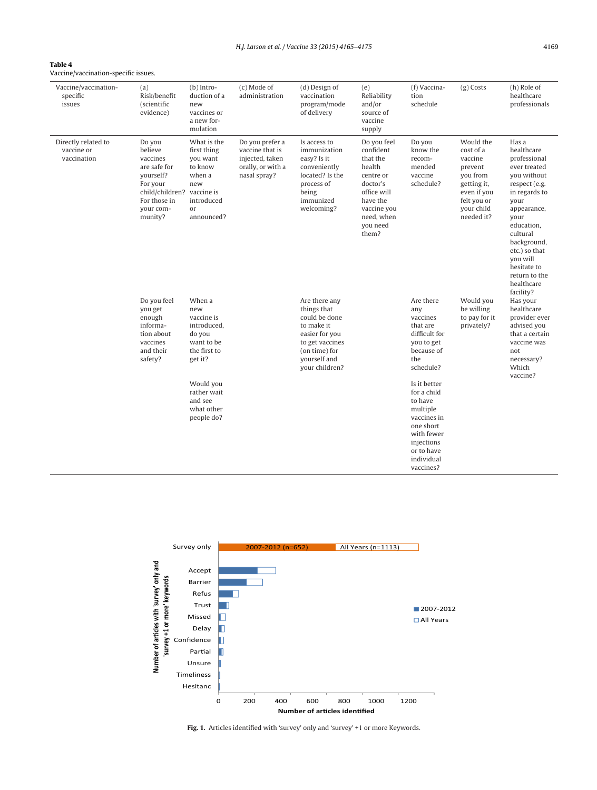#### <span id="page-4-0"></span>**Table 4**

Vaccine/vaccination-specific issues.

| Vaccine/vaccination-<br>specific<br>issues       | (a)<br>Risk/benefit<br>(scientific<br>evidence)                                                                                              | $(b)$ Intro-<br>duction of a<br>new<br>vaccines or<br>a new for-<br>mulation                                                                                     | (c) Mode of<br>administration                                                              | (d) Design of<br>vaccination<br>program/mode<br>of delivery                                                                                         | (e)<br>Reliability<br>and/or<br>source of<br>vaccine<br>supply                                                                                       | (f) Vaccina-<br>tion<br>schedule                                                                                                                                                                                                                                 | $(g)$ Costs                                                                                                                       | (h) Role of<br>healthcare<br>professionals                                                                                                                                                                                                                           |
|--------------------------------------------------|----------------------------------------------------------------------------------------------------------------------------------------------|------------------------------------------------------------------------------------------------------------------------------------------------------------------|--------------------------------------------------------------------------------------------|-----------------------------------------------------------------------------------------------------------------------------------------------------|------------------------------------------------------------------------------------------------------------------------------------------------------|------------------------------------------------------------------------------------------------------------------------------------------------------------------------------------------------------------------------------------------------------------------|-----------------------------------------------------------------------------------------------------------------------------------|----------------------------------------------------------------------------------------------------------------------------------------------------------------------------------------------------------------------------------------------------------------------|
| Directly related to<br>vaccine or<br>vaccination | Do you<br>believe<br>vaccines<br>are safe for<br>yourself?<br>For your<br>child/children? vaccine is<br>For those in<br>your com-<br>munity? | What is the<br>first thing<br>you want<br>to know<br>when a<br>new<br>introduced<br>or<br>announced?                                                             | Do you prefer a<br>vaccine that is<br>injected, taken<br>orally, or with a<br>nasal spray? | Is access to<br>immunization<br>easy? Is it<br>conveniently<br>located? Is the<br>process of<br>being<br>immunized<br>welcoming?                    | Do you feel<br>confident<br>that the<br>health<br>centre or<br>doctor's<br>office will<br>have the<br>vaccine you<br>need, when<br>you need<br>them? | Do you<br>know the<br>recom-<br>mended<br>vaccine<br>schedule?                                                                                                                                                                                                   | Would the<br>cost of a<br>vaccine<br>prevent<br>you from<br>getting it,<br>even if you<br>felt you or<br>your child<br>needed it? | Has a<br>healthcare<br>professional<br>ever treated<br>you without<br>respect (e.g.<br>in regards to<br>your<br>appearance,<br>your<br>education,<br>cultural<br>background,<br>etc.) so that<br>you will<br>hesitate to<br>return to the<br>healthcare<br>facility? |
|                                                  | Do you feel<br>you get<br>enough<br>informa-<br>tion about<br>vaccines<br>and their<br>safety?                                               | When a<br>new<br>vaccine is<br>introduced,<br>do you<br>want to be<br>the first to<br>get it?<br>Would you<br>rather wait<br>and see<br>what other<br>people do? |                                                                                            | Are there any<br>things that<br>could be done<br>to make it<br>easier for you<br>to get vaccines<br>(on time) for<br>yourself and<br>your children? |                                                                                                                                                      | Are there<br>any<br>vaccines<br>that are<br>difficult for<br>you to get<br>because of<br>the<br>schedule?<br>Is it better<br>for a child<br>to have<br>multiple<br>vaccines in<br>one short<br>with fewer<br>injections<br>or to have<br>individual<br>vaccines? | Would you<br>be willing<br>to pay for it<br>privately?                                                                            | Has your<br>healthcare<br>provider ever<br>advised you<br>that a certain<br>vaccine was<br>not<br>necessary?<br>Which<br>vaccine?                                                                                                                                    |



**Fig. 1.** Articles identified with 'survey' only and 'survey' +1 or more Keywords.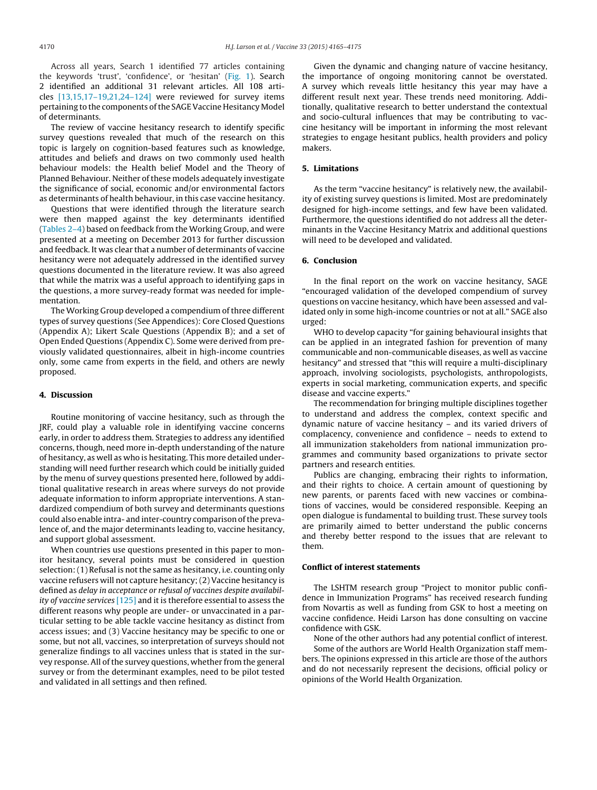Across all years, Search 1 identified 77 articles containing the keywords 'trust', 'confidence', or 'hesitan' [\(Fig.](#page-4-0) 1). Search 2 identified an additional 31 relevant articles. All 108 articles [\[13,15,17–19,21,24–124\]](#page-8-0) were reviewed for survey items pertaining to the components of the SAGE Vaccine Hesitancy Model of determinants.

The review of vaccine hesitancy research to identify specific survey questions revealed that much of the research on this topic is largely on cognition-based features such as knowledge, attitudes and beliefs and draws on two commonly used health behaviour models: the Health belief Model and the Theory of Planned Behaviour. Neither of these models adequately investigate the significance of social, economic and/or environmental factors as determinants of health behaviour, in this case vaccine hesitancy.

Questions that were identified through the literature search were then mapped against the key determinants identified ([Tables](#page-2-0) 2–4) based on feedback from the Working Group, and were presented at a meeting on December 2013 for further discussion and feedback. It was clear that a number of determinants of vaccine hesitancy were not adequately addressed in the identified survey questions documented in the literature review. It was also agreed that while the matrix was a useful approach to identifying gaps in the questions, a more survey-ready format was needed for implementation.

The Working Group developed a compendium of three different types of survey questions (See Appendices): Core Closed Questions (Appendix A); Likert Scale Questions (Appendix B); and a set of Open Ended Questions (Appendix C). Some were derived from previously validated questionnaires, albeit in high-income countries only, some came from experts in the field, and others are newly proposed.

## **4. Discussion**

Routine monitoring of vaccine hesitancy, such as through the JRF, could play a valuable role in identifying vaccine concerns early, in order to address them. Strategies to address any identified concerns, though, need more in-depth understanding of the nature of hesitancy, as well as who is hesitating. This more detailed understanding will need further research which could be initially guided by the menu of survey questions presented here, followed by additional qualitative research in areas where surveys do not provide adequate information to inform appropriate interventions. A standardized compendium of both survey and determinants questions could also enable intra- and inter-country comparison ofthe prevalence of, and the major determinants leading to, vaccine hesitancy, and support global assessment.

When countries use questions presented in this paper to monitor hesitancy, several points must be considered in question selection: (1) Refusal is not the same as hesitancy, i.e. counting only vaccine refusers will not capture hesitancy;(2) Vaccine hesitancy is defined as delay in acceptance or refusal of vaccines despite availability of vaccine services  $[125]$  and it is therefore essential to assess the different reasons why people are under- or unvaccinated in a particular setting to be able tackle vaccine hesitancy as distinct from access issues; and (3) Vaccine hesitancy may be specific to one or some, but not all, vaccines, so interpretation of surveys should not generalize findings to all vaccines unless that is stated in the survey response. All of the survey questions, whether from the general survey or from the determinant examples, need to be pilot tested and validated in all settings and then refined.

Given the dynamic and changing nature of vaccine hesitancy, the importance of ongoing monitoring cannot be overstated. A survey which reveals little hesitancy this year may have a different result next year. These trends need monitoring. Additionally, qualitative research to better understand the contextual and socio-cultural influences that may be contributing to vaccine hesitancy will be important in informing the most relevant strategies to engage hesitant publics, health providers and policy makers.

# **5. Limitations**

As the term "vaccine hesitancy" is relatively new, the availability of existing survey questions is limited. Most are predominately designed for high-income settings, and few have been validated. Furthermore, the questions identified do not address all the determinants in the Vaccine Hesitancy Matrix and additional questions will need to be developed and validated.

## **6. Conclusion**

In the final report on the work on vaccine hesitancy, SAGE "encouraged validation of the developed compendium of survey questions on vaccine hesitancy, which have been assessed and validated only in some high-income countries or not at all." SAGE also urged:

WHO to develop capacity "for gaining behavioural insights that can be applied in an integrated fashion for prevention of many communicable and non-communicable diseases, as well as vaccine hesitancy" and stressed that "this will require a multi-disciplinary approach, involving sociologists, psychologists, anthropologists, experts in social marketing, communication experts, and specific disease and vaccine experts."

The recommendation for bringing multiple disciplines together to understand and address the complex, context specific and dynamic nature of vaccine hesitancy – and its varied drivers of complacency, convenience and confidence – needs to extend to all immunization stakeholders from national immunization programmes and community based organizations to private sector partners and research entities.

Publics are changing, embracing their rights to information, and their rights to choice. A certain amount of questioning by new parents, or parents faced with new vaccines or combinations of vaccines, would be considered responsible. Keeping an open dialogue is fundamental to building trust. These survey tools are primarily aimed to better understand the public concerns and thereby better respond to the issues that are relevant to them.

### **Conflict of interest statements**

The LSHTM research group "Project to monitor public confidence in Immunization Programs" has received research funding from Novartis as well as funding from GSK to host a meeting on vaccine confidence. Heidi Larson has done consulting on vaccine confidence with GSK.

None of the other authors had any potential conflict of interest. Some of the authors are World Health Organization staff members. The opinions expressed in this article are those of the authors and do not necessarily represent the decisions, official policy or opinions of the World Health Organization.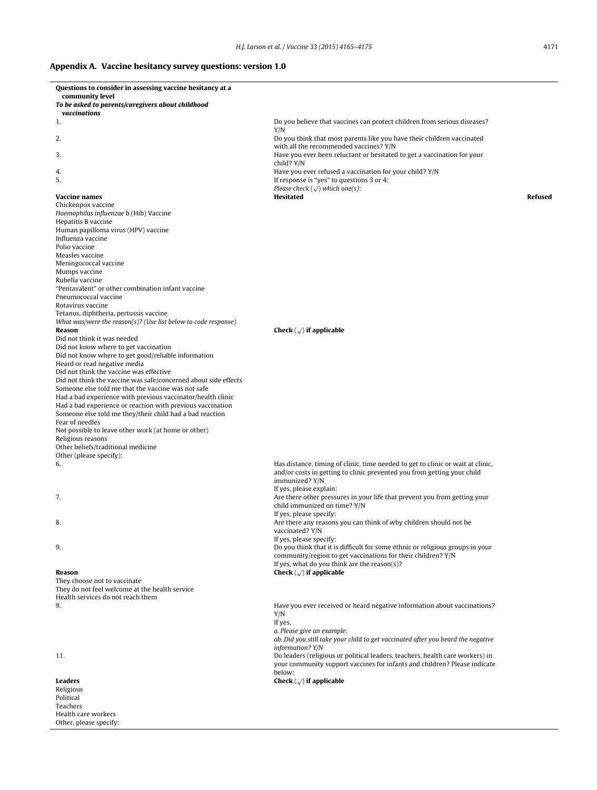# **Appendix A. Vaccine hesitancy survey questions: version 1.0**

| Questions to consider in assessing vaccine hesitancy at a                                                |                                                                                      |         |
|----------------------------------------------------------------------------------------------------------|--------------------------------------------------------------------------------------|---------|
| community level<br>To be asked to parents/caregivers about childhood                                     |                                                                                      |         |
| vaccinations                                                                                             |                                                                                      |         |
| 1.                                                                                                       | Do you believe that vaccines can protect children from serious diseases?             |         |
|                                                                                                          | Y/N                                                                                  |         |
| 2.                                                                                                       | Do you think that most parents like you have their children vaccinated               |         |
|                                                                                                          | with all the recommended vaccines? Y/N                                               |         |
| 3.                                                                                                       | Have you ever been reluctant or hesitated to get a vaccination for your              |         |
|                                                                                                          | child? Y/N                                                                           |         |
| 4.                                                                                                       | Have you ever refused a vaccination for your child? Y/N                              |         |
| 5.                                                                                                       | If response is "yes" to questions 3 or 4:                                            |         |
|                                                                                                          | Please check $(\sqrt{})$ which one(s):                                               |         |
| Vaccine names                                                                                            | Hesitated                                                                            | Refused |
| Chickenpox vaccine                                                                                       |                                                                                      |         |
| Haemophilus influenzae b (Hib) Vaccine<br>Hepatitis B vaccine                                            |                                                                                      |         |
| Human papilloma virus (HPV) vaccine                                                                      |                                                                                      |         |
| Influenza vaccine                                                                                        |                                                                                      |         |
| Polio vaccine                                                                                            |                                                                                      |         |
| Measles vaccine                                                                                          |                                                                                      |         |
| Meningococcal vaccine                                                                                    |                                                                                      |         |
| Mumps vaccine                                                                                            |                                                                                      |         |
| Rubella vaccine                                                                                          |                                                                                      |         |
| "Pentavalent" or other combination infant vaccine                                                        |                                                                                      |         |
| Pneumococcal vaccine                                                                                     |                                                                                      |         |
| Rotavirus vaccine                                                                                        |                                                                                      |         |
| Tetanus, diphtheria, pertussis vaccine<br>What was/were the reason(s)? (Use list below to code response) |                                                                                      |         |
| Reason                                                                                                   | Check $(\sqrt{ } )$ if applicable                                                    |         |
| Did not think it was needed                                                                              |                                                                                      |         |
| Did not know where to get vaccination                                                                    |                                                                                      |         |
| Did not know where to get good/reliable information                                                      |                                                                                      |         |
| Heard or read negative media                                                                             |                                                                                      |         |
| Did not think the vaccine was effective                                                                  |                                                                                      |         |
| Did not think the vaccine was safe/concerned about side effects                                          |                                                                                      |         |
| Someone else told me that the vaccine was not safe                                                       |                                                                                      |         |
| Had a bad experience with previous vaccinator/health clinic                                              |                                                                                      |         |
| Had a bad experience or reaction with previous vaccination                                               |                                                                                      |         |
| Someone else told me they/their child had a bad reaction<br>Fear of needles                              |                                                                                      |         |
| Not possible to leave other work (at home or other)                                                      |                                                                                      |         |
| Religious reasons                                                                                        |                                                                                      |         |
| Other beliefs/traditional medicine                                                                       |                                                                                      |         |
| Other (please specify):                                                                                  |                                                                                      |         |
| 6.                                                                                                       | Has distance, timing of clinic, time needed to get to clinic or wait at clinic,      |         |
|                                                                                                          | and/or costs in getting to clinic prevented you from getting your child              |         |
|                                                                                                          | immunized? Y/N                                                                       |         |
|                                                                                                          | If yes, please explain:                                                              |         |
| 7.                                                                                                       | Are there other pressures in your life that prevent you from getting your            |         |
|                                                                                                          | child immunized on time? Y/N                                                         |         |
|                                                                                                          | If yes, please specify:                                                              |         |
| 8.                                                                                                       | Are there any reasons you can think of why children should not be<br>vaccinated? Y/N |         |
|                                                                                                          | If yes, please specify:                                                              |         |
| 9.                                                                                                       | Do you think that it is difficult for some ethnic or religious groups in your        |         |
|                                                                                                          | community/region to get vaccinations for their children? Y/N                         |         |
|                                                                                                          | If yes, what do you think are the reason( $s$ )?                                     |         |
| Reason                                                                                                   | Check $(\sqrt{ } )$ if applicable                                                    |         |
| They choose not to vaccinate                                                                             |                                                                                      |         |
| They do not feel welcome at the health service                                                           |                                                                                      |         |
| Health services do not reach them                                                                        |                                                                                      |         |
| 9.                                                                                                       | Have you ever received or heard negative information about vaccinations?             |         |
|                                                                                                          | Y/N                                                                                  |         |
|                                                                                                          | If yes,<br>a. Please give an example:                                                |         |
|                                                                                                          | ab. Did you still take your child to get vaccinated after you heard the negative     |         |
|                                                                                                          | information? Y/N                                                                     |         |
| 11.                                                                                                      | Do leaders (religious or political leaders, teachers, health care workers) in        |         |
|                                                                                                          | your community support vaccines for infants and children? Please indicate            |         |
|                                                                                                          | below:                                                                               |         |
| <b>Leaders</b>                                                                                           | Check $(\sqrt{ } )$ if applicable                                                    |         |
| Religious                                                                                                |                                                                                      |         |
| Political                                                                                                |                                                                                      |         |
| Teachers                                                                                                 |                                                                                      |         |
| Health care workers                                                                                      |                                                                                      |         |
| Other, please specify:                                                                                   |                                                                                      |         |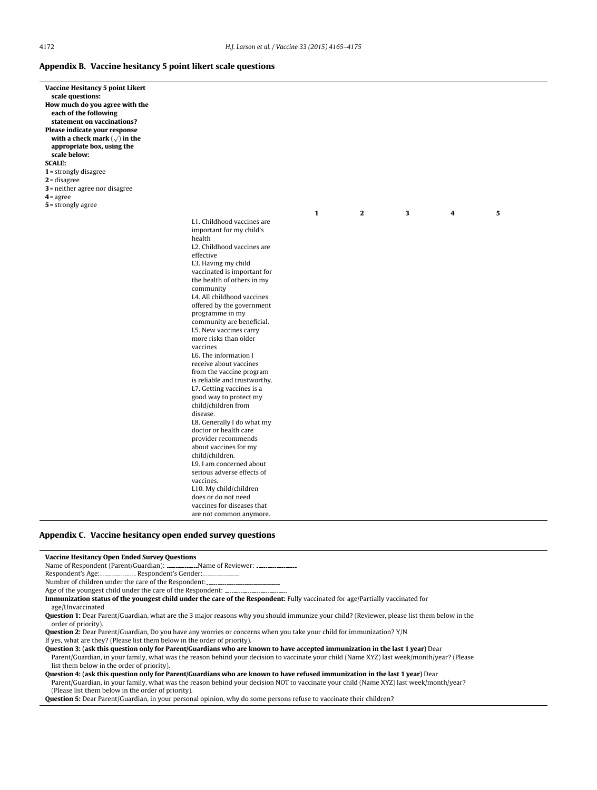# **Appendix B. Vaccine hesitancy 5 point likert scale questions**

| Vaccine Hesitancy 5 point Likert<br>scale questions:<br>How much do you agree with the<br>each of the following<br>statement on vaccinations?<br>Please indicate your response<br>with a check mark $(\sqrt{ } )$ in the<br>appropriate box, using the<br>scale below:<br><b>SCALE:</b><br>$1 =$ strongly disagree<br>$2 =$ disagree<br><b>3</b> = neither agree nor disagree<br>$4 = \text{agree}$<br>$5 =$ strongly agree |                                                                                                                                                                                                                                                                                                                                                                                                                                                                                                                                                                                                                                                                                                                                                                                                                                                                                                            |              |              |   |   |   |
|-----------------------------------------------------------------------------------------------------------------------------------------------------------------------------------------------------------------------------------------------------------------------------------------------------------------------------------------------------------------------------------------------------------------------------|------------------------------------------------------------------------------------------------------------------------------------------------------------------------------------------------------------------------------------------------------------------------------------------------------------------------------------------------------------------------------------------------------------------------------------------------------------------------------------------------------------------------------------------------------------------------------------------------------------------------------------------------------------------------------------------------------------------------------------------------------------------------------------------------------------------------------------------------------------------------------------------------------------|--------------|--------------|---|---|---|
|                                                                                                                                                                                                                                                                                                                                                                                                                             | L1. Childhood vaccines are<br>important for my child's<br>health<br>L2. Childhood vaccines are<br>effective<br>L3. Having my child<br>vaccinated is important for<br>the health of others in my<br>community<br>L4. All childhood vaccines<br>offered by the government<br>programme in my<br>community are beneficial.<br>L5. New vaccines carry<br>more risks than older<br>vaccines<br>L6. The information I<br>receive about vaccines<br>from the vaccine program<br>is reliable and trustworthy.<br>L7. Getting vaccines is a<br>good way to protect my<br>child/children from<br>disease.<br>L8. Generally I do what my<br>doctor or health care<br>provider recommends<br>about vaccines for my<br>child/children.<br>L9. I am concerned about<br>serious adverse effects of<br>vaccines.<br>L10. My child/children<br>does or do not need<br>vaccines for diseases that<br>are not common anymore. | $\mathbf{1}$ | $\mathbf{2}$ | 3 | 4 | 5 |

# **Appendix C. Vaccine hesitancy open ended survey questions**

**Vaccine Hesitancy Open Ended Survey Questions**

Name of Respondent (Parent/Guardian): \_\_\_\_\_\_\_\_\_\_\_\_\_Name of Reviewer: \_\_\_\_\_\_

Respondent's Age: \_\_\_\_\_\_\_\_\_\_\_\_\_\_ Respondent's Gender: \_\_\_\_\_\_

Number of children under the care of the Respondent:

Age of the youngest child under the care of the Respondent:

**Immunization status of the youngest child under the care of the Respondent:** Fully vaccinated for age/Partially vaccinated for age/Unvaccinated

**Question 1:** Dear Parent/Guardian, what are the 3 major reasons why you should immunize your child? (Reviewer, please list them below in the order of priority).

**Question 2:** Dear Parent/Guardian, Do you have any worries or concerns when you take your child for immunization? Y/N

If yes, what are they? (Please list them below in the order of priority).

Question 3: (ask this question only for Parent/Guardians who are known to have accepted immunization in the last 1 year) Dear Parent/Guardian, in your family, what was the reason behind your decision to vaccinate your child (Name XYZ) last week/month/year? (Please list them below in the order of priority).

Question 4: (ask this question only for Parent/Guardians who are known to have refused immunization in the last 1 year) Dear Parent/Guardian, in your family, what was the reason behind your decision NOT to vaccinate your child (Name XYZ) last week/month/year? (Please list them below in the order of priority).

**Question 5:** Dear Parent/Guardian, in your personal opinion, why do some persons refuse to vaccinate their children?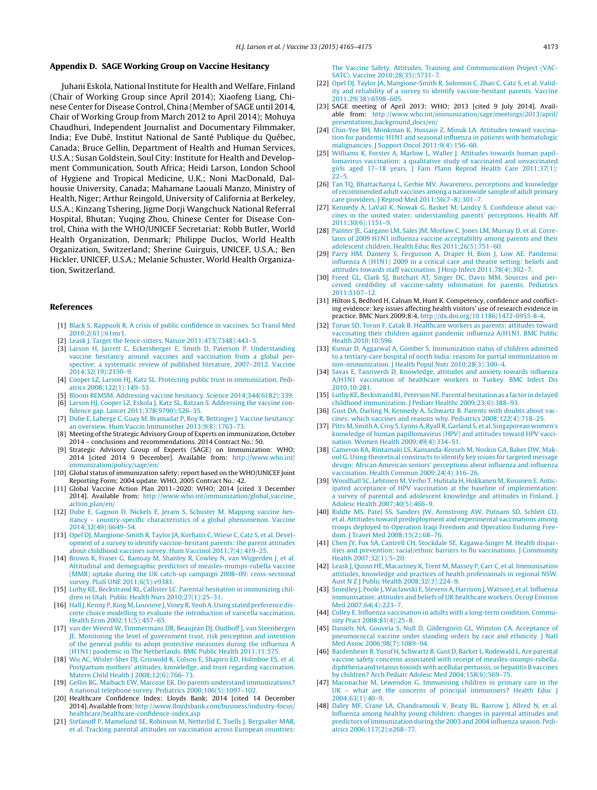## <span id="page-8-0"></span>**Appendix D. SAGE Working Group on Vaccine Hesitancy**

Juhani Eskola, National Institute for Health and Welfare, Finland (Chair of Working Group since April 2014); Xiaofeng Liang, Chinese Center for Disease Control, China (Member of SAGE until 2014, Chair of Working Group from March 2012 to April 2014); Mohuya Chaudhuri, Independent Journalist and Documentary Filmmaker, India; Eve Dubé, Institut National de Santé Publique du Québec, Canada; Bruce Gellin, Department of Health and Human Services, U.S.A.; Susan Goldstein, Soul City: Institute for Health and Development Communication, South Africa; Heidi Larson, London School of Hygiene and Tropical Medicine, U.K.; Noni MacDonald, Dalhousie University, Canada; Mahamane Laouali Manzo, Ministry of Health, Niger; Arthur Reingold, University of California at Berkeley, U.S.A.; Kinzang Tshering, Jigme Dorji Wangchuck National Referral Hospital, Bhutan; Yuqing Zhou, Chinese Center for Disease Control, China with the WHO/UNICEF Secretariat: Robb Butler, World Health Organization, Denmark; Philippe Duclos, World Health Organization, Switzerland; Sherine Guirguis, UNICEF, U.S.A.; Ben Hickler, UNICEF, U.S.A.; Melanie Schuster, World Health Organization, Switzerland.

#### **References**

- [1] [Black](http://refhub.elsevier.com/S0264-410X(15)00501-0/sbref0630) [S,](http://refhub.elsevier.com/S0264-410X(15)00501-0/sbref0630) [Rappuoli](http://refhub.elsevier.com/S0264-410X(15)00501-0/sbref0630) [R.](http://refhub.elsevier.com/S0264-410X(15)00501-0/sbref0630) [A](http://refhub.elsevier.com/S0264-410X(15)00501-0/sbref0630) [crisis](http://refhub.elsevier.com/S0264-410X(15)00501-0/sbref0630) [of](http://refhub.elsevier.com/S0264-410X(15)00501-0/sbref0630) [public](http://refhub.elsevier.com/S0264-410X(15)00501-0/sbref0630) [confidence](http://refhub.elsevier.com/S0264-410X(15)00501-0/sbref0630) [in](http://refhub.elsevier.com/S0264-410X(15)00501-0/sbref0630) [vaccines.](http://refhub.elsevier.com/S0264-410X(15)00501-0/sbref0630) [Sci](http://refhub.elsevier.com/S0264-410X(15)00501-0/sbref0630) [Transl](http://refhub.elsevier.com/S0264-410X(15)00501-0/sbref0630) [Med](http://refhub.elsevier.com/S0264-410X(15)00501-0/sbref0630) [2010;2\(61\):61mr1.](http://refhub.elsevier.com/S0264-410X(15)00501-0/sbref0630)
- [Leask](http://refhub.elsevier.com/S0264-410X(15)00501-0/sbref0635) [J.](http://refhub.elsevier.com/S0264-410X(15)00501-0/sbref0635) [Target](http://refhub.elsevier.com/S0264-410X(15)00501-0/sbref0635) [the](http://refhub.elsevier.com/S0264-410X(15)00501-0/sbref0635) [fence-sitters.](http://refhub.elsevier.com/S0264-410X(15)00501-0/sbref0635) [Nature](http://refhub.elsevier.com/S0264-410X(15)00501-0/sbref0635) 2011;473(7348):443-5
- [Larson](http://refhub.elsevier.com/S0264-410X(15)00501-0/sbref0640) [H,](http://refhub.elsevier.com/S0264-410X(15)00501-0/sbref0640) [Jarrett](http://refhub.elsevier.com/S0264-410X(15)00501-0/sbref0640) [C,](http://refhub.elsevier.com/S0264-410X(15)00501-0/sbref0640) [Eckersberger](http://refhub.elsevier.com/S0264-410X(15)00501-0/sbref0640) [E,](http://refhub.elsevier.com/S0264-410X(15)00501-0/sbref0640) [Smith](http://refhub.elsevier.com/S0264-410X(15)00501-0/sbref0640) [D,](http://refhub.elsevier.com/S0264-410X(15)00501-0/sbref0640) [Paterson](http://refhub.elsevier.com/S0264-410X(15)00501-0/sbref0640) [P.](http://refhub.elsevier.com/S0264-410X(15)00501-0/sbref0640) [Understanding](http://refhub.elsevier.com/S0264-410X(15)00501-0/sbref0640) [vaccine](http://refhub.elsevier.com/S0264-410X(15)00501-0/sbref0640) [hesitancy](http://refhub.elsevier.com/S0264-410X(15)00501-0/sbref0640) [around](http://refhub.elsevier.com/S0264-410X(15)00501-0/sbref0640) [vaccines](http://refhub.elsevier.com/S0264-410X(15)00501-0/sbref0640) [and](http://refhub.elsevier.com/S0264-410X(15)00501-0/sbref0640) [vaccination](http://refhub.elsevier.com/S0264-410X(15)00501-0/sbref0640) [from](http://refhub.elsevier.com/S0264-410X(15)00501-0/sbref0640) [a](http://refhub.elsevier.com/S0264-410X(15)00501-0/sbref0640) [global](http://refhub.elsevier.com/S0264-410X(15)00501-0/sbref0640) [per](http://refhub.elsevier.com/S0264-410X(15)00501-0/sbref0640)[spective:](http://refhub.elsevier.com/S0264-410X(15)00501-0/sbref0640) [a](http://refhub.elsevier.com/S0264-410X(15)00501-0/sbref0640) [systematic](http://refhub.elsevier.com/S0264-410X(15)00501-0/sbref0640) [review](http://refhub.elsevier.com/S0264-410X(15)00501-0/sbref0640) [of](http://refhub.elsevier.com/S0264-410X(15)00501-0/sbref0640) [published](http://refhub.elsevier.com/S0264-410X(15)00501-0/sbref0640) [literature,](http://refhub.elsevier.com/S0264-410X(15)00501-0/sbref0640) [2007–2012.](http://refhub.elsevier.com/S0264-410X(15)00501-0/sbref0640) [Vaccine](http://refhub.elsevier.com/S0264-410X(15)00501-0/sbref0640) [2014;32\(19\):2150–9.](http://refhub.elsevier.com/S0264-410X(15)00501-0/sbref0640)
- [4] [Cooper](http://refhub.elsevier.com/S0264-410X(15)00501-0/sbref0645) [LZ,](http://refhub.elsevier.com/S0264-410X(15)00501-0/sbref0645) [Larson](http://refhub.elsevier.com/S0264-410X(15)00501-0/sbref0645) [HJ,](http://refhub.elsevier.com/S0264-410X(15)00501-0/sbref0645) [Katz](http://refhub.elsevier.com/S0264-410X(15)00501-0/sbref0645) [SL.](http://refhub.elsevier.com/S0264-410X(15)00501-0/sbref0645) [Protecting](http://refhub.elsevier.com/S0264-410X(15)00501-0/sbref0645) [public](http://refhub.elsevier.com/S0264-410X(15)00501-0/sbref0645) [trust](http://refhub.elsevier.com/S0264-410X(15)00501-0/sbref0645) [in](http://refhub.elsevier.com/S0264-410X(15)00501-0/sbref0645) [immunization.](http://refhub.elsevier.com/S0264-410X(15)00501-0/sbref0645) [Pedi](http://refhub.elsevier.com/S0264-410X(15)00501-0/sbref0645)[atrics](http://refhub.elsevier.com/S0264-410X(15)00501-0/sbref0645) [2008;122\(1\):149](http://refhub.elsevier.com/S0264-410X(15)00501-0/sbref0645)–[53.](http://refhub.elsevier.com/S0264-410X(15)00501-0/sbref0645)
- [5] [Bloom](http://refhub.elsevier.com/S0264-410X(15)00501-0/sbref0650) [BEMSM.](http://refhub.elsevier.com/S0264-410X(15)00501-0/sbref0650) [Addressing](http://refhub.elsevier.com/S0264-410X(15)00501-0/sbref0650) [vaccine](http://refhub.elsevier.com/S0264-410X(15)00501-0/sbref0650) [hesitancy.](http://refhub.elsevier.com/S0264-410X(15)00501-0/sbref0650) [Science](http://refhub.elsevier.com/S0264-410X(15)00501-0/sbref0650) [2014;344\(6182\):339.](http://refhub.elsevier.com/S0264-410X(15)00501-0/sbref0650) [6] [Larson](http://refhub.elsevier.com/S0264-410X(15)00501-0/sbref0655) [HJ,](http://refhub.elsevier.com/S0264-410X(15)00501-0/sbref0655) [Cooper](http://refhub.elsevier.com/S0264-410X(15)00501-0/sbref0655) [LZ,](http://refhub.elsevier.com/S0264-410X(15)00501-0/sbref0655) [Eskola](http://refhub.elsevier.com/S0264-410X(15)00501-0/sbref0655) [J,](http://refhub.elsevier.com/S0264-410X(15)00501-0/sbref0655) [Katz](http://refhub.elsevier.com/S0264-410X(15)00501-0/sbref0655) [SL,](http://refhub.elsevier.com/S0264-410X(15)00501-0/sbref0655) [Ratzan](http://refhub.elsevier.com/S0264-410X(15)00501-0/sbref0655) [S.](http://refhub.elsevier.com/S0264-410X(15)00501-0/sbref0655) [Addressing](http://refhub.elsevier.com/S0264-410X(15)00501-0/sbref0655) [the](http://refhub.elsevier.com/S0264-410X(15)00501-0/sbref0655) [vaccine](http://refhub.elsevier.com/S0264-410X(15)00501-0/sbref0655) [con](http://refhub.elsevier.com/S0264-410X(15)00501-0/sbref0655)[fidence](http://refhub.elsevier.com/S0264-410X(15)00501-0/sbref0655) [gap.](http://refhub.elsevier.com/S0264-410X(15)00501-0/sbref0655) [Lancet](http://refhub.elsevier.com/S0264-410X(15)00501-0/sbref0655) [2011;378\(9790\):526](http://refhub.elsevier.com/S0264-410X(15)00501-0/sbref0655)–[35.](http://refhub.elsevier.com/S0264-410X(15)00501-0/sbref0655)
- [7] [Dube](http://refhub.elsevier.com/S0264-410X(15)00501-0/sbref0660) [E,](http://refhub.elsevier.com/S0264-410X(15)00501-0/sbref0660) [Laberge](http://refhub.elsevier.com/S0264-410X(15)00501-0/sbref0660) [C,](http://refhub.elsevier.com/S0264-410X(15)00501-0/sbref0660) [Guay](http://refhub.elsevier.com/S0264-410X(15)00501-0/sbref0660) [M,](http://refhub.elsevier.com/S0264-410X(15)00501-0/sbref0660) [Bramadat](http://refhub.elsevier.com/S0264-410X(15)00501-0/sbref0660) [P,](http://refhub.elsevier.com/S0264-410X(15)00501-0/sbref0660) [Roy](http://refhub.elsevier.com/S0264-410X(15)00501-0/sbref0660) [R,](http://refhub.elsevier.com/S0264-410X(15)00501-0/sbref0660) [Bettinger](http://refhub.elsevier.com/S0264-410X(15)00501-0/sbref0660) [J.](http://refhub.elsevier.com/S0264-410X(15)00501-0/sbref0660) [Vaccine](http://refhub.elsevier.com/S0264-410X(15)00501-0/sbref0660) [hesitancy:](http://refhub.elsevier.com/S0264-410X(15)00501-0/sbref0660) [an](http://refhub.elsevier.com/S0264-410X(15)00501-0/sbref0660) [overview.](http://refhub.elsevier.com/S0264-410X(15)00501-0/sbref0660) [Hum](http://refhub.elsevier.com/S0264-410X(15)00501-0/sbref0660) [Vaccin](http://refhub.elsevier.com/S0264-410X(15)00501-0/sbref0660) [Immunother](http://refhub.elsevier.com/S0264-410X(15)00501-0/sbref0660) [2013;9\(8\):1763–73.](http://refhub.elsevier.com/S0264-410X(15)00501-0/sbref0660)
- [8] Meeting ofthe Strategic Advisory Group of Experts on immunization, October 2014 – conclusions and recommendations. 2014 Contract No.: 50.
- [9] Strategic Advisory Group of Experts (SAGE) on Immunization: WHO; 2014 [cited 2014 9 December]. Available from: [http://www.who.int/](http://www.who.int/immunization/policy/sage/en/) [immunization/policy/sage/en/](http://www.who.int/immunization/policy/sage/en/)
- [10] Global status of immunization safety: report based on the WHO/UNICEF Joint Reporting Form; 2004 update. WHO, 2005 Contract No.: 42.
- [11] Global Vaccine Action Plan 2011-2020: WHO: 2014 [cited 3 December 2014]. Available from: [http://www.who.int/immunization/global](http://www.who.int/immunization/global_vaccine_action_plan/en/) [vaccine](http://www.who.int/immunization/global_vaccine_action_plan/en/) [action](http://www.who.int/immunization/global_vaccine_action_plan/en/)\_[plan/en/](http://www.who.int/immunization/global_vaccine_action_plan/en/)
- [12] [Dube](http://refhub.elsevier.com/S0264-410X(15)00501-0/sbref0685) [E,](http://refhub.elsevier.com/S0264-410X(15)00501-0/sbref0685) [Gagnon](http://refhub.elsevier.com/S0264-410X(15)00501-0/sbref0685) [D,](http://refhub.elsevier.com/S0264-410X(15)00501-0/sbref0685) [Nickels](http://refhub.elsevier.com/S0264-410X(15)00501-0/sbref0685) [E,](http://refhub.elsevier.com/S0264-410X(15)00501-0/sbref0685) [Jeram](http://refhub.elsevier.com/S0264-410X(15)00501-0/sbref0685) [S,](http://refhub.elsevier.com/S0264-410X(15)00501-0/sbref0685) [Schuster](http://refhub.elsevier.com/S0264-410X(15)00501-0/sbref0685) [M.](http://refhub.elsevier.com/S0264-410X(15)00501-0/sbref0685) [Mapping](http://refhub.elsevier.com/S0264-410X(15)00501-0/sbref0685) [vaccine](http://refhub.elsevier.com/S0264-410X(15)00501-0/sbref0685) [hes](http://refhub.elsevier.com/S0264-410X(15)00501-0/sbref0685)[itancy](http://refhub.elsevier.com/S0264-410X(15)00501-0/sbref0685) – [country-specific](http://refhub.elsevier.com/S0264-410X(15)00501-0/sbref0685) [characteristics](http://refhub.elsevier.com/S0264-410X(15)00501-0/sbref0685) [of](http://refhub.elsevier.com/S0264-410X(15)00501-0/sbref0685) [a](http://refhub.elsevier.com/S0264-410X(15)00501-0/sbref0685) [global](http://refhub.elsevier.com/S0264-410X(15)00501-0/sbref0685) [phenomenon.](http://refhub.elsevier.com/S0264-410X(15)00501-0/sbref0685) [Vaccine](http://refhub.elsevier.com/S0264-410X(15)00501-0/sbref0685) [2014;32\(49\):6649–54.](http://refhub.elsevier.com/S0264-410X(15)00501-0/sbref0685)
- [13] [Opel](http://refhub.elsevier.com/S0264-410X(15)00501-0/sbref0690) [DJ,](http://refhub.elsevier.com/S0264-410X(15)00501-0/sbref0690) [Mangione-Smith](http://refhub.elsevier.com/S0264-410X(15)00501-0/sbref0690) [R,](http://refhub.elsevier.com/S0264-410X(15)00501-0/sbref0690) [Taylor](http://refhub.elsevier.com/S0264-410X(15)00501-0/sbref0690) [JA,](http://refhub.elsevier.com/S0264-410X(15)00501-0/sbref0690) [Korfiatis](http://refhub.elsevier.com/S0264-410X(15)00501-0/sbref0690) [C,](http://refhub.elsevier.com/S0264-410X(15)00501-0/sbref0690) [Wiese](http://refhub.elsevier.com/S0264-410X(15)00501-0/sbref0690) [C,](http://refhub.elsevier.com/S0264-410X(15)00501-0/sbref0690) [Catz](http://refhub.elsevier.com/S0264-410X(15)00501-0/sbref0690) [S,](http://refhub.elsevier.com/S0264-410X(15)00501-0/sbref0690) [et](http://refhub.elsevier.com/S0264-410X(15)00501-0/sbref0690) [al.](http://refhub.elsevier.com/S0264-410X(15)00501-0/sbref0690) [Devel](http://refhub.elsevier.com/S0264-410X(15)00501-0/sbref0690)[opment](http://refhub.elsevier.com/S0264-410X(15)00501-0/sbref0690) [of](http://refhub.elsevier.com/S0264-410X(15)00501-0/sbref0690) [a](http://refhub.elsevier.com/S0264-410X(15)00501-0/sbref0690) [survey](http://refhub.elsevier.com/S0264-410X(15)00501-0/sbref0690) [to](http://refhub.elsevier.com/S0264-410X(15)00501-0/sbref0690) [identify](http://refhub.elsevier.com/S0264-410X(15)00501-0/sbref0690) [vaccine-hesitant](http://refhub.elsevier.com/S0264-410X(15)00501-0/sbref0690) [parents:](http://refhub.elsevier.com/S0264-410X(15)00501-0/sbref0690) [the](http://refhub.elsevier.com/S0264-410X(15)00501-0/sbref0690) [parent](http://refhub.elsevier.com/S0264-410X(15)00501-0/sbref0690) [attitudes](http://refhub.elsevier.com/S0264-410X(15)00501-0/sbref0690) [about](http://refhub.elsevier.com/S0264-410X(15)00501-0/sbref0690) [childhood](http://refhub.elsevier.com/S0264-410X(15)00501-0/sbref0690) [vaccines](http://refhub.elsevier.com/S0264-410X(15)00501-0/sbref0690) [survey.](http://refhub.elsevier.com/S0264-410X(15)00501-0/sbref0690) [Hum](http://refhub.elsevier.com/S0264-410X(15)00501-0/sbref0690) [Vaccinol](http://refhub.elsevier.com/S0264-410X(15)00501-0/sbref0690) [2011;7\(4\):419–25.](http://refhub.elsevier.com/S0264-410X(15)00501-0/sbref0690)
- [14] [Brown](http://refhub.elsevier.com/S0264-410X(15)00501-0/sbref0695) [K,](http://refhub.elsevier.com/S0264-410X(15)00501-0/sbref0695) [Fraser](http://refhub.elsevier.com/S0264-410X(15)00501-0/sbref0695) [G,](http://refhub.elsevier.com/S0264-410X(15)00501-0/sbref0695) [Ramsay](http://refhub.elsevier.com/S0264-410X(15)00501-0/sbref0695) [M,](http://refhub.elsevier.com/S0264-410X(15)00501-0/sbref0695) [Shanley](http://refhub.elsevier.com/S0264-410X(15)00501-0/sbref0695) [R,](http://refhub.elsevier.com/S0264-410X(15)00501-0/sbref0695) [Cowley](http://refhub.elsevier.com/S0264-410X(15)00501-0/sbref0695) [N,](http://refhub.elsevier.com/S0264-410X(15)00501-0/sbref0695) [van](http://refhub.elsevier.com/S0264-410X(15)00501-0/sbref0695) [Wijgerden](http://refhub.elsevier.com/S0264-410X(15)00501-0/sbref0695) [J,](http://refhub.elsevier.com/S0264-410X(15)00501-0/sbref0695) [et](http://refhub.elsevier.com/S0264-410X(15)00501-0/sbref0695) [al.](http://refhub.elsevier.com/S0264-410X(15)00501-0/sbref0695) [Attitudinal](http://refhub.elsevier.com/S0264-410X(15)00501-0/sbref0695) [and](http://refhub.elsevier.com/S0264-410X(15)00501-0/sbref0695) [demographic](http://refhub.elsevier.com/S0264-410X(15)00501-0/sbref0695) [predictors](http://refhub.elsevier.com/S0264-410X(15)00501-0/sbref0695) [of](http://refhub.elsevier.com/S0264-410X(15)00501-0/sbref0695) [measles-mumps-rubella](http://refhub.elsevier.com/S0264-410X(15)00501-0/sbref0695) [vaccine](http://refhub.elsevier.com/S0264-410X(15)00501-0/sbref0695) [\(MMR\)](http://refhub.elsevier.com/S0264-410X(15)00501-0/sbref0695) [uptake](http://refhub.elsevier.com/S0264-410X(15)00501-0/sbref0695) [during](http://refhub.elsevier.com/S0264-410X(15)00501-0/sbref0695) [the](http://refhub.elsevier.com/S0264-410X(15)00501-0/sbref0695) [UK](http://refhub.elsevier.com/S0264-410X(15)00501-0/sbref0695) [catch-up](http://refhub.elsevier.com/S0264-410X(15)00501-0/sbref0695) [campaign](http://refhub.elsevier.com/S0264-410X(15)00501-0/sbref0695) [2008–09:](http://refhub.elsevier.com/S0264-410X(15)00501-0/sbref0695) [cross-sectional](http://refhub.elsevier.com/S0264-410X(15)00501-0/sbref0695) [survey.](http://refhub.elsevier.com/S0264-410X(15)00501-0/sbref0695) [PLoS](http://refhub.elsevier.com/S0264-410X(15)00501-0/sbref0695) [ONE](http://refhub.elsevier.com/S0264-410X(15)00501-0/sbref0695) [2011;6\(5\):e9381.](http://refhub.elsevier.com/S0264-410X(15)00501-0/sbref0695)
- [15] [Luthy](http://refhub.elsevier.com/S0264-410X(15)00501-0/sbref0700) [KE,](http://refhub.elsevier.com/S0264-410X(15)00501-0/sbref0700) [Beckstrand](http://refhub.elsevier.com/S0264-410X(15)00501-0/sbref0700) [RL,](http://refhub.elsevier.com/S0264-410X(15)00501-0/sbref0700) [Callister](http://refhub.elsevier.com/S0264-410X(15)00501-0/sbref0700) [LC.](http://refhub.elsevier.com/S0264-410X(15)00501-0/sbref0700) [Parental](http://refhub.elsevier.com/S0264-410X(15)00501-0/sbref0700) [hesitation](http://refhub.elsevier.com/S0264-410X(15)00501-0/sbref0700) [in](http://refhub.elsevier.com/S0264-410X(15)00501-0/sbref0700) [immunizing](http://refhub.elsevier.com/S0264-410X(15)00501-0/sbref0700) [chil](http://refhub.elsevier.com/S0264-410X(15)00501-0/sbref0700)[dren](http://refhub.elsevier.com/S0264-410X(15)00501-0/sbref0700) [in](http://refhub.elsevier.com/S0264-410X(15)00501-0/sbref0700) [Utah.](http://refhub.elsevier.com/S0264-410X(15)00501-0/sbref0700) [Public](http://refhub.elsevier.com/S0264-410X(15)00501-0/sbref0700) [Health](http://refhub.elsevier.com/S0264-410X(15)00501-0/sbref0700) [Nurs](http://refhub.elsevier.com/S0264-410X(15)00501-0/sbref0700) [2010;27\(1\):25–31.](http://refhub.elsevier.com/S0264-410X(15)00501-0/sbref0700)
- [16] Hall J, Kenny P, King M, [Louviere](http://refhub.elsevier.com/S0264-410X(15)00501-0/sbref0705) J, Viney R, Yeoh A. [Using](http://refhub.elsevier.com/S0264-410X(15)00501-0/sbref0705) stated preference dis[crete](http://refhub.elsevier.com/S0264-410X(15)00501-0/sbref0705) [choice](http://refhub.elsevier.com/S0264-410X(15)00501-0/sbref0705) [modelling](http://refhub.elsevier.com/S0264-410X(15)00501-0/sbref0705) [to](http://refhub.elsevier.com/S0264-410X(15)00501-0/sbref0705) [evaluate](http://refhub.elsevier.com/S0264-410X(15)00501-0/sbref0705) [the](http://refhub.elsevier.com/S0264-410X(15)00501-0/sbref0705) [introduction](http://refhub.elsevier.com/S0264-410X(15)00501-0/sbref0705) [of](http://refhub.elsevier.com/S0264-410X(15)00501-0/sbref0705) [varicella](http://refhub.elsevier.com/S0264-410X(15)00501-0/sbref0705) [vaccination.](http://refhub.elsevier.com/S0264-410X(15)00501-0/sbref0705) [Health](http://refhub.elsevier.com/S0264-410X(15)00501-0/sbref0705) [Econ](http://refhub.elsevier.com/S0264-410X(15)00501-0/sbref0705) [2002;11\(5\):457–65.](http://refhub.elsevier.com/S0264-410X(15)00501-0/sbref0705)
- [17] [van](http://refhub.elsevier.com/S0264-410X(15)00501-0/sbref0710) [der](http://refhub.elsevier.com/S0264-410X(15)00501-0/sbref0710) [Weerd](http://refhub.elsevier.com/S0264-410X(15)00501-0/sbref0710) [W,](http://refhub.elsevier.com/S0264-410X(15)00501-0/sbref0710) [Timmermans](http://refhub.elsevier.com/S0264-410X(15)00501-0/sbref0710) [DR,](http://refhub.elsevier.com/S0264-410X(15)00501-0/sbref0710) [Beaujean](http://refhub.elsevier.com/S0264-410X(15)00501-0/sbref0710) [DJ,](http://refhub.elsevier.com/S0264-410X(15)00501-0/sbref0710) [Oudhoff](http://refhub.elsevier.com/S0264-410X(15)00501-0/sbref0710) [J,](http://refhub.elsevier.com/S0264-410X(15)00501-0/sbref0710) [van](http://refhub.elsevier.com/S0264-410X(15)00501-0/sbref0710) [Steenbergen](http://refhub.elsevier.com/S0264-410X(15)00501-0/sbref0710) [JE.](http://refhub.elsevier.com/S0264-410X(15)00501-0/sbref0710) [Monitoring](http://refhub.elsevier.com/S0264-410X(15)00501-0/sbref0710) [the](http://refhub.elsevier.com/S0264-410X(15)00501-0/sbref0710) [level](http://refhub.elsevier.com/S0264-410X(15)00501-0/sbref0710) [of](http://refhub.elsevier.com/S0264-410X(15)00501-0/sbref0710) [government](http://refhub.elsevier.com/S0264-410X(15)00501-0/sbref0710) [trust,](http://refhub.elsevier.com/S0264-410X(15)00501-0/sbref0710) [risk](http://refhub.elsevier.com/S0264-410X(15)00501-0/sbref0710) [perception](http://refhub.elsevier.com/S0264-410X(15)00501-0/sbref0710) [and](http://refhub.elsevier.com/S0264-410X(15)00501-0/sbref0710) [intention](http://refhub.elsevier.com/S0264-410X(15)00501-0/sbref0710) [of](http://refhub.elsevier.com/S0264-410X(15)00501-0/sbref0710) [the](http://refhub.elsevier.com/S0264-410X(15)00501-0/sbref0710) [general](http://refhub.elsevier.com/S0264-410X(15)00501-0/sbref0710) [public](http://refhub.elsevier.com/S0264-410X(15)00501-0/sbref0710) [to](http://refhub.elsevier.com/S0264-410X(15)00501-0/sbref0710) [adopt](http://refhub.elsevier.com/S0264-410X(15)00501-0/sbref0710) [protective](http://refhub.elsevier.com/S0264-410X(15)00501-0/sbref0710) [measures](http://refhub.elsevier.com/S0264-410X(15)00501-0/sbref0710) [during](http://refhub.elsevier.com/S0264-410X(15)00501-0/sbref0710) [the](http://refhub.elsevier.com/S0264-410X(15)00501-0/sbref0710) [influenza](http://refhub.elsevier.com/S0264-410X(15)00501-0/sbref0710) [A](http://refhub.elsevier.com/S0264-410X(15)00501-0/sbref0710) [\(H1N1\)](http://refhub.elsevier.com/S0264-410X(15)00501-0/sbref0710) [pandemic](http://refhub.elsevier.com/S0264-410X(15)00501-0/sbref0710) [in](http://refhub.elsevier.com/S0264-410X(15)00501-0/sbref0710) [The](http://refhub.elsevier.com/S0264-410X(15)00501-0/sbref0710) [Netherlands.](http://refhub.elsevier.com/S0264-410X(15)00501-0/sbref0710) [BMC](http://refhub.elsevier.com/S0264-410X(15)00501-0/sbref0710) [Public](http://refhub.elsevier.com/S0264-410X(15)00501-0/sbref0710) [Health](http://refhub.elsevier.com/S0264-410X(15)00501-0/sbref0710) [2011;11:575.](http://refhub.elsevier.com/S0264-410X(15)00501-0/sbref0710)
- [18] [Wu](http://refhub.elsevier.com/S0264-410X(15)00501-0/sbref0715) [AC,](http://refhub.elsevier.com/S0264-410X(15)00501-0/sbref0715) [Wisler-Sher](http://refhub.elsevier.com/S0264-410X(15)00501-0/sbref0715) [DJ,](http://refhub.elsevier.com/S0264-410X(15)00501-0/sbref0715) [Griswold](http://refhub.elsevier.com/S0264-410X(15)00501-0/sbref0715) [K,](http://refhub.elsevier.com/S0264-410X(15)00501-0/sbref0715) [Colson](http://refhub.elsevier.com/S0264-410X(15)00501-0/sbref0715) [E,](http://refhub.elsevier.com/S0264-410X(15)00501-0/sbref0715) [Shapiro](http://refhub.elsevier.com/S0264-410X(15)00501-0/sbref0715) [ED,](http://refhub.elsevier.com/S0264-410X(15)00501-0/sbref0715) [Holmboe](http://refhub.elsevier.com/S0264-410X(15)00501-0/sbref0715) [ES,](http://refhub.elsevier.com/S0264-410X(15)00501-0/sbref0715) [et](http://refhub.elsevier.com/S0264-410X(15)00501-0/sbref0715) [al.](http://refhub.elsevier.com/S0264-410X(15)00501-0/sbref0715) [Postpartum](http://refhub.elsevier.com/S0264-410X(15)00501-0/sbref0715) [mothers'](http://refhub.elsevier.com/S0264-410X(15)00501-0/sbref0715) [attitudes,](http://refhub.elsevier.com/S0264-410X(15)00501-0/sbref0715) [knowledge,](http://refhub.elsevier.com/S0264-410X(15)00501-0/sbref0715) [and](http://refhub.elsevier.com/S0264-410X(15)00501-0/sbref0715) [trust](http://refhub.elsevier.com/S0264-410X(15)00501-0/sbref0715) [regarding](http://refhub.elsevier.com/S0264-410X(15)00501-0/sbref0715) [vaccination.](http://refhub.elsevier.com/S0264-410X(15)00501-0/sbref0715) [Matern](http://refhub.elsevier.com/S0264-410X(15)00501-0/sbref0715) [Child](http://refhub.elsevier.com/S0264-410X(15)00501-0/sbref0715) [Health](http://refhub.elsevier.com/S0264-410X(15)00501-0/sbref0715) [J](http://refhub.elsevier.com/S0264-410X(15)00501-0/sbref0715) [2008;12\(6\):766–73.](http://refhub.elsevier.com/S0264-410X(15)00501-0/sbref0715)
- [19] [Gellin](http://refhub.elsevier.com/S0264-410X(15)00501-0/sbref0720) [BG,](http://refhub.elsevier.com/S0264-410X(15)00501-0/sbref0720) [Maibach](http://refhub.elsevier.com/S0264-410X(15)00501-0/sbref0720) [EW,](http://refhub.elsevier.com/S0264-410X(15)00501-0/sbref0720) [Marcuse](http://refhub.elsevier.com/S0264-410X(15)00501-0/sbref0720) [EK.](http://refhub.elsevier.com/S0264-410X(15)00501-0/sbref0720) [Do](http://refhub.elsevier.com/S0264-410X(15)00501-0/sbref0720) [parents](http://refhub.elsevier.com/S0264-410X(15)00501-0/sbref0720) [understand](http://refhub.elsevier.com/S0264-410X(15)00501-0/sbref0720) [immunizations?](http://refhub.elsevier.com/S0264-410X(15)00501-0/sbref0720) [A](http://refhub.elsevier.com/S0264-410X(15)00501-0/sbref0720) [national](http://refhub.elsevier.com/S0264-410X(15)00501-0/sbref0720) [telephone](http://refhub.elsevier.com/S0264-410X(15)00501-0/sbref0720) [survey.](http://refhub.elsevier.com/S0264-410X(15)00501-0/sbref0720) [Pediatrics](http://refhub.elsevier.com/S0264-410X(15)00501-0/sbref0720) [2000;106\(5\):1097](http://refhub.elsevier.com/S0264-410X(15)00501-0/sbref0720)–[102.](http://refhub.elsevier.com/S0264-410X(15)00501-0/sbref0720)
- [20] Healthcare Confidence Index: Lloyds Bank; 2014 [cited 14 December 2014]. Available from: [http://www.lloydsbank.com/business/industry-focus/](http://www.lloydsbank.com/business/industry-focus/healthcare/healthcare-confidence-index.asp) [healthcare/healthcare-confidence-index.asp](http://www.lloydsbank.com/business/industry-focus/healthcare/healthcare-confidence-index.asp)
- [21] [Stefanoff](http://refhub.elsevier.com/S0264-410X(15)00501-0/sbref0730) [P,](http://refhub.elsevier.com/S0264-410X(15)00501-0/sbref0730) [Mamelund](http://refhub.elsevier.com/S0264-410X(15)00501-0/sbref0730) [SE,](http://refhub.elsevier.com/S0264-410X(15)00501-0/sbref0730) [Robinson](http://refhub.elsevier.com/S0264-410X(15)00501-0/sbref0730) [M,](http://refhub.elsevier.com/S0264-410X(15)00501-0/sbref0730) [Netterlid](http://refhub.elsevier.com/S0264-410X(15)00501-0/sbref0730) [E,](http://refhub.elsevier.com/S0264-410X(15)00501-0/sbref0730) [Tuells](http://refhub.elsevier.com/S0264-410X(15)00501-0/sbref0730) [J,](http://refhub.elsevier.com/S0264-410X(15)00501-0/sbref0730) [Bergsaker](http://refhub.elsevier.com/S0264-410X(15)00501-0/sbref0730) [MAR,](http://refhub.elsevier.com/S0264-410X(15)00501-0/sbref0730) [et](http://refhub.elsevier.com/S0264-410X(15)00501-0/sbref0730) [al.](http://refhub.elsevier.com/S0264-410X(15)00501-0/sbref0730) [Tracking](http://refhub.elsevier.com/S0264-410X(15)00501-0/sbref0730) [parental](http://refhub.elsevier.com/S0264-410X(15)00501-0/sbref0730) [attitudes](http://refhub.elsevier.com/S0264-410X(15)00501-0/sbref0730) [on](http://refhub.elsevier.com/S0264-410X(15)00501-0/sbref0730) [vaccination](http://refhub.elsevier.com/S0264-410X(15)00501-0/sbref0730) [across](http://refhub.elsevier.com/S0264-410X(15)00501-0/sbref0730) [European](http://refhub.elsevier.com/S0264-410X(15)00501-0/sbref0730) [countries:](http://refhub.elsevier.com/S0264-410X(15)00501-0/sbref0730)

[The](http://refhub.elsevier.com/S0264-410X(15)00501-0/sbref0730) [Vaccine](http://refhub.elsevier.com/S0264-410X(15)00501-0/sbref0730) [Safety,](http://refhub.elsevier.com/S0264-410X(15)00501-0/sbref0730) [Attitudes,](http://refhub.elsevier.com/S0264-410X(15)00501-0/sbref0730) [Training](http://refhub.elsevier.com/S0264-410X(15)00501-0/sbref0730) [and](http://refhub.elsevier.com/S0264-410X(15)00501-0/sbref0730) [Communication](http://refhub.elsevier.com/S0264-410X(15)00501-0/sbref0730) [Project](http://refhub.elsevier.com/S0264-410X(15)00501-0/sbref0730) [\(VAC-](http://refhub.elsevier.com/S0264-410X(15)00501-0/sbref0730)[SATC\).](http://refhub.elsevier.com/S0264-410X(15)00501-0/sbref0730) [Vaccine](http://refhub.elsevier.com/S0264-410X(15)00501-0/sbref0730) [2010;28\(35\):5731–7.](http://refhub.elsevier.com/S0264-410X(15)00501-0/sbref0730)

- [22] [Opel](http://refhub.elsevier.com/S0264-410X(15)00501-0/sbref0735) [DJ,](http://refhub.elsevier.com/S0264-410X(15)00501-0/sbref0735) [Taylor](http://refhub.elsevier.com/S0264-410X(15)00501-0/sbref0735) [JA,](http://refhub.elsevier.com/S0264-410X(15)00501-0/sbref0735) [Mangione-Smith](http://refhub.elsevier.com/S0264-410X(15)00501-0/sbref0735) [R,](http://refhub.elsevier.com/S0264-410X(15)00501-0/sbref0735) [Solomon](http://refhub.elsevier.com/S0264-410X(15)00501-0/sbref0735) [C,](http://refhub.elsevier.com/S0264-410X(15)00501-0/sbref0735) [Zhao](http://refhub.elsevier.com/S0264-410X(15)00501-0/sbref0735) [C,](http://refhub.elsevier.com/S0264-410X(15)00501-0/sbref0735) [Catz](http://refhub.elsevier.com/S0264-410X(15)00501-0/sbref0735) [S,](http://refhub.elsevier.com/S0264-410X(15)00501-0/sbref0735) [et](http://refhub.elsevier.com/S0264-410X(15)00501-0/sbref0735) [al.](http://refhub.elsevier.com/S0264-410X(15)00501-0/sbref0735) [Valid](http://refhub.elsevier.com/S0264-410X(15)00501-0/sbref0735)[ity](http://refhub.elsevier.com/S0264-410X(15)00501-0/sbref0735) [and](http://refhub.elsevier.com/S0264-410X(15)00501-0/sbref0735) [reliability](http://refhub.elsevier.com/S0264-410X(15)00501-0/sbref0735) [of](http://refhub.elsevier.com/S0264-410X(15)00501-0/sbref0735) [a](http://refhub.elsevier.com/S0264-410X(15)00501-0/sbref0735) [survey](http://refhub.elsevier.com/S0264-410X(15)00501-0/sbref0735) [to](http://refhub.elsevier.com/S0264-410X(15)00501-0/sbref0735) [identify](http://refhub.elsevier.com/S0264-410X(15)00501-0/sbref0735) [vaccine-hesitant](http://refhub.elsevier.com/S0264-410X(15)00501-0/sbref0735) [parents.](http://refhub.elsevier.com/S0264-410X(15)00501-0/sbref0735) [Vaccine](http://refhub.elsevier.com/S0264-410X(15)00501-0/sbref0735) [2011;29\(38\):6598](http://refhub.elsevier.com/S0264-410X(15)00501-0/sbref0735)–[605.](http://refhub.elsevier.com/S0264-410X(15)00501-0/sbref0735)
- [23] SAGE meeting of April 2013: WHO; 2013 [cited 9 July 2014]. Available from: [http://www.who.int/immunization/sage/meetings/2013/april/](http://www.who.int/immunization/sage/meetings/2013/april/presentations_background_docs/en/) [presentations](http://www.who.int/immunization/sage/meetings/2013/april/presentations_background_docs/en/) [background](http://www.who.int/immunization/sage/meetings/2013/april/presentations_background_docs/en/) [docs/en/](http://www.who.int/immunization/sage/meetings/2013/april/presentations_background_docs/en/)
- [24] [Chin-Yee](http://refhub.elsevier.com/S0264-410X(15)00501-0/sbref0745) [BH,](http://refhub.elsevier.com/S0264-410X(15)00501-0/sbref0745) [Monkman](http://refhub.elsevier.com/S0264-410X(15)00501-0/sbref0745) [K,](http://refhub.elsevier.com/S0264-410X(15)00501-0/sbref0745) [Hussain](http://refhub.elsevier.com/S0264-410X(15)00501-0/sbref0745) [Z,](http://refhub.elsevier.com/S0264-410X(15)00501-0/sbref0745) [Minuk](http://refhub.elsevier.com/S0264-410X(15)00501-0/sbref0745) [LA.](http://refhub.elsevier.com/S0264-410X(15)00501-0/sbref0745) [Attitudes](http://refhub.elsevier.com/S0264-410X(15)00501-0/sbref0745) [toward](http://refhub.elsevier.com/S0264-410X(15)00501-0/sbref0745) [vaccina](http://refhub.elsevier.com/S0264-410X(15)00501-0/sbref0745)[tion](http://refhub.elsevier.com/S0264-410X(15)00501-0/sbref0745) [for](http://refhub.elsevier.com/S0264-410X(15)00501-0/sbref0745) [pandemic](http://refhub.elsevier.com/S0264-410X(15)00501-0/sbref0745) [H1N1](http://refhub.elsevier.com/S0264-410X(15)00501-0/sbref0745) [and](http://refhub.elsevier.com/S0264-410X(15)00501-0/sbref0745) [seasonal](http://refhub.elsevier.com/S0264-410X(15)00501-0/sbref0745) [influenza](http://refhub.elsevier.com/S0264-410X(15)00501-0/sbref0745) [in](http://refhub.elsevier.com/S0264-410X(15)00501-0/sbref0745) [patients](http://refhub.elsevier.com/S0264-410X(15)00501-0/sbref0745) [with](http://refhub.elsevier.com/S0264-410X(15)00501-0/sbref0745) [hematologic](http://refhub.elsevier.com/S0264-410X(15)00501-0/sbref0745) [malignancies.](http://refhub.elsevier.com/S0264-410X(15)00501-0/sbref0745) [J](http://refhub.elsevier.com/S0264-410X(15)00501-0/sbref0745) [Support](http://refhub.elsevier.com/S0264-410X(15)00501-0/sbref0745) [Oncol](http://refhub.elsevier.com/S0264-410X(15)00501-0/sbref0745) [2011;9\(4\):156–60.](http://refhub.elsevier.com/S0264-410X(15)00501-0/sbref0745)
- [25] [Williams](http://refhub.elsevier.com/S0264-410X(15)00501-0/sbref0750) [K,](http://refhub.elsevier.com/S0264-410X(15)00501-0/sbref0750) [Forster](http://refhub.elsevier.com/S0264-410X(15)00501-0/sbref0750) [A,](http://refhub.elsevier.com/S0264-410X(15)00501-0/sbref0750) [Marlow](http://refhub.elsevier.com/S0264-410X(15)00501-0/sbref0750) [L,](http://refhub.elsevier.com/S0264-410X(15)00501-0/sbref0750) [Waller](http://refhub.elsevier.com/S0264-410X(15)00501-0/sbref0750) [J.](http://refhub.elsevier.com/S0264-410X(15)00501-0/sbref0750) [Attitudes](http://refhub.elsevier.com/S0264-410X(15)00501-0/sbref0750) [towards](http://refhub.elsevier.com/S0264-410X(15)00501-0/sbref0750) [human](http://refhub.elsevier.com/S0264-410X(15)00501-0/sbref0750) [papil](http://refhub.elsevier.com/S0264-410X(15)00501-0/sbref0750)[lomavirus](http://refhub.elsevier.com/S0264-410X(15)00501-0/sbref0750) [vaccination:](http://refhub.elsevier.com/S0264-410X(15)00501-0/sbref0750) [a](http://refhub.elsevier.com/S0264-410X(15)00501-0/sbref0750) [qualitative](http://refhub.elsevier.com/S0264-410X(15)00501-0/sbref0750) [study](http://refhub.elsevier.com/S0264-410X(15)00501-0/sbref0750) [of](http://refhub.elsevier.com/S0264-410X(15)00501-0/sbref0750) [vaccinated](http://refhub.elsevier.com/S0264-410X(15)00501-0/sbref0750) [and](http://refhub.elsevier.com/S0264-410X(15)00501-0/sbref0750) [unvaccinated](http://refhub.elsevier.com/S0264-410X(15)00501-0/sbref0750) [girls](http://refhub.elsevier.com/S0264-410X(15)00501-0/sbref0750) [aged](http://refhub.elsevier.com/S0264-410X(15)00501-0/sbref0750) [17–18](http://refhub.elsevier.com/S0264-410X(15)00501-0/sbref0750) [years.](http://refhub.elsevier.com/S0264-410X(15)00501-0/sbref0750) [J](http://refhub.elsevier.com/S0264-410X(15)00501-0/sbref0750) [Fam](http://refhub.elsevier.com/S0264-410X(15)00501-0/sbref0750) [Plann](http://refhub.elsevier.com/S0264-410X(15)00501-0/sbref0750) [Reprod](http://refhub.elsevier.com/S0264-410X(15)00501-0/sbref0750) [Health](http://refhub.elsevier.com/S0264-410X(15)00501-0/sbref0750) [Care](http://refhub.elsevier.com/S0264-410X(15)00501-0/sbref0750) [2011;37\(1\):](http://refhub.elsevier.com/S0264-410X(15)00501-0/sbref0750)  $22-5$
- [26] [Tan](http://refhub.elsevier.com/S0264-410X(15)00501-0/sbref0755) [TQ,](http://refhub.elsevier.com/S0264-410X(15)00501-0/sbref0755) [Bhattacharya](http://refhub.elsevier.com/S0264-410X(15)00501-0/sbref0755) [L,](http://refhub.elsevier.com/S0264-410X(15)00501-0/sbref0755) [Gerbie](http://refhub.elsevier.com/S0264-410X(15)00501-0/sbref0755) [MV.](http://refhub.elsevier.com/S0264-410X(15)00501-0/sbref0755) [Awareness,](http://refhub.elsevier.com/S0264-410X(15)00501-0/sbref0755) [perceptions](http://refhub.elsevier.com/S0264-410X(15)00501-0/sbref0755) [and](http://refhub.elsevier.com/S0264-410X(15)00501-0/sbref0755) [knowledge](http://refhub.elsevier.com/S0264-410X(15)00501-0/sbref0755) [of](http://refhub.elsevier.com/S0264-410X(15)00501-0/sbref0755) [recommended](http://refhub.elsevier.com/S0264-410X(15)00501-0/sbref0755) [adult](http://refhub.elsevier.com/S0264-410X(15)00501-0/sbref0755) [vaccines](http://refhub.elsevier.com/S0264-410X(15)00501-0/sbref0755) [among](http://refhub.elsevier.com/S0264-410X(15)00501-0/sbref0755) [a](http://refhub.elsevier.com/S0264-410X(15)00501-0/sbref0755) [nationwide](http://refhub.elsevier.com/S0264-410X(15)00501-0/sbref0755) [sample](http://refhub.elsevier.com/S0264-410X(15)00501-0/sbref0755) [of](http://refhub.elsevier.com/S0264-410X(15)00501-0/sbref0755) [adult](http://refhub.elsevier.com/S0264-410X(15)00501-0/sbref0755) [primary](http://refhub.elsevier.com/S0264-410X(15)00501-0/sbref0755) [care](http://refhub.elsevier.com/S0264-410X(15)00501-0/sbref0755) [providers.](http://refhub.elsevier.com/S0264-410X(15)00501-0/sbref0755) [J](http://refhub.elsevier.com/S0264-410X(15)00501-0/sbref0755) [Reprod](http://refhub.elsevier.com/S0264-410X(15)00501-0/sbref0755) [Med](http://refhub.elsevier.com/S0264-410X(15)00501-0/sbref0755)  $2011:56(7-8):301-7$ .
- [27] [Kennedy](http://refhub.elsevier.com/S0264-410X(15)00501-0/sbref0760) [A,](http://refhub.elsevier.com/S0264-410X(15)00501-0/sbref0760) [LaVail](http://refhub.elsevier.com/S0264-410X(15)00501-0/sbref0760) [K,](http://refhub.elsevier.com/S0264-410X(15)00501-0/sbref0760) [Nowak](http://refhub.elsevier.com/S0264-410X(15)00501-0/sbref0760) [G,](http://refhub.elsevier.com/S0264-410X(15)00501-0/sbref0760) [Basket](http://refhub.elsevier.com/S0264-410X(15)00501-0/sbref0760) [M,](http://refhub.elsevier.com/S0264-410X(15)00501-0/sbref0760) [Landry](http://refhub.elsevier.com/S0264-410X(15)00501-0/sbref0760) [S.](http://refhub.elsevier.com/S0264-410X(15)00501-0/sbref0760) [Confidence](http://refhub.elsevier.com/S0264-410X(15)00501-0/sbref0760) [about](http://refhub.elsevier.com/S0264-410X(15)00501-0/sbref0760) [vac](http://refhub.elsevier.com/S0264-410X(15)00501-0/sbref0760)[cines](http://refhub.elsevier.com/S0264-410X(15)00501-0/sbref0760) [in](http://refhub.elsevier.com/S0264-410X(15)00501-0/sbref0760) [the](http://refhub.elsevier.com/S0264-410X(15)00501-0/sbref0760) [united](http://refhub.elsevier.com/S0264-410X(15)00501-0/sbref0760) [states:](http://refhub.elsevier.com/S0264-410X(15)00501-0/sbref0760) [understanding](http://refhub.elsevier.com/S0264-410X(15)00501-0/sbref0760) [parents'](http://refhub.elsevier.com/S0264-410X(15)00501-0/sbref0760) [perceptions.](http://refhub.elsevier.com/S0264-410X(15)00501-0/sbref0760) [Health](http://refhub.elsevier.com/S0264-410X(15)00501-0/sbref0760) [Aff](http://refhub.elsevier.com/S0264-410X(15)00501-0/sbref0760) [2011;30\(6\):1151–9.](http://refhub.elsevier.com/S0264-410X(15)00501-0/sbref0760)
- [28] [Painter](http://refhub.elsevier.com/S0264-410X(15)00501-0/sbref0765) [JE,](http://refhub.elsevier.com/S0264-410X(15)00501-0/sbref0765) [Gargano](http://refhub.elsevier.com/S0264-410X(15)00501-0/sbref0765) [LM,](http://refhub.elsevier.com/S0264-410X(15)00501-0/sbref0765) [Sales](http://refhub.elsevier.com/S0264-410X(15)00501-0/sbref0765) [JM,](http://refhub.elsevier.com/S0264-410X(15)00501-0/sbref0765) [Morfaw](http://refhub.elsevier.com/S0264-410X(15)00501-0/sbref0765) [C,](http://refhub.elsevier.com/S0264-410X(15)00501-0/sbref0765) [Jones](http://refhub.elsevier.com/S0264-410X(15)00501-0/sbref0765) [LM,](http://refhub.elsevier.com/S0264-410X(15)00501-0/sbref0765) [Murray](http://refhub.elsevier.com/S0264-410X(15)00501-0/sbref0765) [D,](http://refhub.elsevier.com/S0264-410X(15)00501-0/sbref0765) [et](http://refhub.elsevier.com/S0264-410X(15)00501-0/sbref0765) [al.](http://refhub.elsevier.com/S0264-410X(15)00501-0/sbref0765) [Corre](http://refhub.elsevier.com/S0264-410X(15)00501-0/sbref0765)[lates](http://refhub.elsevier.com/S0264-410X(15)00501-0/sbref0765) [of](http://refhub.elsevier.com/S0264-410X(15)00501-0/sbref0765) [2009](http://refhub.elsevier.com/S0264-410X(15)00501-0/sbref0765) [H1N1](http://refhub.elsevier.com/S0264-410X(15)00501-0/sbref0765) [influenza](http://refhub.elsevier.com/S0264-410X(15)00501-0/sbref0765) [vaccine](http://refhub.elsevier.com/S0264-410X(15)00501-0/sbref0765) [acceptability](http://refhub.elsevier.com/S0264-410X(15)00501-0/sbref0765) [among](http://refhub.elsevier.com/S0264-410X(15)00501-0/sbref0765) [parents](http://refhub.elsevier.com/S0264-410X(15)00501-0/sbref0765) [and](http://refhub.elsevier.com/S0264-410X(15)00501-0/sbref0765) [their](http://refhub.elsevier.com/S0264-410X(15)00501-0/sbref0765) [adolescent](http://refhub.elsevier.com/S0264-410X(15)00501-0/sbref0765) [children.](http://refhub.elsevier.com/S0264-410X(15)00501-0/sbref0765) [Health](http://refhub.elsevier.com/S0264-410X(15)00501-0/sbref0765) [Educ](http://refhub.elsevier.com/S0264-410X(15)00501-0/sbref0765) [Res](http://refhub.elsevier.com/S0264-410X(15)00501-0/sbref0765) [2011;26\(5\):751–60.](http://refhub.elsevier.com/S0264-410X(15)00501-0/sbref0765)
- [29] [Parry](http://refhub.elsevier.com/S0264-410X(15)00501-0/sbref0770) [HM,](http://refhub.elsevier.com/S0264-410X(15)00501-0/sbref0770) [Damery](http://refhub.elsevier.com/S0264-410X(15)00501-0/sbref0770) [S,](http://refhub.elsevier.com/S0264-410X(15)00501-0/sbref0770) [Fergusson](http://refhub.elsevier.com/S0264-410X(15)00501-0/sbref0770) [A,](http://refhub.elsevier.com/S0264-410X(15)00501-0/sbref0770) [Draper](http://refhub.elsevier.com/S0264-410X(15)00501-0/sbref0770) [H,](http://refhub.elsevier.com/S0264-410X(15)00501-0/sbref0770) [Bion](http://refhub.elsevier.com/S0264-410X(15)00501-0/sbref0770) [J,](http://refhub.elsevier.com/S0264-410X(15)00501-0/sbref0770) [Low](http://refhub.elsevier.com/S0264-410X(15)00501-0/sbref0770) [AE.](http://refhub.elsevier.com/S0264-410X(15)00501-0/sbref0770) [Pandemic](http://refhub.elsevier.com/S0264-410X(15)00501-0/sbref0770) [influenza](http://refhub.elsevier.com/S0264-410X(15)00501-0/sbref0770) [A](http://refhub.elsevier.com/S0264-410X(15)00501-0/sbref0770) [\(H1N1\)](http://refhub.elsevier.com/S0264-410X(15)00501-0/sbref0770) [2009](http://refhub.elsevier.com/S0264-410X(15)00501-0/sbref0770) [in](http://refhub.elsevier.com/S0264-410X(15)00501-0/sbref0770) [a](http://refhub.elsevier.com/S0264-410X(15)00501-0/sbref0770) [critical](http://refhub.elsevier.com/S0264-410X(15)00501-0/sbref0770) [care](http://refhub.elsevier.com/S0264-410X(15)00501-0/sbref0770) [and](http://refhub.elsevier.com/S0264-410X(15)00501-0/sbref0770) [theatre](http://refhub.elsevier.com/S0264-410X(15)00501-0/sbref0770) [setting:](http://refhub.elsevier.com/S0264-410X(15)00501-0/sbref0770) [beliefs](http://refhub.elsevier.com/S0264-410X(15)00501-0/sbref0770) [and](http://refhub.elsevier.com/S0264-410X(15)00501-0/sbref0770) [attitudes](http://refhub.elsevier.com/S0264-410X(15)00501-0/sbref0770) [towards](http://refhub.elsevier.com/S0264-410X(15)00501-0/sbref0770) [staff](http://refhub.elsevier.com/S0264-410X(15)00501-0/sbref0770) [vaccination.](http://refhub.elsevier.com/S0264-410X(15)00501-0/sbref0770) [J](http://refhub.elsevier.com/S0264-410X(15)00501-0/sbref0770) [Hosp](http://refhub.elsevier.com/S0264-410X(15)00501-0/sbref0770) [Infect](http://refhub.elsevier.com/S0264-410X(15)00501-0/sbref0770) [2011;78\(4\):302](http://refhub.elsevier.com/S0264-410X(15)00501-0/sbref0770)–[7.](http://refhub.elsevier.com/S0264-410X(15)00501-0/sbref0770)
- [30] [Freed](http://refhub.elsevier.com/S0264-410X(15)00501-0/sbref0775) [GL,](http://refhub.elsevier.com/S0264-410X(15)00501-0/sbref0775) [Clark](http://refhub.elsevier.com/S0264-410X(15)00501-0/sbref0775) [SJ,](http://refhub.elsevier.com/S0264-410X(15)00501-0/sbref0775) [Butchart](http://refhub.elsevier.com/S0264-410X(15)00501-0/sbref0775) [AT,](http://refhub.elsevier.com/S0264-410X(15)00501-0/sbref0775) [Singer](http://refhub.elsevier.com/S0264-410X(15)00501-0/sbref0775) [DC,](http://refhub.elsevier.com/S0264-410X(15)00501-0/sbref0775) [Davis](http://refhub.elsevier.com/S0264-410X(15)00501-0/sbref0775) [MM.](http://refhub.elsevier.com/S0264-410X(15)00501-0/sbref0775) [Sources](http://refhub.elsevier.com/S0264-410X(15)00501-0/sbref0775) [and](http://refhub.elsevier.com/S0264-410X(15)00501-0/sbref0775) [per](http://refhub.elsevier.com/S0264-410X(15)00501-0/sbref0775)[ceived](http://refhub.elsevier.com/S0264-410X(15)00501-0/sbref0775) [credibility](http://refhub.elsevier.com/S0264-410X(15)00501-0/sbref0775) [of](http://refhub.elsevier.com/S0264-410X(15)00501-0/sbref0775) [vaccine-safety](http://refhub.elsevier.com/S0264-410X(15)00501-0/sbref0775) [information](http://refhub.elsevier.com/S0264-410X(15)00501-0/sbref0775) [for](http://refhub.elsevier.com/S0264-410X(15)00501-0/sbref0775) [parents.](http://refhub.elsevier.com/S0264-410X(15)00501-0/sbref0775) [Pediatrics](http://refhub.elsevier.com/S0264-410X(15)00501-0/sbref0775) [2011:S107](http://refhub.elsevier.com/S0264-410X(15)00501-0/sbref0775)–[12.](http://refhub.elsevier.com/S0264-410X(15)00501-0/sbref0775)
- [31] Hilton S, Bedford H, Calnan M, Hunt K. Competency, confidence and conflicting evidence: key issues affecting health visitors' use of research evidence in practice. BMC Nurs 2009;8:4, [http://dx.doi.org/10.1186/1472-6955-8-4.](dx.doi.org/10.1186/1472-6955-8-4)
- [32] [Torun](http://refhub.elsevier.com/S0264-410X(15)00501-0/sbref0785) [SD,](http://refhub.elsevier.com/S0264-410X(15)00501-0/sbref0785) Torun [F,](http://refhub.elsevier.com/S0264-410X(15)00501-0/sbref0785) [Catak](http://refhub.elsevier.com/S0264-410X(15)00501-0/sbref0785) [B.](http://refhub.elsevier.com/S0264-410X(15)00501-0/sbref0785) [Healthcare](http://refhub.elsevier.com/S0264-410X(15)00501-0/sbref0785) [workers](http://refhub.elsevier.com/S0264-410X(15)00501-0/sbref0785) [as](http://refhub.elsevier.com/S0264-410X(15)00501-0/sbref0785) [parents:](http://refhub.elsevier.com/S0264-410X(15)00501-0/sbref0785) [attitudes](http://refhub.elsevier.com/S0264-410X(15)00501-0/sbref0785) [toward](http://refhub.elsevier.com/S0264-410X(15)00501-0/sbref0785) [vaccinating](http://refhub.elsevier.com/S0264-410X(15)00501-0/sbref0785) [their](http://refhub.elsevier.com/S0264-410X(15)00501-0/sbref0785) [children](http://refhub.elsevier.com/S0264-410X(15)00501-0/sbref0785) [against](http://refhub.elsevier.com/S0264-410X(15)00501-0/sbref0785) [pandemic](http://refhub.elsevier.com/S0264-410X(15)00501-0/sbref0785) [influenza](http://refhub.elsevier.com/S0264-410X(15)00501-0/sbref0785) [A/H1N1.](http://refhub.elsevier.com/S0264-410X(15)00501-0/sbref0785) [BMC](http://refhub.elsevier.com/S0264-410X(15)00501-0/sbref0785) [Public](http://refhub.elsevier.com/S0264-410X(15)00501-0/sbref0785) [Health](http://refhub.elsevier.com/S0264-410X(15)00501-0/sbref0785) [2010;10:596.](http://refhub.elsevier.com/S0264-410X(15)00501-0/sbref0785)
- [33] [Kumar](http://refhub.elsevier.com/S0264-410X(15)00501-0/sbref0790) [D,](http://refhub.elsevier.com/S0264-410X(15)00501-0/sbref0790) [Aggarwal](http://refhub.elsevier.com/S0264-410X(15)00501-0/sbref0790) [A,](http://refhub.elsevier.com/S0264-410X(15)00501-0/sbref0790) [Gomber](http://refhub.elsevier.com/S0264-410X(15)00501-0/sbref0790) [S.](http://refhub.elsevier.com/S0264-410X(15)00501-0/sbref0790) [Immunization](http://refhub.elsevier.com/S0264-410X(15)00501-0/sbref0790) [status](http://refhub.elsevier.com/S0264-410X(15)00501-0/sbref0790) [of](http://refhub.elsevier.com/S0264-410X(15)00501-0/sbref0790) [children](http://refhub.elsevier.com/S0264-410X(15)00501-0/sbref0790) [admitted](http://refhub.elsevier.com/S0264-410X(15)00501-0/sbref0790) [to](http://refhub.elsevier.com/S0264-410X(15)00501-0/sbref0790) [a](http://refhub.elsevier.com/S0264-410X(15)00501-0/sbref0790) [tertiary-care](http://refhub.elsevier.com/S0264-410X(15)00501-0/sbref0790) [hospital](http://refhub.elsevier.com/S0264-410X(15)00501-0/sbref0790) [of](http://refhub.elsevier.com/S0264-410X(15)00501-0/sbref0790) [north](http://refhub.elsevier.com/S0264-410X(15)00501-0/sbref0790) [India:](http://refhub.elsevier.com/S0264-410X(15)00501-0/sbref0790) [reasons](http://refhub.elsevier.com/S0264-410X(15)00501-0/sbref0790) [for](http://refhub.elsevier.com/S0264-410X(15)00501-0/sbref0790) [partial](http://refhub.elsevier.com/S0264-410X(15)00501-0/sbref0790) [immunization](http://refhub.elsevier.com/S0264-410X(15)00501-0/sbref0790) [or](http://refhub.elsevier.com/S0264-410X(15)00501-0/sbref0790) [non-immunization.](http://refhub.elsevier.com/S0264-410X(15)00501-0/sbref0790) [J](http://refhub.elsevier.com/S0264-410X(15)00501-0/sbref0790) [Health](http://refhub.elsevier.com/S0264-410X(15)00501-0/sbref0790) [Popul](http://refhub.elsevier.com/S0264-410X(15)00501-0/sbref0790) [Nutr](http://refhub.elsevier.com/S0264-410X(15)00501-0/sbref0790) 2010;28(3):300-4.
- [34] [Savas](http://refhub.elsevier.com/S0264-410X(15)00501-0/sbref0795) [E,](http://refhub.elsevier.com/S0264-410X(15)00501-0/sbref0795) [Tanriverdi](http://refhub.elsevier.com/S0264-410X(15)00501-0/sbref0795) [D.](http://refhub.elsevier.com/S0264-410X(15)00501-0/sbref0795) [Knowledge,](http://refhub.elsevier.com/S0264-410X(15)00501-0/sbref0795) [attitudes](http://refhub.elsevier.com/S0264-410X(15)00501-0/sbref0795) [and](http://refhub.elsevier.com/S0264-410X(15)00501-0/sbref0795) [anxiety](http://refhub.elsevier.com/S0264-410X(15)00501-0/sbref0795) [towards](http://refhub.elsevier.com/S0264-410X(15)00501-0/sbref0795) [influenza](http://refhub.elsevier.com/S0264-410X(15)00501-0/sbref0795) [A/H1N1](http://refhub.elsevier.com/S0264-410X(15)00501-0/sbref0795) [vaccination](http://refhub.elsevier.com/S0264-410X(15)00501-0/sbref0795) [of](http://refhub.elsevier.com/S0264-410X(15)00501-0/sbref0795) [healthcare](http://refhub.elsevier.com/S0264-410X(15)00501-0/sbref0795) [workers](http://refhub.elsevier.com/S0264-410X(15)00501-0/sbref0795) [in](http://refhub.elsevier.com/S0264-410X(15)00501-0/sbref0795) [Turkey.](http://refhub.elsevier.com/S0264-410X(15)00501-0/sbref0795) [BMC](http://refhub.elsevier.com/S0264-410X(15)00501-0/sbref0795) [Infect](http://refhub.elsevier.com/S0264-410X(15)00501-0/sbref0795) [Dis](http://refhub.elsevier.com/S0264-410X(15)00501-0/sbref0795) [2010;10:281.](http://refhub.elsevier.com/S0264-410X(15)00501-0/sbref0795)
- [35] Luthy KE, Beckstr[a](http://refhub.elsevier.com/S0264-410X(15)00501-0/sbref0800)nd RL, Peterson NE. Parental hesitation as a [factor](http://refhub.elsevier.com/S0264-410X(15)00501-0/sbref0800) in delayed [childhood](http://refhub.elsevier.com/S0264-410X(15)00501-0/sbref0800) [immunization.](http://refhub.elsevier.com/S0264-410X(15)00501-0/sbref0800) [J](http://refhub.elsevier.com/S0264-410X(15)00501-0/sbref0800) [Pediatr](http://refhub.elsevier.com/S0264-410X(15)00501-0/sbref0800) [Healthc](http://refhub.elsevier.com/S0264-410X(15)00501-0/sbref0800) [2009;23\(6\):388](http://refhub.elsevier.com/S0264-410X(15)00501-0/sbref0800)–[93.](http://refhub.elsevier.com/S0264-410X(15)00501-0/sbref0800)
- [36] [Gust](http://refhub.elsevier.com/S0264-410X(15)00501-0/sbref0805) [DA,](http://refhub.elsevier.com/S0264-410X(15)00501-0/sbref0805) [Darling](http://refhub.elsevier.com/S0264-410X(15)00501-0/sbref0805) [N,](http://refhub.elsevier.com/S0264-410X(15)00501-0/sbref0805) [Kennedy](http://refhub.elsevier.com/S0264-410X(15)00501-0/sbref0805) [A,](http://refhub.elsevier.com/S0264-410X(15)00501-0/sbref0805) [Schwartz](http://refhub.elsevier.com/S0264-410X(15)00501-0/sbref0805) [B.](http://refhub.elsevier.com/S0264-410X(15)00501-0/sbref0805) [Parents](http://refhub.elsevier.com/S0264-410X(15)00501-0/sbref0805) [with](http://refhub.elsevier.com/S0264-410X(15)00501-0/sbref0805) [doubts](http://refhub.elsevier.com/S0264-410X(15)00501-0/sbref0805) [about](http://refhub.elsevier.com/S0264-410X(15)00501-0/sbref0805) [vac](http://refhub.elsevier.com/S0264-410X(15)00501-0/sbref0805)[cines:](http://refhub.elsevier.com/S0264-410X(15)00501-0/sbref0805) [which](http://refhub.elsevier.com/S0264-410X(15)00501-0/sbref0805) [vaccines](http://refhub.elsevier.com/S0264-410X(15)00501-0/sbref0805) [and](http://refhub.elsevier.com/S0264-410X(15)00501-0/sbref0805) [reasons](http://refhub.elsevier.com/S0264-410X(15)00501-0/sbref0805) [why.](http://refhub.elsevier.com/S0264-410X(15)00501-0/sbref0805) [Pediatrics](http://refhub.elsevier.com/S0264-410X(15)00501-0/sbref0805) [2008;122\(4\):718](http://refhub.elsevier.com/S0264-410X(15)00501-0/sbref0805)–[25.](http://refhub.elsevier.com/S0264-410X(15)00501-0/sbref0805)
- [37] Pitts M, Smith A, [Croy](http://refhub.elsevier.com/S0264-410X(15)00501-0/sbref0810) [S,](http://refhub.elsevier.com/S0264-410X(15)00501-0/sbref0810) Lyons A, Ryall R, [Garland](http://refhub.elsevier.com/S0264-410X(15)00501-0/sbref0810) S, [et](http://refhub.elsevier.com/S0264-410X(15)00501-0/sbref0810) [al.](http://refhub.elsevier.com/S0264-410X(15)00501-0/sbref0810) [Singaporean](http://refhub.elsevier.com/S0264-410X(15)00501-0/sbref0810) [women's](http://refhub.elsevier.com/S0264-410X(15)00501-0/sbref0810) [knowledge](http://refhub.elsevier.com/S0264-410X(15)00501-0/sbref0810) [of](http://refhub.elsevier.com/S0264-410X(15)00501-0/sbref0810) [human](http://refhub.elsevier.com/S0264-410X(15)00501-0/sbref0810) [papillomavirus](http://refhub.elsevier.com/S0264-410X(15)00501-0/sbref0810) [\(HPV\)](http://refhub.elsevier.com/S0264-410X(15)00501-0/sbref0810) [and](http://refhub.elsevier.com/S0264-410X(15)00501-0/sbref0810) [attitudes](http://refhub.elsevier.com/S0264-410X(15)00501-0/sbref0810) [toward](http://refhub.elsevier.com/S0264-410X(15)00501-0/sbref0810) [HPV](http://refhub.elsevier.com/S0264-410X(15)00501-0/sbref0810) [vacci](http://refhub.elsevier.com/S0264-410X(15)00501-0/sbref0810)[nation.](http://refhub.elsevier.com/S0264-410X(15)00501-0/sbref0810) [Women](http://refhub.elsevier.com/S0264-410X(15)00501-0/sbref0810) [Health](http://refhub.elsevier.com/S0264-410X(15)00501-0/sbref0810) [2009;49\(4\):334–51.](http://refhub.elsevier.com/S0264-410X(15)00501-0/sbref0810)
- [38] [Cameron](http://refhub.elsevier.com/S0264-410X(15)00501-0/sbref0815) [KA,](http://refhub.elsevier.com/S0264-410X(15)00501-0/sbref0815) [Rintamaki](http://refhub.elsevier.com/S0264-410X(15)00501-0/sbref0815) [LS,](http://refhub.elsevier.com/S0264-410X(15)00501-0/sbref0815) [Kamanda-Kosseh](http://refhub.elsevier.com/S0264-410X(15)00501-0/sbref0815) [M,](http://refhub.elsevier.com/S0264-410X(15)00501-0/sbref0815) [Noskin](http://refhub.elsevier.com/S0264-410X(15)00501-0/sbref0815) [GA,](http://refhub.elsevier.com/S0264-410X(15)00501-0/sbref0815) [Baker](http://refhub.elsevier.com/S0264-410X(15)00501-0/sbref0815) [DW,](http://refhub.elsevier.com/S0264-410X(15)00501-0/sbref0815) [Mak](http://refhub.elsevier.com/S0264-410X(15)00501-0/sbref0815)[oul](http://refhub.elsevier.com/S0264-410X(15)00501-0/sbref0815) [G.](http://refhub.elsevier.com/S0264-410X(15)00501-0/sbref0815) [Using](http://refhub.elsevier.com/S0264-410X(15)00501-0/sbref0815) [theoretical](http://refhub.elsevier.com/S0264-410X(15)00501-0/sbref0815) [constructs](http://refhub.elsevier.com/S0264-410X(15)00501-0/sbref0815) [to](http://refhub.elsevier.com/S0264-410X(15)00501-0/sbref0815) [identify](http://refhub.elsevier.com/S0264-410X(15)00501-0/sbref0815) [key](http://refhub.elsevier.com/S0264-410X(15)00501-0/sbref0815) [issues](http://refhub.elsevier.com/S0264-410X(15)00501-0/sbref0815) [for](http://refhub.elsevier.com/S0264-410X(15)00501-0/sbref0815) [targeted](http://refhub.elsevier.com/S0264-410X(15)00501-0/sbref0815) [message](http://refhub.elsevier.com/S0264-410X(15)00501-0/sbref0815) [design:](http://refhub.elsevier.com/S0264-410X(15)00501-0/sbref0815) [African](http://refhub.elsevier.com/S0264-410X(15)00501-0/sbref0815) [American](http://refhub.elsevier.com/S0264-410X(15)00501-0/sbref0815) [seniors'](http://refhub.elsevier.com/S0264-410X(15)00501-0/sbref0815) [perceptions](http://refhub.elsevier.com/S0264-410X(15)00501-0/sbref0815) [about](http://refhub.elsevier.com/S0264-410X(15)00501-0/sbref0815) [influenza](http://refhub.elsevier.com/S0264-410X(15)00501-0/sbref0815) [and](http://refhub.elsevier.com/S0264-410X(15)00501-0/sbref0815) [influenza](http://refhub.elsevier.com/S0264-410X(15)00501-0/sbref0815) [vaccination.](http://refhub.elsevier.com/S0264-410X(15)00501-0/sbref0815) [Health](http://refhub.elsevier.com/S0264-410X(15)00501-0/sbref0815) [Commun](http://refhub.elsevier.com/S0264-410X(15)00501-0/sbref0815) [2009;24\(4\):316](http://refhub.elsevier.com/S0264-410X(15)00501-0/sbref0815)–[26.](http://refhub.elsevier.com/S0264-410X(15)00501-0/sbref0815)
- [39] [Woodhall](http://refhub.elsevier.com/S0264-410X(15)00501-0/sbref0820) [SC,](http://refhub.elsevier.com/S0264-410X(15)00501-0/sbref0820) [Lehtinen](http://refhub.elsevier.com/S0264-410X(15)00501-0/sbref0820) [M,](http://refhub.elsevier.com/S0264-410X(15)00501-0/sbref0820) [Verho](http://refhub.elsevier.com/S0264-410X(15)00501-0/sbref0820) [T,](http://refhub.elsevier.com/S0264-410X(15)00501-0/sbref0820) [Huhtala](http://refhub.elsevier.com/S0264-410X(15)00501-0/sbref0820) [H,](http://refhub.elsevier.com/S0264-410X(15)00501-0/sbref0820) [Hokkanen](http://refhub.elsevier.com/S0264-410X(15)00501-0/sbref0820) [M,](http://refhub.elsevier.com/S0264-410X(15)00501-0/sbref0820) [Kosunen](http://refhub.elsevier.com/S0264-410X(15)00501-0/sbref0820) [E.](http://refhub.elsevier.com/S0264-410X(15)00501-0/sbref0820) [Antic](http://refhub.elsevier.com/S0264-410X(15)00501-0/sbref0820)[ipated](http://refhub.elsevier.com/S0264-410X(15)00501-0/sbref0820) [acceptance](http://refhub.elsevier.com/S0264-410X(15)00501-0/sbref0820) [of](http://refhub.elsevier.com/S0264-410X(15)00501-0/sbref0820) [HPV](http://refhub.elsevier.com/S0264-410X(15)00501-0/sbref0820) [vaccination](http://refhub.elsevier.com/S0264-410X(15)00501-0/sbref0820) [at](http://refhub.elsevier.com/S0264-410X(15)00501-0/sbref0820) [the](http://refhub.elsevier.com/S0264-410X(15)00501-0/sbref0820) [baseline](http://refhub.elsevier.com/S0264-410X(15)00501-0/sbref0820) [of](http://refhub.elsevier.com/S0264-410X(15)00501-0/sbref0820) [implementation:](http://refhub.elsevier.com/S0264-410X(15)00501-0/sbref0820) [a](http://refhub.elsevier.com/S0264-410X(15)00501-0/sbref0820) [survey](http://refhub.elsevier.com/S0264-410X(15)00501-0/sbref0820) [of](http://refhub.elsevier.com/S0264-410X(15)00501-0/sbref0820) [parental](http://refhub.elsevier.com/S0264-410X(15)00501-0/sbref0820) [and](http://refhub.elsevier.com/S0264-410X(15)00501-0/sbref0820) [adolescent](http://refhub.elsevier.com/S0264-410X(15)00501-0/sbref0820) [knowledge](http://refhub.elsevier.com/S0264-410X(15)00501-0/sbref0820) [and](http://refhub.elsevier.com/S0264-410X(15)00501-0/sbref0820) [attitudes](http://refhub.elsevier.com/S0264-410X(15)00501-0/sbref0820) [in](http://refhub.elsevier.com/S0264-410X(15)00501-0/sbref0820) [Finland.](http://refhub.elsevier.com/S0264-410X(15)00501-0/sbref0820) [J](http://refhub.elsevier.com/S0264-410X(15)00501-0/sbref0820) [Adolesc](http://refhub.elsevier.com/S0264-410X(15)00501-0/sbref0820) [Health](http://refhub.elsevier.com/S0264-410X(15)00501-0/sbref0820) [2007;40\(5\):466–9.](http://refhub.elsevier.com/S0264-410X(15)00501-0/sbref0820)
- [40] [Riddle](http://refhub.elsevier.com/S0264-410X(15)00501-0/sbref0825) [MS,](http://refhub.elsevier.com/S0264-410X(15)00501-0/sbref0825) [Patel](http://refhub.elsevier.com/S0264-410X(15)00501-0/sbref0825) [SS,](http://refhub.elsevier.com/S0264-410X(15)00501-0/sbref0825) [Sanders](http://refhub.elsevier.com/S0264-410X(15)00501-0/sbref0825) [JW,](http://refhub.elsevier.com/S0264-410X(15)00501-0/sbref0825) [Armstrong](http://refhub.elsevier.com/S0264-410X(15)00501-0/sbref0825) [AW,](http://refhub.elsevier.com/S0264-410X(15)00501-0/sbref0825) [Putnam](http://refhub.elsevier.com/S0264-410X(15)00501-0/sbref0825) [SD,](http://refhub.elsevier.com/S0264-410X(15)00501-0/sbref0825) [Schlett](http://refhub.elsevier.com/S0264-410X(15)00501-0/sbref0825) [CD,](http://refhub.elsevier.com/S0264-410X(15)00501-0/sbref0825) [et](http://refhub.elsevier.com/S0264-410X(15)00501-0/sbref0825) [al.](http://refhub.elsevier.com/S0264-410X(15)00501-0/sbref0825) [Attitudes](http://refhub.elsevier.com/S0264-410X(15)00501-0/sbref0825) [toward](http://refhub.elsevier.com/S0264-410X(15)00501-0/sbref0825) [predeployment](http://refhub.elsevier.com/S0264-410X(15)00501-0/sbref0825) [and](http://refhub.elsevier.com/S0264-410X(15)00501-0/sbref0825) [experimental](http://refhub.elsevier.com/S0264-410X(15)00501-0/sbref0825) [vaccinations](http://refhub.elsevier.com/S0264-410X(15)00501-0/sbref0825) [among](http://refhub.elsevier.com/S0264-410X(15)00501-0/sbref0825) [troops](http://refhub.elsevier.com/S0264-410X(15)00501-0/sbref0825) [deployed](http://refhub.elsevier.com/S0264-410X(15)00501-0/sbref0825) [to](http://refhub.elsevier.com/S0264-410X(15)00501-0/sbref0825) [Operation](http://refhub.elsevier.com/S0264-410X(15)00501-0/sbref0825) [Iraqi](http://refhub.elsevier.com/S0264-410X(15)00501-0/sbref0825) [Freedom](http://refhub.elsevier.com/S0264-410X(15)00501-0/sbref0825) [and](http://refhub.elsevier.com/S0264-410X(15)00501-0/sbref0825) [Operation](http://refhub.elsevier.com/S0264-410X(15)00501-0/sbref0825) [Enduring](http://refhub.elsevier.com/S0264-410X(15)00501-0/sbref0825) [Free](http://refhub.elsevier.com/S0264-410X(15)00501-0/sbref0825)[dom.](http://refhub.elsevier.com/S0264-410X(15)00501-0/sbref0825) [J](http://refhub.elsevier.com/S0264-410X(15)00501-0/sbref0825) [Travel](http://refhub.elsevier.com/S0264-410X(15)00501-0/sbref0825) [Med](http://refhub.elsevier.com/S0264-410X(15)00501-0/sbref0825) [2008;15\(2\):68–76.](http://refhub.elsevier.com/S0264-410X(15)00501-0/sbref0825)
- [41] [Chen](http://refhub.elsevier.com/S0264-410X(15)00501-0/sbref0830) [JY,](http://refhub.elsevier.com/S0264-410X(15)00501-0/sbref0830) [Fox](http://refhub.elsevier.com/S0264-410X(15)00501-0/sbref0830) [SA,](http://refhub.elsevier.com/S0264-410X(15)00501-0/sbref0830) [Cantrell](http://refhub.elsevier.com/S0264-410X(15)00501-0/sbref0830) [CH,](http://refhub.elsevier.com/S0264-410X(15)00501-0/sbref0830) [Stockdale](http://refhub.elsevier.com/S0264-410X(15)00501-0/sbref0830) [SE,](http://refhub.elsevier.com/S0264-410X(15)00501-0/sbref0830) [Kagawa-Singer](http://refhub.elsevier.com/S0264-410X(15)00501-0/sbref0830) [M.](http://refhub.elsevier.com/S0264-410X(15)00501-0/sbref0830) [Health](http://refhub.elsevier.com/S0264-410X(15)00501-0/sbref0830) [dispar](http://refhub.elsevier.com/S0264-410X(15)00501-0/sbref0830)[ities](http://refhub.elsevier.com/S0264-410X(15)00501-0/sbref0830) [and](http://refhub.elsevier.com/S0264-410X(15)00501-0/sbref0830) [prevention:](http://refhub.elsevier.com/S0264-410X(15)00501-0/sbref0830) [racial/ethnic](http://refhub.elsevier.com/S0264-410X(15)00501-0/sbref0830) [barriers](http://refhub.elsevier.com/S0264-410X(15)00501-0/sbref0830) [to](http://refhub.elsevier.com/S0264-410X(15)00501-0/sbref0830) [flu](http://refhub.elsevier.com/S0264-410X(15)00501-0/sbref0830) [vaccinations.](http://refhub.elsevier.com/S0264-410X(15)00501-0/sbref0830) [J](http://refhub.elsevier.com/S0264-410X(15)00501-0/sbref0830) [Community](http://refhub.elsevier.com/S0264-410X(15)00501-0/sbref0830) [Health](http://refhub.elsevier.com/S0264-410X(15)00501-0/sbref0830) [2007;32\(1\):5–20.](http://refhub.elsevier.com/S0264-410X(15)00501-0/sbref0830)
- [42] [Leask](http://refhub.elsevier.com/S0264-410X(15)00501-0/sbref0835) [J,](http://refhub.elsevier.com/S0264-410X(15)00501-0/sbref0835) [Quinn](http://refhub.elsevier.com/S0264-410X(15)00501-0/sbref0835) [HE,](http://refhub.elsevier.com/S0264-410X(15)00501-0/sbref0835) [Macartney](http://refhub.elsevier.com/S0264-410X(15)00501-0/sbref0835) [K,](http://refhub.elsevier.com/S0264-410X(15)00501-0/sbref0835) [Trent](http://refhub.elsevier.com/S0264-410X(15)00501-0/sbref0835) [M,](http://refhub.elsevier.com/S0264-410X(15)00501-0/sbref0835) [Massey](http://refhub.elsevier.com/S0264-410X(15)00501-0/sbref0835) [P,](http://refhub.elsevier.com/S0264-410X(15)00501-0/sbref0835) [Carr](http://refhub.elsevier.com/S0264-410X(15)00501-0/sbref0835) [C,](http://refhub.elsevier.com/S0264-410X(15)00501-0/sbref0835) [et](http://refhub.elsevier.com/S0264-410X(15)00501-0/sbref0835) [al.](http://refhub.elsevier.com/S0264-410X(15)00501-0/sbref0835) [Immunisation](http://refhub.elsevier.com/S0264-410X(15)00501-0/sbref0835) [attitudes,](http://refhub.elsevier.com/S0264-410X(15)00501-0/sbref0835) [knowledge](http://refhub.elsevier.com/S0264-410X(15)00501-0/sbref0835) [and](http://refhub.elsevier.com/S0264-410X(15)00501-0/sbref0835) [practices](http://refhub.elsevier.com/S0264-410X(15)00501-0/sbref0835) [of](http://refhub.elsevier.com/S0264-410X(15)00501-0/sbref0835) [health](http://refhub.elsevier.com/S0264-410X(15)00501-0/sbref0835) [professionals](http://refhub.elsevier.com/S0264-410X(15)00501-0/sbref0835) [in](http://refhub.elsevier.com/S0264-410X(15)00501-0/sbref0835) [regional](http://refhub.elsevier.com/S0264-410X(15)00501-0/sbref0835) [NSW.](http://refhub.elsevier.com/S0264-410X(15)00501-0/sbref0835) [Aust](http://refhub.elsevier.com/S0264-410X(15)00501-0/sbref0835) [N](http://refhub.elsevier.com/S0264-410X(15)00501-0/sbref0835) [Z](http://refhub.elsevier.com/S0264-410X(15)00501-0/sbref0835) [J](http://refhub.elsevier.com/S0264-410X(15)00501-0/sbref0835) [Public](http://refhub.elsevier.com/S0264-410X(15)00501-0/sbref0835) [Health](http://refhub.elsevier.com/S0264-410X(15)00501-0/sbref0835) [2008;32\(3\):224–9.](http://refhub.elsevier.com/S0264-410X(15)00501-0/sbref0835)
- [43] [Smedley](http://refhub.elsevier.com/S0264-410X(15)00501-0/sbref0840) [J,](http://refhub.elsevier.com/S0264-410X(15)00501-0/sbref0840) [Poole](http://refhub.elsevier.com/S0264-410X(15)00501-0/sbref0840) [J,Waclawski](http://refhub.elsevier.com/S0264-410X(15)00501-0/sbref0840) [E,](http://refhub.elsevier.com/S0264-410X(15)00501-0/sbref0840) [StevensA,](http://refhub.elsevier.com/S0264-410X(15)00501-0/sbref0840) [Harrison](http://refhub.elsevier.com/S0264-410X(15)00501-0/sbref0840) [J,Watson](http://refhub.elsevier.com/S0264-410X(15)00501-0/sbref0840) [J,](http://refhub.elsevier.com/S0264-410X(15)00501-0/sbref0840) [et](http://refhub.elsevier.com/S0264-410X(15)00501-0/sbref0840) [al.](http://refhub.elsevier.com/S0264-410X(15)00501-0/sbref0840) [Influenza](http://refhub.elsevier.com/S0264-410X(15)00501-0/sbref0840) [immunisation:](http://refhub.elsevier.com/S0264-410X(15)00501-0/sbref0840) [attitudes](http://refhub.elsevier.com/S0264-410X(15)00501-0/sbref0840) [and](http://refhub.elsevier.com/S0264-410X(15)00501-0/sbref0840) [beliefs](http://refhub.elsevier.com/S0264-410X(15)00501-0/sbref0840) [of](http://refhub.elsevier.com/S0264-410X(15)00501-0/sbref0840) [UK](http://refhub.elsevier.com/S0264-410X(15)00501-0/sbref0840) [healthcare](http://refhub.elsevier.com/S0264-410X(15)00501-0/sbref0840) [workers.](http://refhub.elsevier.com/S0264-410X(15)00501-0/sbref0840) [Occup](http://refhub.elsevier.com/S0264-410X(15)00501-0/sbref0840) [Environ](http://refhub.elsevier.com/S0264-410X(15)00501-0/sbref0840) [Med](http://refhub.elsevier.com/S0264-410X(15)00501-0/sbref0840) [2007;64\(4\):223–7.](http://refhub.elsevier.com/S0264-410X(15)00501-0/sbref0840)
- [44] [Colley](http://refhub.elsevier.com/S0264-410X(15)00501-0/sbref0845) [E.](http://refhub.elsevier.com/S0264-410X(15)00501-0/sbref0845) [Influenza](http://refhub.elsevier.com/S0264-410X(15)00501-0/sbref0845) [vaccination](http://refhub.elsevier.com/S0264-410X(15)00501-0/sbref0845) [in](http://refhub.elsevier.com/S0264-410X(15)00501-0/sbref0845) [adults](http://refhub.elsevier.com/S0264-410X(15)00501-0/sbref0845) [with](http://refhub.elsevier.com/S0264-410X(15)00501-0/sbref0845) [a](http://refhub.elsevier.com/S0264-410X(15)00501-0/sbref0845) [long-term](http://refhub.elsevier.com/S0264-410X(15)00501-0/sbref0845) [condition.](http://refhub.elsevier.com/S0264-410X(15)00501-0/sbref0845) [Commu](http://refhub.elsevier.com/S0264-410X(15)00501-0/sbref0845)[nity](http://refhub.elsevier.com/S0264-410X(15)00501-0/sbref0845) [Pract](http://refhub.elsevier.com/S0264-410X(15)00501-0/sbref0845) [2008;81\(4\):25–8.](http://refhub.elsevier.com/S0264-410X(15)00501-0/sbref0845)
- [45] [Daniels](http://refhub.elsevier.com/S0264-410X(15)00501-0/sbref0850) [NA,](http://refhub.elsevier.com/S0264-410X(15)00501-0/sbref0850) [Gouveia](http://refhub.elsevier.com/S0264-410X(15)00501-0/sbref0850) [S,](http://refhub.elsevier.com/S0264-410X(15)00501-0/sbref0850) [Null](http://refhub.elsevier.com/S0264-410X(15)00501-0/sbref0850) [D,](http://refhub.elsevier.com/S0264-410X(15)00501-0/sbref0850) [Gildengorin](http://refhub.elsevier.com/S0264-410X(15)00501-0/sbref0850) [GL,](http://refhub.elsevier.com/S0264-410X(15)00501-0/sbref0850) [Winston](http://refhub.elsevier.com/S0264-410X(15)00501-0/sbref0850) [CA.](http://refhub.elsevier.com/S0264-410X(15)00501-0/sbref0850) [Acceptance](http://refhub.elsevier.com/S0264-410X(15)00501-0/sbref0850) [of](http://refhub.elsevier.com/S0264-410X(15)00501-0/sbref0850) [pneumococcal](http://refhub.elsevier.com/S0264-410X(15)00501-0/sbref0850) [vaccine](http://refhub.elsevier.com/S0264-410X(15)00501-0/sbref0850) [under](http://refhub.elsevier.com/S0264-410X(15)00501-0/sbref0850) [standing](http://refhub.elsevier.com/S0264-410X(15)00501-0/sbref0850) [orders](http://refhub.elsevier.com/S0264-410X(15)00501-0/sbref0850) [by](http://refhub.elsevier.com/S0264-410X(15)00501-0/sbref0850) [race](http://refhub.elsevier.com/S0264-410X(15)00501-0/sbref0850) [and](http://refhub.elsevier.com/S0264-410X(15)00501-0/sbref0850) [ethnicity.](http://refhub.elsevier.com/S0264-410X(15)00501-0/sbref0850) [J](http://refhub.elsevier.com/S0264-410X(15)00501-0/sbref0850) [Natl](http://refhub.elsevier.com/S0264-410X(15)00501-0/sbref0850) [Med](http://refhub.elsevier.com/S0264-410X(15)00501-0/sbref0850) [Assoc](http://refhub.elsevier.com/S0264-410X(15)00501-0/sbref0850) [2006;98\(7\):1089](http://refhub.elsevier.com/S0264-410X(15)00501-0/sbref0850)–[94.](http://refhub.elsevier.com/S0264-410X(15)00501-0/sbref0850)
- [46] [Bardenheier](http://refhub.elsevier.com/S0264-410X(15)00501-0/sbref0855) [B,](http://refhub.elsevier.com/S0264-410X(15)00501-0/sbref0855) [Yusuf](http://refhub.elsevier.com/S0264-410X(15)00501-0/sbref0855) [H,](http://refhub.elsevier.com/S0264-410X(15)00501-0/sbref0855) [Schwartz](http://refhub.elsevier.com/S0264-410X(15)00501-0/sbref0855) [B,](http://refhub.elsevier.com/S0264-410X(15)00501-0/sbref0855) [Gust](http://refhub.elsevier.com/S0264-410X(15)00501-0/sbref0855) [D,](http://refhub.elsevier.com/S0264-410X(15)00501-0/sbref0855) [Barker](http://refhub.elsevier.com/S0264-410X(15)00501-0/sbref0855) [L,](http://refhub.elsevier.com/S0264-410X(15)00501-0/sbref0855) [Rodewald](http://refhub.elsevier.com/S0264-410X(15)00501-0/sbref0855) [L.](http://refhub.elsevier.com/S0264-410X(15)00501-0/sbref0855) [Are](http://refhub.elsevier.com/S0264-410X(15)00501-0/sbref0855) [parental](http://refhub.elsevier.com/S0264-410X(15)00501-0/sbref0855) [vaccine](http://refhub.elsevier.com/S0264-410X(15)00501-0/sbref0855) [safety](http://refhub.elsevier.com/S0264-410X(15)00501-0/sbref0855) [concerns](http://refhub.elsevier.com/S0264-410X(15)00501-0/sbref0855) [associated](http://refhub.elsevier.com/S0264-410X(15)00501-0/sbref0855) [with](http://refhub.elsevier.com/S0264-410X(15)00501-0/sbref0855) [receipt](http://refhub.elsevier.com/S0264-410X(15)00501-0/sbref0855) [of](http://refhub.elsevier.com/S0264-410X(15)00501-0/sbref0855) [measles-mumps-rubella,](http://refhub.elsevier.com/S0264-410X(15)00501-0/sbref0855) [diphtheria](http://refhub.elsevier.com/S0264-410X(15)00501-0/sbref0855) [and](http://refhub.elsevier.com/S0264-410X(15)00501-0/sbref0855) [tetanus](http://refhub.elsevier.com/S0264-410X(15)00501-0/sbref0855) [toxoids](http://refhub.elsevier.com/S0264-410X(15)00501-0/sbref0855) [with](http://refhub.elsevier.com/S0264-410X(15)00501-0/sbref0855) [acellular](http://refhub.elsevier.com/S0264-410X(15)00501-0/sbref0855) [pertussis,](http://refhub.elsevier.com/S0264-410X(15)00501-0/sbref0855) [or](http://refhub.elsevier.com/S0264-410X(15)00501-0/sbref0855) [hepatitis](http://refhub.elsevier.com/S0264-410X(15)00501-0/sbref0855) [B](http://refhub.elsevier.com/S0264-410X(15)00501-0/sbref0855) [vaccines](http://refhub.elsevier.com/S0264-410X(15)00501-0/sbref0855) [by](http://refhub.elsevier.com/S0264-410X(15)00501-0/sbref0855) [children?](http://refhub.elsevier.com/S0264-410X(15)00501-0/sbref0855) [Arch](http://refhub.elsevier.com/S0264-410X(15)00501-0/sbref0855) [Pediatr](http://refhub.elsevier.com/S0264-410X(15)00501-0/sbref0855) [Adolesc](http://refhub.elsevier.com/S0264-410X(15)00501-0/sbref0855) [Med](http://refhub.elsevier.com/S0264-410X(15)00501-0/sbref0855) [2004;158\(6\):569](http://refhub.elsevier.com/S0264-410X(15)00501-0/sbref0855)–[75.](http://refhub.elsevier.com/S0264-410X(15)00501-0/sbref0855)
- [47] [Maconachie](http://refhub.elsevier.com/S0264-410X(15)00501-0/sbref0860) [M,](http://refhub.elsevier.com/S0264-410X(15)00501-0/sbref0860) [Lewendon](http://refhub.elsevier.com/S0264-410X(15)00501-0/sbref0860) [G.](http://refhub.elsevier.com/S0264-410X(15)00501-0/sbref0860) [Immunising](http://refhub.elsevier.com/S0264-410X(15)00501-0/sbref0860) [children](http://refhub.elsevier.com/S0264-410X(15)00501-0/sbref0860) [in](http://refhub.elsevier.com/S0264-410X(15)00501-0/sbref0860) [primary](http://refhub.elsevier.com/S0264-410X(15)00501-0/sbref0860) [care](http://refhub.elsevier.com/S0264-410X(15)00501-0/sbref0860) [in](http://refhub.elsevier.com/S0264-410X(15)00501-0/sbref0860) [the](http://refhub.elsevier.com/S0264-410X(15)00501-0/sbref0860) [UK](http://refhub.elsevier.com/S0264-410X(15)00501-0/sbref0860) – [what](http://refhub.elsevier.com/S0264-410X(15)00501-0/sbref0860) [are](http://refhub.elsevier.com/S0264-410X(15)00501-0/sbref0860) [the](http://refhub.elsevier.com/S0264-410X(15)00501-0/sbref0860) [concerns](http://refhub.elsevier.com/S0264-410X(15)00501-0/sbref0860) [of](http://refhub.elsevier.com/S0264-410X(15)00501-0/sbref0860) [principal](http://refhub.elsevier.com/S0264-410X(15)00501-0/sbref0860) [immunisers?](http://refhub.elsevier.com/S0264-410X(15)00501-0/sbref0860) [Health](http://refhub.elsevier.com/S0264-410X(15)00501-0/sbref0860) [Educ](http://refhub.elsevier.com/S0264-410X(15)00501-0/sbref0860) [J](http://refhub.elsevier.com/S0264-410X(15)00501-0/sbref0860) [2004;63\(1\):40–9.](http://refhub.elsevier.com/S0264-410X(15)00501-0/sbref0860)
- [48] [Daley](http://refhub.elsevier.com/S0264-410X(15)00501-0/sbref0865) [MF,](http://refhub.elsevier.com/S0264-410X(15)00501-0/sbref0865) [Crane](http://refhub.elsevier.com/S0264-410X(15)00501-0/sbref0865) [LA,](http://refhub.elsevier.com/S0264-410X(15)00501-0/sbref0865) [Chandramouli](http://refhub.elsevier.com/S0264-410X(15)00501-0/sbref0865) [V,](http://refhub.elsevier.com/S0264-410X(15)00501-0/sbref0865) [Beaty](http://refhub.elsevier.com/S0264-410X(15)00501-0/sbref0865) [BL,](http://refhub.elsevier.com/S0264-410X(15)00501-0/sbref0865) [Barrow](http://refhub.elsevier.com/S0264-410X(15)00501-0/sbref0865) [J,](http://refhub.elsevier.com/S0264-410X(15)00501-0/sbref0865) [Allred](http://refhub.elsevier.com/S0264-410X(15)00501-0/sbref0865) [N,](http://refhub.elsevier.com/S0264-410X(15)00501-0/sbref0865) [et](http://refhub.elsevier.com/S0264-410X(15)00501-0/sbref0865) [al.](http://refhub.elsevier.com/S0264-410X(15)00501-0/sbref0865) [Influenza](http://refhub.elsevier.com/S0264-410X(15)00501-0/sbref0865) [among](http://refhub.elsevier.com/S0264-410X(15)00501-0/sbref0865) [healthy](http://refhub.elsevier.com/S0264-410X(15)00501-0/sbref0865) [young](http://refhub.elsevier.com/S0264-410X(15)00501-0/sbref0865) [children:](http://refhub.elsevier.com/S0264-410X(15)00501-0/sbref0865) [changes](http://refhub.elsevier.com/S0264-410X(15)00501-0/sbref0865) [in](http://refhub.elsevier.com/S0264-410X(15)00501-0/sbref0865) [parental](http://refhub.elsevier.com/S0264-410X(15)00501-0/sbref0865) [attitudes](http://refhub.elsevier.com/S0264-410X(15)00501-0/sbref0865) [and](http://refhub.elsevier.com/S0264-410X(15)00501-0/sbref0865) [predictors](http://refhub.elsevier.com/S0264-410X(15)00501-0/sbref0865) [of](http://refhub.elsevier.com/S0264-410X(15)00501-0/sbref0865) [immunization](http://refhub.elsevier.com/S0264-410X(15)00501-0/sbref0865) [during](http://refhub.elsevier.com/S0264-410X(15)00501-0/sbref0865) [the](http://refhub.elsevier.com/S0264-410X(15)00501-0/sbref0865) [2003](http://refhub.elsevier.com/S0264-410X(15)00501-0/sbref0865) [and](http://refhub.elsevier.com/S0264-410X(15)00501-0/sbref0865) [2004](http://refhub.elsevier.com/S0264-410X(15)00501-0/sbref0865) [influenza](http://refhub.elsevier.com/S0264-410X(15)00501-0/sbref0865) [season.](http://refhub.elsevier.com/S0264-410X(15)00501-0/sbref0865) [Pedi](http://refhub.elsevier.com/S0264-410X(15)00501-0/sbref0865)[atrics](http://refhub.elsevier.com/S0264-410X(15)00501-0/sbref0865) [2006;117\(2\):e268](http://refhub.elsevier.com/S0264-410X(15)00501-0/sbref0865)–[77.](http://refhub.elsevier.com/S0264-410X(15)00501-0/sbref0865)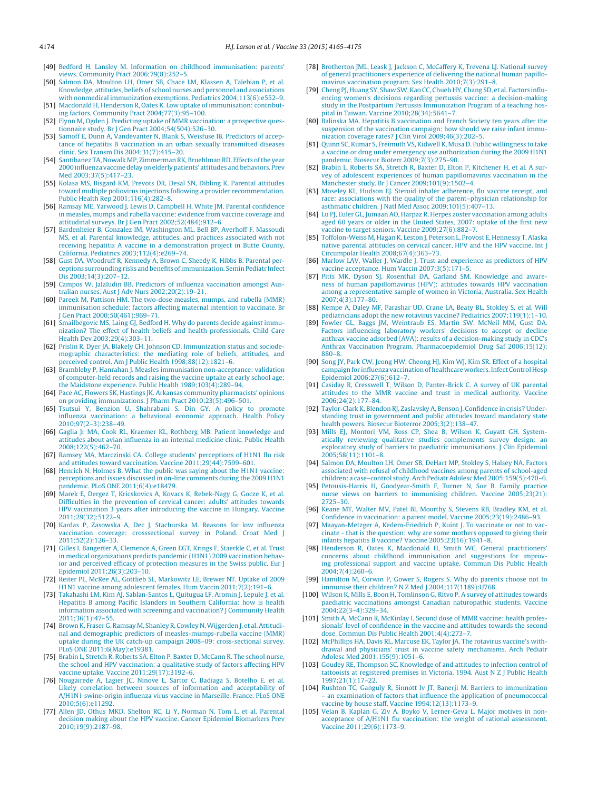- [49] [Bedford](http://refhub.elsevier.com/S0264-410X(15)00501-0/sbref0870) [H,](http://refhub.elsevier.com/S0264-410X(15)00501-0/sbref0870) [Lansley](http://refhub.elsevier.com/S0264-410X(15)00501-0/sbref0870) [M.](http://refhub.elsevier.com/S0264-410X(15)00501-0/sbref0870) [Information](http://refhub.elsevier.com/S0264-410X(15)00501-0/sbref0870) [on](http://refhub.elsevier.com/S0264-410X(15)00501-0/sbref0870) [childhood](http://refhub.elsevier.com/S0264-410X(15)00501-0/sbref0870) [immunisation:](http://refhub.elsevier.com/S0264-410X(15)00501-0/sbref0870) [parents'](http://refhub.elsevier.com/S0264-410X(15)00501-0/sbref0870) [views.](http://refhub.elsevier.com/S0264-410X(15)00501-0/sbref0870) [Community](http://refhub.elsevier.com/S0264-410X(15)00501-0/sbref0870) [Pract](http://refhub.elsevier.com/S0264-410X(15)00501-0/sbref0870) [2006;79\(8\):252](http://refhub.elsevier.com/S0264-410X(15)00501-0/sbref0870)–[5.](http://refhub.elsevier.com/S0264-410X(15)00501-0/sbref0870)
- [50] [Salmon](http://refhub.elsevier.com/S0264-410X(15)00501-0/sbref0875) [DA,](http://refhub.elsevier.com/S0264-410X(15)00501-0/sbref0875) [Moulton](http://refhub.elsevier.com/S0264-410X(15)00501-0/sbref0875) [LH,](http://refhub.elsevier.com/S0264-410X(15)00501-0/sbref0875) [Omer](http://refhub.elsevier.com/S0264-410X(15)00501-0/sbref0875) [SB,](http://refhub.elsevier.com/S0264-410X(15)00501-0/sbref0875) [Chace](http://refhub.elsevier.com/S0264-410X(15)00501-0/sbref0875) [LM,](http://refhub.elsevier.com/S0264-410X(15)00501-0/sbref0875) [Klassen](http://refhub.elsevier.com/S0264-410X(15)00501-0/sbref0875) [A,](http://refhub.elsevier.com/S0264-410X(15)00501-0/sbref0875) [Talebian](http://refhub.elsevier.com/S0264-410X(15)00501-0/sbref0875) [P,](http://refhub.elsevier.com/S0264-410X(15)00501-0/sbref0875) [et](http://refhub.elsevier.com/S0264-410X(15)00501-0/sbref0875) [al.](http://refhub.elsevier.com/S0264-410X(15)00501-0/sbref0875) [Knowledge,](http://refhub.elsevier.com/S0264-410X(15)00501-0/sbref0875) [attitudes,](http://refhub.elsevier.com/S0264-410X(15)00501-0/sbref0875) [beliefs](http://refhub.elsevier.com/S0264-410X(15)00501-0/sbref0875) [of](http://refhub.elsevier.com/S0264-410X(15)00501-0/sbref0875) [school](http://refhub.elsevier.com/S0264-410X(15)00501-0/sbref0875) [nurses](http://refhub.elsevier.com/S0264-410X(15)00501-0/sbref0875) [and](http://refhub.elsevier.com/S0264-410X(15)00501-0/sbref0875) [personnel](http://refhub.elsevier.com/S0264-410X(15)00501-0/sbref0875) [and](http://refhub.elsevier.com/S0264-410X(15)00501-0/sbref0875) [associations](http://refhub.elsevier.com/S0264-410X(15)00501-0/sbref0875) [with](http://refhub.elsevier.com/S0264-410X(15)00501-0/sbref0875) [nonmedical](http://refhub.elsevier.com/S0264-410X(15)00501-0/sbref0875) [immunization](http://refhub.elsevier.com/S0264-410X(15)00501-0/sbref0875) [exemptions.](http://refhub.elsevier.com/S0264-410X(15)00501-0/sbref0875) [Pediatrics](http://refhub.elsevier.com/S0264-410X(15)00501-0/sbref0875) [2004;113\(6\):e552–9.](http://refhub.elsevier.com/S0264-410X(15)00501-0/sbref0875)
- [51] [Macdonald](http://refhub.elsevier.com/S0264-410X(15)00501-0/sbref0880) [H,](http://refhub.elsevier.com/S0264-410X(15)00501-0/sbref0880) [Henderson](http://refhub.elsevier.com/S0264-410X(15)00501-0/sbref0880) [R,](http://refhub.elsevier.com/S0264-410X(15)00501-0/sbref0880) [Oates](http://refhub.elsevier.com/S0264-410X(15)00501-0/sbref0880) [K.](http://refhub.elsevier.com/S0264-410X(15)00501-0/sbref0880) [Low](http://refhub.elsevier.com/S0264-410X(15)00501-0/sbref0880) [uptake](http://refhub.elsevier.com/S0264-410X(15)00501-0/sbref0880) [of](http://refhub.elsevier.com/S0264-410X(15)00501-0/sbref0880) [immunisation:](http://refhub.elsevier.com/S0264-410X(15)00501-0/sbref0880) [contribut](http://refhub.elsevier.com/S0264-410X(15)00501-0/sbref0880)[ing](http://refhub.elsevier.com/S0264-410X(15)00501-0/sbref0880) [factors.](http://refhub.elsevier.com/S0264-410X(15)00501-0/sbref0880) [Community](http://refhub.elsevier.com/S0264-410X(15)00501-0/sbref0880) [Pract](http://refhub.elsevier.com/S0264-410X(15)00501-0/sbref0880) [2004;77\(3\):95](http://refhub.elsevier.com/S0264-410X(15)00501-0/sbref0880)–[100.](http://refhub.elsevier.com/S0264-410X(15)00501-0/sbref0880)
- [52] [Flynn](http://refhub.elsevier.com/S0264-410X(15)00501-0/sbref0885) [M,](http://refhub.elsevier.com/S0264-410X(15)00501-0/sbref0885) [Ogden](http://refhub.elsevier.com/S0264-410X(15)00501-0/sbref0885) [J.](http://refhub.elsevier.com/S0264-410X(15)00501-0/sbref0885) [Predicting](http://refhub.elsevier.com/S0264-410X(15)00501-0/sbref0885) [uptake](http://refhub.elsevier.com/S0264-410X(15)00501-0/sbref0885) [of](http://refhub.elsevier.com/S0264-410X(15)00501-0/sbref0885) [MMR](http://refhub.elsevier.com/S0264-410X(15)00501-0/sbref0885) [vaccination:](http://refhub.elsevier.com/S0264-410X(15)00501-0/sbref0885) [a](http://refhub.elsevier.com/S0264-410X(15)00501-0/sbref0885) [prospective](http://refhub.elsevier.com/S0264-410X(15)00501-0/sbref0885) [ques](http://refhub.elsevier.com/S0264-410X(15)00501-0/sbref0885)[tionnaire](http://refhub.elsevier.com/S0264-410X(15)00501-0/sbref0885) [study.](http://refhub.elsevier.com/S0264-410X(15)00501-0/sbref0885) [Br](http://refhub.elsevier.com/S0264-410X(15)00501-0/sbref0885) [J](http://refhub.elsevier.com/S0264-410X(15)00501-0/sbref0885) [Gen](http://refhub.elsevier.com/S0264-410X(15)00501-0/sbref0885) [Pract](http://refhub.elsevier.com/S0264-410X(15)00501-0/sbref0885) [2004;54\(504\):526–30.](http://refhub.elsevier.com/S0264-410X(15)00501-0/sbref0885)
- [53] [Samoff](http://refhub.elsevier.com/S0264-410X(15)00501-0/sbref0890) [E,](http://refhub.elsevier.com/S0264-410X(15)00501-0/sbref0890) [Dunn](http://refhub.elsevier.com/S0264-410X(15)00501-0/sbref0890) [A,](http://refhub.elsevier.com/S0264-410X(15)00501-0/sbref0890) [Vandevanter](http://refhub.elsevier.com/S0264-410X(15)00501-0/sbref0890) [N,](http://refhub.elsevier.com/S0264-410X(15)00501-0/sbref0890) [Blank](http://refhub.elsevier.com/S0264-410X(15)00501-0/sbref0890) [S,](http://refhub.elsevier.com/S0264-410X(15)00501-0/sbref0890) [Weisfuse](http://refhub.elsevier.com/S0264-410X(15)00501-0/sbref0890) [IB.](http://refhub.elsevier.com/S0264-410X(15)00501-0/sbref0890) [Predictors](http://refhub.elsevier.com/S0264-410X(15)00501-0/sbref0890) [of](http://refhub.elsevier.com/S0264-410X(15)00501-0/sbref0890) [accep](http://refhub.elsevier.com/S0264-410X(15)00501-0/sbref0890)[tance](http://refhub.elsevier.com/S0264-410X(15)00501-0/sbref0890) [of](http://refhub.elsevier.com/S0264-410X(15)00501-0/sbref0890) [hepatitis](http://refhub.elsevier.com/S0264-410X(15)00501-0/sbref0890) [B](http://refhub.elsevier.com/S0264-410X(15)00501-0/sbref0890) [vaccination](http://refhub.elsevier.com/S0264-410X(15)00501-0/sbref0890) [in](http://refhub.elsevier.com/S0264-410X(15)00501-0/sbref0890) [an](http://refhub.elsevier.com/S0264-410X(15)00501-0/sbref0890) [urban](http://refhub.elsevier.com/S0264-410X(15)00501-0/sbref0890) [sexually](http://refhub.elsevier.com/S0264-410X(15)00501-0/sbref0890) [transmitted](http://refhub.elsevier.com/S0264-410X(15)00501-0/sbref0890) [diseases](http://refhub.elsevier.com/S0264-410X(15)00501-0/sbref0890) [clinic.](http://refhub.elsevier.com/S0264-410X(15)00501-0/sbref0890) [Sex](http://refhub.elsevier.com/S0264-410X(15)00501-0/sbref0890) [Transm](http://refhub.elsevier.com/S0264-410X(15)00501-0/sbref0890) [Dis](http://refhub.elsevier.com/S0264-410X(15)00501-0/sbref0890) [2004;31\(7\):415–20.](http://refhub.elsevier.com/S0264-410X(15)00501-0/sbref0890)
- [54] [Santibanez](http://refhub.elsevier.com/S0264-410X(15)00501-0/sbref0895) [TA,](http://refhub.elsevier.com/S0264-410X(15)00501-0/sbref0895) [Nowalk](http://refhub.elsevier.com/S0264-410X(15)00501-0/sbref0895) [MP,](http://refhub.elsevier.com/S0264-410X(15)00501-0/sbref0895) [Zimmerman](http://refhub.elsevier.com/S0264-410X(15)00501-0/sbref0895) [RK,](http://refhub.elsevier.com/S0264-410X(15)00501-0/sbref0895) [Bruehlman](http://refhub.elsevier.com/S0264-410X(15)00501-0/sbref0895) [RD.](http://refhub.elsevier.com/S0264-410X(15)00501-0/sbref0895) [Effects](http://refhub.elsevier.com/S0264-410X(15)00501-0/sbref0895) [ofthe](http://refhub.elsevier.com/S0264-410X(15)00501-0/sbref0895) [year](http://refhub.elsevier.com/S0264-410X(15)00501-0/sbref0895) [2000](http://refhub.elsevier.com/S0264-410X(15)00501-0/sbref0895) [influenza](http://refhub.elsevier.com/S0264-410X(15)00501-0/sbref0895) vaccine delay on elderly patients' [attitudes](http://refhub.elsevier.com/S0264-410X(15)00501-0/sbref0895) and behaviors. [Prev](http://refhub.elsevier.com/S0264-410X(15)00501-0/sbref0895) [Med](http://refhub.elsevier.com/S0264-410X(15)00501-0/sbref0895) [2003;37\(5\):417–23.](http://refhub.elsevier.com/S0264-410X(15)00501-0/sbref0895)
- [55] [Kolasa](http://refhub.elsevier.com/S0264-410X(15)00501-0/sbref0900) [MS,](http://refhub.elsevier.com/S0264-410X(15)00501-0/sbref0900) [Bisgard](http://refhub.elsevier.com/S0264-410X(15)00501-0/sbref0900) [KM,](http://refhub.elsevier.com/S0264-410X(15)00501-0/sbref0900) [Prevots](http://refhub.elsevier.com/S0264-410X(15)00501-0/sbref0900) [DR,](http://refhub.elsevier.com/S0264-410X(15)00501-0/sbref0900) [Desal](http://refhub.elsevier.com/S0264-410X(15)00501-0/sbref0900) [SN,](http://refhub.elsevier.com/S0264-410X(15)00501-0/sbref0900) [Dibling](http://refhub.elsevier.com/S0264-410X(15)00501-0/sbref0900) [K.](http://refhub.elsevier.com/S0264-410X(15)00501-0/sbref0900) [Parental](http://refhub.elsevier.com/S0264-410X(15)00501-0/sbref0900) [attitudes](http://refhub.elsevier.com/S0264-410X(15)00501-0/sbref0900) [toward](http://refhub.elsevier.com/S0264-410X(15)00501-0/sbref0900) [multiple](http://refhub.elsevier.com/S0264-410X(15)00501-0/sbref0900) [poliovirus](http://refhub.elsevier.com/S0264-410X(15)00501-0/sbref0900) [injections](http://refhub.elsevier.com/S0264-410X(15)00501-0/sbref0900) [following](http://refhub.elsevier.com/S0264-410X(15)00501-0/sbref0900) [a](http://refhub.elsevier.com/S0264-410X(15)00501-0/sbref0900) [provider](http://refhub.elsevier.com/S0264-410X(15)00501-0/sbref0900) [recommendation.](http://refhub.elsevier.com/S0264-410X(15)00501-0/sbref0900) [Public](http://refhub.elsevier.com/S0264-410X(15)00501-0/sbref0900) [Health](http://refhub.elsevier.com/S0264-410X(15)00501-0/sbref0900) [Rep](http://refhub.elsevier.com/S0264-410X(15)00501-0/sbref0900) [2001;116\(4\):282–8.](http://refhub.elsevier.com/S0264-410X(15)00501-0/sbref0900)
- [56] [Ramsay](http://refhub.elsevier.com/S0264-410X(15)00501-0/sbref0905) [ME,](http://refhub.elsevier.com/S0264-410X(15)00501-0/sbref0905) [Yarwood](http://refhub.elsevier.com/S0264-410X(15)00501-0/sbref0905) [J,](http://refhub.elsevier.com/S0264-410X(15)00501-0/sbref0905) [Lewis](http://refhub.elsevier.com/S0264-410X(15)00501-0/sbref0905) [D,](http://refhub.elsevier.com/S0264-410X(15)00501-0/sbref0905) [Campbell](http://refhub.elsevier.com/S0264-410X(15)00501-0/sbref0905) [H,](http://refhub.elsevier.com/S0264-410X(15)00501-0/sbref0905) [White](http://refhub.elsevier.com/S0264-410X(15)00501-0/sbref0905) [JM.](http://refhub.elsevier.com/S0264-410X(15)00501-0/sbref0905) [Parental](http://refhub.elsevier.com/S0264-410X(15)00501-0/sbref0905) [confidence](http://refhub.elsevier.com/S0264-410X(15)00501-0/sbref0905) [in](http://refhub.elsevier.com/S0264-410X(15)00501-0/sbref0905) [measles,](http://refhub.elsevier.com/S0264-410X(15)00501-0/sbref0905) [mumps](http://refhub.elsevier.com/S0264-410X(15)00501-0/sbref0905) [and](http://refhub.elsevier.com/S0264-410X(15)00501-0/sbref0905) [rubella](http://refhub.elsevier.com/S0264-410X(15)00501-0/sbref0905) [vaccine:](http://refhub.elsevier.com/S0264-410X(15)00501-0/sbref0905) [evidence](http://refhub.elsevier.com/S0264-410X(15)00501-0/sbref0905) [from](http://refhub.elsevier.com/S0264-410X(15)00501-0/sbref0905) [vaccine](http://refhub.elsevier.com/S0264-410X(15)00501-0/sbref0905) [coverage](http://refhub.elsevier.com/S0264-410X(15)00501-0/sbref0905) [and](http://refhub.elsevier.com/S0264-410X(15)00501-0/sbref0905) [attitudinal](http://refhub.elsevier.com/S0264-410X(15)00501-0/sbref0905) [surveys.](http://refhub.elsevier.com/S0264-410X(15)00501-0/sbref0905) [Br](http://refhub.elsevier.com/S0264-410X(15)00501-0/sbref0905) [J](http://refhub.elsevier.com/S0264-410X(15)00501-0/sbref0905) [Gen](http://refhub.elsevier.com/S0264-410X(15)00501-0/sbref0905) [Pract](http://refhub.elsevier.com/S0264-410X(15)00501-0/sbref0905) [2002;52\(484\):912–6.](http://refhub.elsevier.com/S0264-410X(15)00501-0/sbref0905)
- [57] [Bardenheier](http://refhub.elsevier.com/S0264-410X(15)00501-0/sbref0910) [B,](http://refhub.elsevier.com/S0264-410X(15)00501-0/sbref0910) [Gonzalez](http://refhub.elsevier.com/S0264-410X(15)00501-0/sbref0910) [IM,](http://refhub.elsevier.com/S0264-410X(15)00501-0/sbref0910) [Washington](http://refhub.elsevier.com/S0264-410X(15)00501-0/sbref0910) [ML,](http://refhub.elsevier.com/S0264-410X(15)00501-0/sbref0910) [Bell](http://refhub.elsevier.com/S0264-410X(15)00501-0/sbref0910) [BP,](http://refhub.elsevier.com/S0264-410X(15)00501-0/sbref0910) [Averhoff](http://refhub.elsevier.com/S0264-410X(15)00501-0/sbref0910) [F,](http://refhub.elsevier.com/S0264-410X(15)00501-0/sbref0910) [Massoudi](http://refhub.elsevier.com/S0264-410X(15)00501-0/sbref0910) [MS,](http://refhub.elsevier.com/S0264-410X(15)00501-0/sbref0910) [et](http://refhub.elsevier.com/S0264-410X(15)00501-0/sbref0910) [al.](http://refhub.elsevier.com/S0264-410X(15)00501-0/sbref0910) [Parental](http://refhub.elsevier.com/S0264-410X(15)00501-0/sbref0910) [knowledge,](http://refhub.elsevier.com/S0264-410X(15)00501-0/sbref0910) [attitudes,](http://refhub.elsevier.com/S0264-410X(15)00501-0/sbref0910) [and](http://refhub.elsevier.com/S0264-410X(15)00501-0/sbref0910) [practices](http://refhub.elsevier.com/S0264-410X(15)00501-0/sbref0910) [associated](http://refhub.elsevier.com/S0264-410X(15)00501-0/sbref0910) [with](http://refhub.elsevier.com/S0264-410X(15)00501-0/sbref0910) [not](http://refhub.elsevier.com/S0264-410X(15)00501-0/sbref0910) [receiving](http://refhub.elsevier.com/S0264-410X(15)00501-0/sbref0910) [hepatitis](http://refhub.elsevier.com/S0264-410X(15)00501-0/sbref0910) [A](http://refhub.elsevier.com/S0264-410X(15)00501-0/sbref0910) [vaccine](http://refhub.elsevier.com/S0264-410X(15)00501-0/sbref0910) [in](http://refhub.elsevier.com/S0264-410X(15)00501-0/sbref0910) [a](http://refhub.elsevier.com/S0264-410X(15)00501-0/sbref0910) [demonstration](http://refhub.elsevier.com/S0264-410X(15)00501-0/sbref0910) [project](http://refhub.elsevier.com/S0264-410X(15)00501-0/sbref0910) [in](http://refhub.elsevier.com/S0264-410X(15)00501-0/sbref0910) [Butte](http://refhub.elsevier.com/S0264-410X(15)00501-0/sbref0910) [County,](http://refhub.elsevier.com/S0264-410X(15)00501-0/sbref0910) [California.](http://refhub.elsevier.com/S0264-410X(15)00501-0/sbref0910) [Pediatrics](http://refhub.elsevier.com/S0264-410X(15)00501-0/sbref0910) [2003;112\(4\):e269](http://refhub.elsevier.com/S0264-410X(15)00501-0/sbref0910)–[74.](http://refhub.elsevier.com/S0264-410X(15)00501-0/sbref0910)
- [58] [Gust](http://refhub.elsevier.com/S0264-410X(15)00501-0/sbref0915) [DA,](http://refhub.elsevier.com/S0264-410X(15)00501-0/sbref0915) [Woodruff](http://refhub.elsevier.com/S0264-410X(15)00501-0/sbref0915) [R,](http://refhub.elsevier.com/S0264-410X(15)00501-0/sbref0915) [Kennedy](http://refhub.elsevier.com/S0264-410X(15)00501-0/sbref0915) [A,](http://refhub.elsevier.com/S0264-410X(15)00501-0/sbref0915) [Brown](http://refhub.elsevier.com/S0264-410X(15)00501-0/sbref0915) [C,](http://refhub.elsevier.com/S0264-410X(15)00501-0/sbref0915) [Sheedy](http://refhub.elsevier.com/S0264-410X(15)00501-0/sbref0915) [K,](http://refhub.elsevier.com/S0264-410X(15)00501-0/sbref0915) [Hibbs](http://refhub.elsevier.com/S0264-410X(15)00501-0/sbref0915) [B.](http://refhub.elsevier.com/S0264-410X(15)00501-0/sbref0915) [Parental](http://refhub.elsevier.com/S0264-410X(15)00501-0/sbref0915) [per](http://refhub.elsevier.com/S0264-410X(15)00501-0/sbref0915)[ceptions](http://refhub.elsevier.com/S0264-410X(15)00501-0/sbref0915) [surrounding](http://refhub.elsevier.com/S0264-410X(15)00501-0/sbref0915) [risks](http://refhub.elsevier.com/S0264-410X(15)00501-0/sbref0915) [and](http://refhub.elsevier.com/S0264-410X(15)00501-0/sbref0915) [benefits](http://refhub.elsevier.com/S0264-410X(15)00501-0/sbref0915) of immunization. Semin Pediatr [Infect](http://refhub.elsevier.com/S0264-410X(15)00501-0/sbref0915) [Dis](http://refhub.elsevier.com/S0264-410X(15)00501-0/sbref0915) [2003;14\(3\):207](http://refhub.elsevier.com/S0264-410X(15)00501-0/sbref0915)–[12.](http://refhub.elsevier.com/S0264-410X(15)00501-0/sbref0915)
- [59] [Campos](http://refhub.elsevier.com/S0264-410X(15)00501-0/sbref0920) [W,](http://refhub.elsevier.com/S0264-410X(15)00501-0/sbref0920) [Jalaludin](http://refhub.elsevier.com/S0264-410X(15)00501-0/sbref0920) [BB.](http://refhub.elsevier.com/S0264-410X(15)00501-0/sbref0920) [Predictors](http://refhub.elsevier.com/S0264-410X(15)00501-0/sbref0920) [of](http://refhub.elsevier.com/S0264-410X(15)00501-0/sbref0920) [influenza](http://refhub.elsevier.com/S0264-410X(15)00501-0/sbref0920) [vaccination](http://refhub.elsevier.com/S0264-410X(15)00501-0/sbref0920) [amongst](http://refhub.elsevier.com/S0264-410X(15)00501-0/sbref0920) [Aus](http://refhub.elsevier.com/S0264-410X(15)00501-0/sbref0920)[tralian](http://refhub.elsevier.com/S0264-410X(15)00501-0/sbref0920) [nurses.](http://refhub.elsevier.com/S0264-410X(15)00501-0/sbref0920) [Aust](http://refhub.elsevier.com/S0264-410X(15)00501-0/sbref0920) [J](http://refhub.elsevier.com/S0264-410X(15)00501-0/sbref0920) [Adv](http://refhub.elsevier.com/S0264-410X(15)00501-0/sbref0920) [Nurs](http://refhub.elsevier.com/S0264-410X(15)00501-0/sbref0920) [2002;20\(2\):19–21.](http://refhub.elsevier.com/S0264-410X(15)00501-0/sbref0920)
- [60] [Pareek](http://refhub.elsevier.com/S0264-410X(15)00501-0/sbref0925) [M,](http://refhub.elsevier.com/S0264-410X(15)00501-0/sbref0925) [Pattison](http://refhub.elsevier.com/S0264-410X(15)00501-0/sbref0925) [HM.](http://refhub.elsevier.com/S0264-410X(15)00501-0/sbref0925) [The](http://refhub.elsevier.com/S0264-410X(15)00501-0/sbref0925) [two-dose](http://refhub.elsevier.com/S0264-410X(15)00501-0/sbref0925) [measles,](http://refhub.elsevier.com/S0264-410X(15)00501-0/sbref0925) [mumps,](http://refhub.elsevier.com/S0264-410X(15)00501-0/sbref0925) [and](http://refhub.elsevier.com/S0264-410X(15)00501-0/sbref0925) [rubella](http://refhub.elsevier.com/S0264-410X(15)00501-0/sbref0925) [\(MMR\)](http://refhub.elsevier.com/S0264-410X(15)00501-0/sbref0925) [immunisation](http://refhub.elsevier.com/S0264-410X(15)00501-0/sbref0925) [schedule:](http://refhub.elsevier.com/S0264-410X(15)00501-0/sbref0925) [factors](http://refhub.elsevier.com/S0264-410X(15)00501-0/sbref0925) [affecting](http://refhub.elsevier.com/S0264-410X(15)00501-0/sbref0925) [maternal](http://refhub.elsevier.com/S0264-410X(15)00501-0/sbref0925) [intention](http://refhub.elsevier.com/S0264-410X(15)00501-0/sbref0925) [to](http://refhub.elsevier.com/S0264-410X(15)00501-0/sbref0925) [vaccinate.](http://refhub.elsevier.com/S0264-410X(15)00501-0/sbref0925) [Br](http://refhub.elsevier.com/S0264-410X(15)00501-0/sbref0925) [J](http://refhub.elsevier.com/S0264-410X(15)00501-0/sbref0925) [Gen](http://refhub.elsevier.com/S0264-410X(15)00501-0/sbref0925) [Pract](http://refhub.elsevier.com/S0264-410X(15)00501-0/sbref0925) [2000;50\(461\):969](http://refhub.elsevier.com/S0264-410X(15)00501-0/sbref0925)–[71.](http://refhub.elsevier.com/S0264-410X(15)00501-0/sbref0925)
- [61] [Smailbegovic](http://refhub.elsevier.com/S0264-410X(15)00501-0/sbref0930) [MS,](http://refhub.elsevier.com/S0264-410X(15)00501-0/sbref0930) [Laing](http://refhub.elsevier.com/S0264-410X(15)00501-0/sbref0930) [GJ,](http://refhub.elsevier.com/S0264-410X(15)00501-0/sbref0930) [Bedford](http://refhub.elsevier.com/S0264-410X(15)00501-0/sbref0930) [H.](http://refhub.elsevier.com/S0264-410X(15)00501-0/sbref0930) [Why](http://refhub.elsevier.com/S0264-410X(15)00501-0/sbref0930) [do](http://refhub.elsevier.com/S0264-410X(15)00501-0/sbref0930) [parents](http://refhub.elsevier.com/S0264-410X(15)00501-0/sbref0930) [decide](http://refhub.elsevier.com/S0264-410X(15)00501-0/sbref0930) [against](http://refhub.elsevier.com/S0264-410X(15)00501-0/sbref0930) [immu](http://refhub.elsevier.com/S0264-410X(15)00501-0/sbref0930)[nization?](http://refhub.elsevier.com/S0264-410X(15)00501-0/sbref0930) [The](http://refhub.elsevier.com/S0264-410X(15)00501-0/sbref0930) [effect](http://refhub.elsevier.com/S0264-410X(15)00501-0/sbref0930) [of](http://refhub.elsevier.com/S0264-410X(15)00501-0/sbref0930) [health](http://refhub.elsevier.com/S0264-410X(15)00501-0/sbref0930) [beliefs](http://refhub.elsevier.com/S0264-410X(15)00501-0/sbref0930) [and](http://refhub.elsevier.com/S0264-410X(15)00501-0/sbref0930) [health](http://refhub.elsevier.com/S0264-410X(15)00501-0/sbref0930) [professionals.](http://refhub.elsevier.com/S0264-410X(15)00501-0/sbref0930) [Child](http://refhub.elsevier.com/S0264-410X(15)00501-0/sbref0930) [Care](http://refhub.elsevier.com/S0264-410X(15)00501-0/sbref0930) [Health](http://refhub.elsevier.com/S0264-410X(15)00501-0/sbref0930) [Dev](http://refhub.elsevier.com/S0264-410X(15)00501-0/sbref0930) [2003;29\(4\):303](http://refhub.elsevier.com/S0264-410X(15)00501-0/sbref0930)–[11.](http://refhub.elsevier.com/S0264-410X(15)00501-0/sbref0930)
- [62] [Prislin](http://refhub.elsevier.com/S0264-410X(15)00501-0/sbref0935) [R,](http://refhub.elsevier.com/S0264-410X(15)00501-0/sbref0935) [Dyer](http://refhub.elsevier.com/S0264-410X(15)00501-0/sbref0935) [JA,](http://refhub.elsevier.com/S0264-410X(15)00501-0/sbref0935) [Blakely](http://refhub.elsevier.com/S0264-410X(15)00501-0/sbref0935) [CH,](http://refhub.elsevier.com/S0264-410X(15)00501-0/sbref0935) [Johnson](http://refhub.elsevier.com/S0264-410X(15)00501-0/sbref0935) [CD.](http://refhub.elsevier.com/S0264-410X(15)00501-0/sbref0935) [Immunization](http://refhub.elsevier.com/S0264-410X(15)00501-0/sbref0935) [status](http://refhub.elsevier.com/S0264-410X(15)00501-0/sbref0935) [and](http://refhub.elsevier.com/S0264-410X(15)00501-0/sbref0935) [sociode](http://refhub.elsevier.com/S0264-410X(15)00501-0/sbref0935)[mographic](http://refhub.elsevier.com/S0264-410X(15)00501-0/sbref0935) [characteristics:](http://refhub.elsevier.com/S0264-410X(15)00501-0/sbref0935) [the](http://refhub.elsevier.com/S0264-410X(15)00501-0/sbref0935) [mediating](http://refhub.elsevier.com/S0264-410X(15)00501-0/sbref0935) [role](http://refhub.elsevier.com/S0264-410X(15)00501-0/sbref0935) [of](http://refhub.elsevier.com/S0264-410X(15)00501-0/sbref0935) [beliefs,](http://refhub.elsevier.com/S0264-410X(15)00501-0/sbref0935) [attitudes,](http://refhub.elsevier.com/S0264-410X(15)00501-0/sbref0935) [and](http://refhub.elsevier.com/S0264-410X(15)00501-0/sbref0935) [perceived](http://refhub.elsevier.com/S0264-410X(15)00501-0/sbref0935) [control.](http://refhub.elsevier.com/S0264-410X(15)00501-0/sbref0935) [Am](http://refhub.elsevier.com/S0264-410X(15)00501-0/sbref0935) [J](http://refhub.elsevier.com/S0264-410X(15)00501-0/sbref0935) [Public](http://refhub.elsevier.com/S0264-410X(15)00501-0/sbref0935) [Health](http://refhub.elsevier.com/S0264-410X(15)00501-0/sbref0935) [1998;88\(12\):1821–6.](http://refhub.elsevier.com/S0264-410X(15)00501-0/sbref0935)
- [63] [Brambleby](http://refhub.elsevier.com/S0264-410X(15)00501-0/sbref0940) [P,](http://refhub.elsevier.com/S0264-410X(15)00501-0/sbref0940) [Hanrahan](http://refhub.elsevier.com/S0264-410X(15)00501-0/sbref0940) [J.](http://refhub.elsevier.com/S0264-410X(15)00501-0/sbref0940) [Measles](http://refhub.elsevier.com/S0264-410X(15)00501-0/sbref0940) [immunisation](http://refhub.elsevier.com/S0264-410X(15)00501-0/sbref0940) [non-acceptance:](http://refhub.elsevier.com/S0264-410X(15)00501-0/sbref0940) [validation](http://refhub.elsevier.com/S0264-410X(15)00501-0/sbref0940) [of](http://refhub.elsevier.com/S0264-410X(15)00501-0/sbref0940) [computer-held](http://refhub.elsevier.com/S0264-410X(15)00501-0/sbref0940) [records](http://refhub.elsevier.com/S0264-410X(15)00501-0/sbref0940) [and](http://refhub.elsevier.com/S0264-410X(15)00501-0/sbref0940) [raising](http://refhub.elsevier.com/S0264-410X(15)00501-0/sbref0940) [the](http://refhub.elsevier.com/S0264-410X(15)00501-0/sbref0940) [vaccine](http://refhub.elsevier.com/S0264-410X(15)00501-0/sbref0940) [uptake](http://refhub.elsevier.com/S0264-410X(15)00501-0/sbref0940) [at](http://refhub.elsevier.com/S0264-410X(15)00501-0/sbref0940) [early](http://refhub.elsevier.com/S0264-410X(15)00501-0/sbref0940) [school](http://refhub.elsevier.com/S0264-410X(15)00501-0/sbref0940) [age;](http://refhub.elsevier.com/S0264-410X(15)00501-0/sbref0940) [the](http://refhub.elsevier.com/S0264-410X(15)00501-0/sbref0940) [Maidstone](http://refhub.elsevier.com/S0264-410X(15)00501-0/sbref0940) [experience.](http://refhub.elsevier.com/S0264-410X(15)00501-0/sbref0940) [Public](http://refhub.elsevier.com/S0264-410X(15)00501-0/sbref0940) [Health](http://refhub.elsevier.com/S0264-410X(15)00501-0/sbref0940) [1989;103\(4\):289–94.](http://refhub.elsevier.com/S0264-410X(15)00501-0/sbref0940)
- [64] [Pace](http://refhub.elsevier.com/S0264-410X(15)00501-0/sbref0945) [AC,](http://refhub.elsevier.com/S0264-410X(15)00501-0/sbref0945) [Flowers](http://refhub.elsevier.com/S0264-410X(15)00501-0/sbref0945) [SK,](http://refhub.elsevier.com/S0264-410X(15)00501-0/sbref0945) [Hastings](http://refhub.elsevier.com/S0264-410X(15)00501-0/sbref0945) [JK.](http://refhub.elsevier.com/S0264-410X(15)00501-0/sbref0945) [Arkansas](http://refhub.elsevier.com/S0264-410X(15)00501-0/sbref0945) [community](http://refhub.elsevier.com/S0264-410X(15)00501-0/sbref0945) [pharmacists'](http://refhub.elsevier.com/S0264-410X(15)00501-0/sbref0945) [opinions](http://refhub.elsevier.com/S0264-410X(15)00501-0/sbref0945) [on](http://refhub.elsevier.com/S0264-410X(15)00501-0/sbref0945) [providing](http://refhub.elsevier.com/S0264-410X(15)00501-0/sbref0945) [immunizations.](http://refhub.elsevier.com/S0264-410X(15)00501-0/sbref0945) [J](http://refhub.elsevier.com/S0264-410X(15)00501-0/sbref0945) [Pharm](http://refhub.elsevier.com/S0264-410X(15)00501-0/sbref0945) [Pract](http://refhub.elsevier.com/S0264-410X(15)00501-0/sbref0945) [2010;23\(5\):496–501.](http://refhub.elsevier.com/S0264-410X(15)00501-0/sbref0945)
- [65] [Tsutsui](http://refhub.elsevier.com/S0264-410X(15)00501-0/sbref0950) [Y,](http://refhub.elsevier.com/S0264-410X(15)00501-0/sbref0950) [Benzion](http://refhub.elsevier.com/S0264-410X(15)00501-0/sbref0950) [U,](http://refhub.elsevier.com/S0264-410X(15)00501-0/sbref0950) [Shahrabani](http://refhub.elsevier.com/S0264-410X(15)00501-0/sbref0950) [S,](http://refhub.elsevier.com/S0264-410X(15)00501-0/sbref0950) [Din](http://refhub.elsevier.com/S0264-410X(15)00501-0/sbref0950) [GY.](http://refhub.elsevier.com/S0264-410X(15)00501-0/sbref0950) [A](http://refhub.elsevier.com/S0264-410X(15)00501-0/sbref0950) [policy](http://refhub.elsevier.com/S0264-410X(15)00501-0/sbref0950) [to](http://refhub.elsevier.com/S0264-410X(15)00501-0/sbref0950) [promote](http://refhub.elsevier.com/S0264-410X(15)00501-0/sbref0950) [influenza](http://refhub.elsevier.com/S0264-410X(15)00501-0/sbref0950) [vaccination:](http://refhub.elsevier.com/S0264-410X(15)00501-0/sbref0950) [a](http://refhub.elsevier.com/S0264-410X(15)00501-0/sbref0950) [behavioral](http://refhub.elsevier.com/S0264-410X(15)00501-0/sbref0950) [economic](http://refhub.elsevier.com/S0264-410X(15)00501-0/sbref0950) [approach.](http://refhub.elsevier.com/S0264-410X(15)00501-0/sbref0950) [Health](http://refhub.elsevier.com/S0264-410X(15)00501-0/sbref0950) [Policy](http://refhub.elsevier.com/S0264-410X(15)00501-0/sbref0950) [2010;97\(2–3\):238–49.](http://refhub.elsevier.com/S0264-410X(15)00501-0/sbref0950)
- [66] [Gaglia](http://refhub.elsevier.com/S0264-410X(15)00501-0/sbref0955) [Jr](http://refhub.elsevier.com/S0264-410X(15)00501-0/sbref0955) [MA,](http://refhub.elsevier.com/S0264-410X(15)00501-0/sbref0955) [Cook](http://refhub.elsevier.com/S0264-410X(15)00501-0/sbref0955) [RL,](http://refhub.elsevier.com/S0264-410X(15)00501-0/sbref0955) [Kraemer](http://refhub.elsevier.com/S0264-410X(15)00501-0/sbref0955) [KL,](http://refhub.elsevier.com/S0264-410X(15)00501-0/sbref0955) [Rothberg](http://refhub.elsevier.com/S0264-410X(15)00501-0/sbref0955) [MB.](http://refhub.elsevier.com/S0264-410X(15)00501-0/sbref0955) [Patient](http://refhub.elsevier.com/S0264-410X(15)00501-0/sbref0955) [knowledge](http://refhub.elsevier.com/S0264-410X(15)00501-0/sbref0955) [and](http://refhub.elsevier.com/S0264-410X(15)00501-0/sbref0955) [attitudes](http://refhub.elsevier.com/S0264-410X(15)00501-0/sbref0955) [about](http://refhub.elsevier.com/S0264-410X(15)00501-0/sbref0955) [avian](http://refhub.elsevier.com/S0264-410X(15)00501-0/sbref0955) [influenza](http://refhub.elsevier.com/S0264-410X(15)00501-0/sbref0955) [in](http://refhub.elsevier.com/S0264-410X(15)00501-0/sbref0955) [an](http://refhub.elsevier.com/S0264-410X(15)00501-0/sbref0955) [internal](http://refhub.elsevier.com/S0264-410X(15)00501-0/sbref0955) [medicine](http://refhub.elsevier.com/S0264-410X(15)00501-0/sbref0955) [clinic.](http://refhub.elsevier.com/S0264-410X(15)00501-0/sbref0955) [Public](http://refhub.elsevier.com/S0264-410X(15)00501-0/sbref0955) [Health](http://refhub.elsevier.com/S0264-410X(15)00501-0/sbref0955) [2008;122\(5\):462–70.](http://refhub.elsevier.com/S0264-410X(15)00501-0/sbref0955)
- [67] [Ramsey](http://refhub.elsevier.com/S0264-410X(15)00501-0/sbref0960) [MA,](http://refhub.elsevier.com/S0264-410X(15)00501-0/sbref0960) [Marczinski](http://refhub.elsevier.com/S0264-410X(15)00501-0/sbref0960) [CA.](http://refhub.elsevier.com/S0264-410X(15)00501-0/sbref0960) [College](http://refhub.elsevier.com/S0264-410X(15)00501-0/sbref0960) [students'](http://refhub.elsevier.com/S0264-410X(15)00501-0/sbref0960) [perceptions](http://refhub.elsevier.com/S0264-410X(15)00501-0/sbref0960) [of](http://refhub.elsevier.com/S0264-410X(15)00501-0/sbref0960) [H1N1](http://refhub.elsevier.com/S0264-410X(15)00501-0/sbref0960) [flu](http://refhub.elsevier.com/S0264-410X(15)00501-0/sbref0960) [risk](http://refhub.elsevier.com/S0264-410X(15)00501-0/sbref0960) [and](http://refhub.elsevier.com/S0264-410X(15)00501-0/sbref0960) [attitudes](http://refhub.elsevier.com/S0264-410X(15)00501-0/sbref0960) [toward](http://refhub.elsevier.com/S0264-410X(15)00501-0/sbref0960) [vaccination.](http://refhub.elsevier.com/S0264-410X(15)00501-0/sbref0960) [Vaccine](http://refhub.elsevier.com/S0264-410X(15)00501-0/sbref0960) [2011;29\(44\):7599–601.](http://refhub.elsevier.com/S0264-410X(15)00501-0/sbref0960)
- [68] [Henrich](http://refhub.elsevier.com/S0264-410X(15)00501-0/sbref0965) [N,](http://refhub.elsevier.com/S0264-410X(15)00501-0/sbref0965) [Holmes](http://refhub.elsevier.com/S0264-410X(15)00501-0/sbref0965) [B.](http://refhub.elsevier.com/S0264-410X(15)00501-0/sbref0965) [What](http://refhub.elsevier.com/S0264-410X(15)00501-0/sbref0965) [the](http://refhub.elsevier.com/S0264-410X(15)00501-0/sbref0965) [public](http://refhub.elsevier.com/S0264-410X(15)00501-0/sbref0965) [was](http://refhub.elsevier.com/S0264-410X(15)00501-0/sbref0965) [saying](http://refhub.elsevier.com/S0264-410X(15)00501-0/sbref0965) [about](http://refhub.elsevier.com/S0264-410X(15)00501-0/sbref0965) the [H1N1](http://refhub.elsevier.com/S0264-410X(15)00501-0/sbref0965) [vaccine:](http://refhub.elsevier.com/S0264-410X(15)00501-0/sbref0965) [perceptions](http://refhub.elsevier.com/S0264-410X(15)00501-0/sbref0965) [and](http://refhub.elsevier.com/S0264-410X(15)00501-0/sbref0965) [issues](http://refhub.elsevier.com/S0264-410X(15)00501-0/sbref0965) [discussed](http://refhub.elsevier.com/S0264-410X(15)00501-0/sbref0965) [in](http://refhub.elsevier.com/S0264-410X(15)00501-0/sbref0965) [on-line](http://refhub.elsevier.com/S0264-410X(15)00501-0/sbref0965) [comments](http://refhub.elsevier.com/S0264-410X(15)00501-0/sbref0965) [during](http://refhub.elsevier.com/S0264-410X(15)00501-0/sbref0965) [the](http://refhub.elsevier.com/S0264-410X(15)00501-0/sbref0965) [2009](http://refhub.elsevier.com/S0264-410X(15)00501-0/sbref0965) [H1N1](http://refhub.elsevier.com/S0264-410X(15)00501-0/sbref0965) [pandemic.](http://refhub.elsevier.com/S0264-410X(15)00501-0/sbref0965) [PLoS](http://refhub.elsevier.com/S0264-410X(15)00501-0/sbref0965) [ONE](http://refhub.elsevier.com/S0264-410X(15)00501-0/sbref0965) [2011;6\(4\):e18479.](http://refhub.elsevier.com/S0264-410X(15)00501-0/sbref0965)
- [69] [Marek](http://refhub.elsevier.com/S0264-410X(15)00501-0/sbref0970) [E,](http://refhub.elsevier.com/S0264-410X(15)00501-0/sbref0970) [Dergez](http://refhub.elsevier.com/S0264-410X(15)00501-0/sbref0970) [T,](http://refhub.elsevier.com/S0264-410X(15)00501-0/sbref0970) [Kricskovics](http://refhub.elsevier.com/S0264-410X(15)00501-0/sbref0970) [A,](http://refhub.elsevier.com/S0264-410X(15)00501-0/sbref0970) [Kovacs](http://refhub.elsevier.com/S0264-410X(15)00501-0/sbref0970) [K,](http://refhub.elsevier.com/S0264-410X(15)00501-0/sbref0970) [Rebek-Nagy](http://refhub.elsevier.com/S0264-410X(15)00501-0/sbref0970) [G,](http://refhub.elsevier.com/S0264-410X(15)00501-0/sbref0970) [Gocze](http://refhub.elsevier.com/S0264-410X(15)00501-0/sbref0970) [K,](http://refhub.elsevier.com/S0264-410X(15)00501-0/sbref0970) [et](http://refhub.elsevier.com/S0264-410X(15)00501-0/sbref0970) [al.](http://refhub.elsevier.com/S0264-410X(15)00501-0/sbref0970) [Difficulties](http://refhub.elsevier.com/S0264-410X(15)00501-0/sbref0970) [in](http://refhub.elsevier.com/S0264-410X(15)00501-0/sbref0970) [the](http://refhub.elsevier.com/S0264-410X(15)00501-0/sbref0970) [prevention](http://refhub.elsevier.com/S0264-410X(15)00501-0/sbref0970) [of](http://refhub.elsevier.com/S0264-410X(15)00501-0/sbref0970) [cervical](http://refhub.elsevier.com/S0264-410X(15)00501-0/sbref0970) [cancer:](http://refhub.elsevier.com/S0264-410X(15)00501-0/sbref0970) [adults'](http://refhub.elsevier.com/S0264-410X(15)00501-0/sbref0970) [attitudes](http://refhub.elsevier.com/S0264-410X(15)00501-0/sbref0970) [towards](http://refhub.elsevier.com/S0264-410X(15)00501-0/sbref0970) [HPV](http://refhub.elsevier.com/S0264-410X(15)00501-0/sbref0970) [vaccination](http://refhub.elsevier.com/S0264-410X(15)00501-0/sbref0970) [3](http://refhub.elsevier.com/S0264-410X(15)00501-0/sbref0970) [years](http://refhub.elsevier.com/S0264-410X(15)00501-0/sbref0970) [after](http://refhub.elsevier.com/S0264-410X(15)00501-0/sbref0970) [introducing](http://refhub.elsevier.com/S0264-410X(15)00501-0/sbref0970) [the](http://refhub.elsevier.com/S0264-410X(15)00501-0/sbref0970) [vaccine](http://refhub.elsevier.com/S0264-410X(15)00501-0/sbref0970) [in](http://refhub.elsevier.com/S0264-410X(15)00501-0/sbref0970) [Hungary.](http://refhub.elsevier.com/S0264-410X(15)00501-0/sbref0970) [Vaccine](http://refhub.elsevier.com/S0264-410X(15)00501-0/sbref0970) [2011;29\(32\):5122](http://refhub.elsevier.com/S0264-410X(15)00501-0/sbref0970)–[9.](http://refhub.elsevier.com/S0264-410X(15)00501-0/sbref0970)
- [70] [Kardas](http://refhub.elsevier.com/S0264-410X(15)00501-0/sbref0975) [P,](http://refhub.elsevier.com/S0264-410X(15)00501-0/sbref0975) [Zasowska](http://refhub.elsevier.com/S0264-410X(15)00501-0/sbref0975) [A,](http://refhub.elsevier.com/S0264-410X(15)00501-0/sbref0975) [Dec](http://refhub.elsevier.com/S0264-410X(15)00501-0/sbref0975) [J,](http://refhub.elsevier.com/S0264-410X(15)00501-0/sbref0975) [Stachurska](http://refhub.elsevier.com/S0264-410X(15)00501-0/sbref0975) [M.](http://refhub.elsevier.com/S0264-410X(15)00501-0/sbref0975) [Reasons](http://refhub.elsevier.com/S0264-410X(15)00501-0/sbref0975) [for](http://refhub.elsevier.com/S0264-410X(15)00501-0/sbref0975) [low](http://refhub.elsevier.com/S0264-410X(15)00501-0/sbref0975) [influenza](http://refhub.elsevier.com/S0264-410X(15)00501-0/sbref0975) [vaccination](http://refhub.elsevier.com/S0264-410X(15)00501-0/sbref0975) [coverage:](http://refhub.elsevier.com/S0264-410X(15)00501-0/sbref0975) [crosssectional](http://refhub.elsevier.com/S0264-410X(15)00501-0/sbref0975) [survey](http://refhub.elsevier.com/S0264-410X(15)00501-0/sbref0975) [in](http://refhub.elsevier.com/S0264-410X(15)00501-0/sbref0975) [Poland.](http://refhub.elsevier.com/S0264-410X(15)00501-0/sbref0975) [Croat](http://refhub.elsevier.com/S0264-410X(15)00501-0/sbref0975) [Med](http://refhub.elsevier.com/S0264-410X(15)00501-0/sbref0975) [J](http://refhub.elsevier.com/S0264-410X(15)00501-0/sbref0975) [2011;52\(2\):126](http://refhub.elsevier.com/S0264-410X(15)00501-0/sbref0975)–[33.](http://refhub.elsevier.com/S0264-410X(15)00501-0/sbref0975)
- [71] [Gilles](http://refhub.elsevier.com/S0264-410X(15)00501-0/sbref0980) [I,](http://refhub.elsevier.com/S0264-410X(15)00501-0/sbref0980) [Bangerter](http://refhub.elsevier.com/S0264-410X(15)00501-0/sbref0980) [A,](http://refhub.elsevier.com/S0264-410X(15)00501-0/sbref0980) [Clemence](http://refhub.elsevier.com/S0264-410X(15)00501-0/sbref0980) [A,](http://refhub.elsevier.com/S0264-410X(15)00501-0/sbref0980) [Green](http://refhub.elsevier.com/S0264-410X(15)00501-0/sbref0980) [EGT,](http://refhub.elsevier.com/S0264-410X(15)00501-0/sbref0980) [Krings](http://refhub.elsevier.com/S0264-410X(15)00501-0/sbref0980) [F,](http://refhub.elsevier.com/S0264-410X(15)00501-0/sbref0980) [Staerkle](http://refhub.elsevier.com/S0264-410X(15)00501-0/sbref0980) [C,](http://refhub.elsevier.com/S0264-410X(15)00501-0/sbref0980) [et](http://refhub.elsevier.com/S0264-410X(15)00501-0/sbref0980) [al.](http://refhub.elsevier.com/S0264-410X(15)00501-0/sbref0980) [Trust](http://refhub.elsevier.com/S0264-410X(15)00501-0/sbref0980) [in](http://refhub.elsevier.com/S0264-410X(15)00501-0/sbref0980) [medical](http://refhub.elsevier.com/S0264-410X(15)00501-0/sbref0980) [organizations](http://refhub.elsevier.com/S0264-410X(15)00501-0/sbref0980) [predicts](http://refhub.elsevier.com/S0264-410X(15)00501-0/sbref0980) [pandemic](http://refhub.elsevier.com/S0264-410X(15)00501-0/sbref0980) [\(H1N1\)](http://refhub.elsevier.com/S0264-410X(15)00501-0/sbref0980) [2009](http://refhub.elsevier.com/S0264-410X(15)00501-0/sbref0980) [vaccination](http://refhub.elsevier.com/S0264-410X(15)00501-0/sbref0980) [behav](http://refhub.elsevier.com/S0264-410X(15)00501-0/sbref0980)[ior](http://refhub.elsevier.com/S0264-410X(15)00501-0/sbref0980) [and](http://refhub.elsevier.com/S0264-410X(15)00501-0/sbref0980) [perceived](http://refhub.elsevier.com/S0264-410X(15)00501-0/sbref0980) [efficacy](http://refhub.elsevier.com/S0264-410X(15)00501-0/sbref0980) [of](http://refhub.elsevier.com/S0264-410X(15)00501-0/sbref0980) [protection](http://refhub.elsevier.com/S0264-410X(15)00501-0/sbref0980) [measures](http://refhub.elsevier.com/S0264-410X(15)00501-0/sbref0980) [in](http://refhub.elsevier.com/S0264-410X(15)00501-0/sbref0980) [the](http://refhub.elsevier.com/S0264-410X(15)00501-0/sbref0980) [Swiss](http://refhub.elsevier.com/S0264-410X(15)00501-0/sbref0980) [public.](http://refhub.elsevier.com/S0264-410X(15)00501-0/sbref0980) [Eur](http://refhub.elsevier.com/S0264-410X(15)00501-0/sbref0980) [J](http://refhub.elsevier.com/S0264-410X(15)00501-0/sbref0980) [Epidemiol](http://refhub.elsevier.com/S0264-410X(15)00501-0/sbref0980) [2011;26\(3\):203](http://refhub.elsevier.com/S0264-410X(15)00501-0/sbref0980)–[10.](http://refhub.elsevier.com/S0264-410X(15)00501-0/sbref0980)
- [72] [Reiter](http://refhub.elsevier.com/S0264-410X(15)00501-0/sbref0985) [PL,](http://refhub.elsevier.com/S0264-410X(15)00501-0/sbref0985) [McRee](http://refhub.elsevier.com/S0264-410X(15)00501-0/sbref0985) [AL,](http://refhub.elsevier.com/S0264-410X(15)00501-0/sbref0985) [Gottlieb](http://refhub.elsevier.com/S0264-410X(15)00501-0/sbref0985) [SL,](http://refhub.elsevier.com/S0264-410X(15)00501-0/sbref0985) [Markowitz](http://refhub.elsevier.com/S0264-410X(15)00501-0/sbref0985) [LE,](http://refhub.elsevier.com/S0264-410X(15)00501-0/sbref0985) [Brewer](http://refhub.elsevier.com/S0264-410X(15)00501-0/sbref0985) [NT.](http://refhub.elsevier.com/S0264-410X(15)00501-0/sbref0985) [Uptake](http://refhub.elsevier.com/S0264-410X(15)00501-0/sbref0985) [of](http://refhub.elsevier.com/S0264-410X(15)00501-0/sbref0985) [2009](http://refhub.elsevier.com/S0264-410X(15)00501-0/sbref0985) [H1N1](http://refhub.elsevier.com/S0264-410X(15)00501-0/sbref0985) [vaccine](http://refhub.elsevier.com/S0264-410X(15)00501-0/sbref0985) [among](http://refhub.elsevier.com/S0264-410X(15)00501-0/sbref0985) [adolescent](http://refhub.elsevier.com/S0264-410X(15)00501-0/sbref0985) [females.](http://refhub.elsevier.com/S0264-410X(15)00501-0/sbref0985) [Hum](http://refhub.elsevier.com/S0264-410X(15)00501-0/sbref0985) [Vaccin](http://refhub.elsevier.com/S0264-410X(15)00501-0/sbref0985) [2011;7\(2\):191](http://refhub.elsevier.com/S0264-410X(15)00501-0/sbref0985)–[6.](http://refhub.elsevier.com/S0264-410X(15)00501-0/sbref0985)
- [73] [Takahashi](http://refhub.elsevier.com/S0264-410X(15)00501-0/sbref0990) [LM,](http://refhub.elsevier.com/S0264-410X(15)00501-0/sbref0990) [Kim](http://refhub.elsevier.com/S0264-410X(15)00501-0/sbref0990) [AJ,](http://refhub.elsevier.com/S0264-410X(15)00501-0/sbref0990) [Sablan-Santos](http://refhub.elsevier.com/S0264-410X(15)00501-0/sbref0990) [L,](http://refhub.elsevier.com/S0264-410X(15)00501-0/sbref0990) [Quitugua](http://refhub.elsevier.com/S0264-410X(15)00501-0/sbref0990) [LF,](http://refhub.elsevier.com/S0264-410X(15)00501-0/sbref0990) [Aromin](http://refhub.elsevier.com/S0264-410X(15)00501-0/sbref0990) [J,](http://refhub.elsevier.com/S0264-410X(15)00501-0/sbref0990) [Lepule](http://refhub.elsevier.com/S0264-410X(15)00501-0/sbref0990) [J,](http://refhub.elsevier.com/S0264-410X(15)00501-0/sbref0990) [et](http://refhub.elsevier.com/S0264-410X(15)00501-0/sbref0990) [al.](http://refhub.elsevier.com/S0264-410X(15)00501-0/sbref0990) [Hepatitis](http://refhub.elsevier.com/S0264-410X(15)00501-0/sbref0990) [B](http://refhub.elsevier.com/S0264-410X(15)00501-0/sbref0990) [among](http://refhub.elsevier.com/S0264-410X(15)00501-0/sbref0990) [Pacific](http://refhub.elsevier.com/S0264-410X(15)00501-0/sbref0990) [Islanders](http://refhub.elsevier.com/S0264-410X(15)00501-0/sbref0990) [in](http://refhub.elsevier.com/S0264-410X(15)00501-0/sbref0990) [Southern](http://refhub.elsevier.com/S0264-410X(15)00501-0/sbref0990) [California:](http://refhub.elsevier.com/S0264-410X(15)00501-0/sbref0990) [how](http://refhub.elsevier.com/S0264-410X(15)00501-0/sbref0990) [is](http://refhub.elsevier.com/S0264-410X(15)00501-0/sbref0990) [health](http://refhub.elsevier.com/S0264-410X(15)00501-0/sbref0990) [information](http://refhub.elsevier.com/S0264-410X(15)00501-0/sbref0990) [associated](http://refhub.elsevier.com/S0264-410X(15)00501-0/sbref0990) [with](http://refhub.elsevier.com/S0264-410X(15)00501-0/sbref0990) [screening](http://refhub.elsevier.com/S0264-410X(15)00501-0/sbref0990) [and](http://refhub.elsevier.com/S0264-410X(15)00501-0/sbref0990) [vaccination?](http://refhub.elsevier.com/S0264-410X(15)00501-0/sbref0990) [J](http://refhub.elsevier.com/S0264-410X(15)00501-0/sbref0990) [Community](http://refhub.elsevier.com/S0264-410X(15)00501-0/sbref0990) [Health](http://refhub.elsevier.com/S0264-410X(15)00501-0/sbref0990) [2011;36\(1\):47](http://refhub.elsevier.com/S0264-410X(15)00501-0/sbref0990)–[55.](http://refhub.elsevier.com/S0264-410X(15)00501-0/sbref0990)
- [74] [Brown](http://refhub.elsevier.com/S0264-410X(15)00501-0/sbref0995) [K,](http://refhub.elsevier.com/S0264-410X(15)00501-0/sbref0995) [Fraser](http://refhub.elsevier.com/S0264-410X(15)00501-0/sbref0995) [G,](http://refhub.elsevier.com/S0264-410X(15)00501-0/sbref0995) [Ramsay](http://refhub.elsevier.com/S0264-410X(15)00501-0/sbref0995) [M,](http://refhub.elsevier.com/S0264-410X(15)00501-0/sbref0995) [Shanley](http://refhub.elsevier.com/S0264-410X(15)00501-0/sbref0995) [R,](http://refhub.elsevier.com/S0264-410X(15)00501-0/sbref0995) [Cowley](http://refhub.elsevier.com/S0264-410X(15)00501-0/sbref0995) [N,Wijgerden](http://refhub.elsevier.com/S0264-410X(15)00501-0/sbref0995) [J,](http://refhub.elsevier.com/S0264-410X(15)00501-0/sbref0995) [et](http://refhub.elsevier.com/S0264-410X(15)00501-0/sbref0995) [al.](http://refhub.elsevier.com/S0264-410X(15)00501-0/sbref0995) [Attitudi](http://refhub.elsevier.com/S0264-410X(15)00501-0/sbref0995)[nal](http://refhub.elsevier.com/S0264-410X(15)00501-0/sbref0995) [and](http://refhub.elsevier.com/S0264-410X(15)00501-0/sbref0995) [demographic](http://refhub.elsevier.com/S0264-410X(15)00501-0/sbref0995) [predictors](http://refhub.elsevier.com/S0264-410X(15)00501-0/sbref0995) [of](http://refhub.elsevier.com/S0264-410X(15)00501-0/sbref0995) [measles-mumps-rubella](http://refhub.elsevier.com/S0264-410X(15)00501-0/sbref0995) [vaccine](http://refhub.elsevier.com/S0264-410X(15)00501-0/sbref0995) [\(MMR\)](http://refhub.elsevier.com/S0264-410X(15)00501-0/sbref0995) [uptake](http://refhub.elsevier.com/S0264-410X(15)00501-0/sbref0995) [during](http://refhub.elsevier.com/S0264-410X(15)00501-0/sbref0995) [the](http://refhub.elsevier.com/S0264-410X(15)00501-0/sbref0995) [UK](http://refhub.elsevier.com/S0264-410X(15)00501-0/sbref0995) [catch-up](http://refhub.elsevier.com/S0264-410X(15)00501-0/sbref0995) [campaign](http://refhub.elsevier.com/S0264-410X(15)00501-0/sbref0995) [2008](http://refhub.elsevier.com/S0264-410X(15)00501-0/sbref0995)–[09:](http://refhub.elsevier.com/S0264-410X(15)00501-0/sbref0995) [cross-sectional](http://refhub.elsevier.com/S0264-410X(15)00501-0/sbref0995) [survey.](http://refhub.elsevier.com/S0264-410X(15)00501-0/sbref0995) [PLoS](http://refhub.elsevier.com/S0264-410X(15)00501-0/sbref0995) [ONE](http://refhub.elsevier.com/S0264-410X(15)00501-0/sbref0995) [2011;6\(May\):e19381.](http://refhub.elsevier.com/S0264-410X(15)00501-0/sbref0995)
- [75] [Brabin](http://refhub.elsevier.com/S0264-410X(15)00501-0/sbref1000) [L,](http://refhub.elsevier.com/S0264-410X(15)00501-0/sbref1000) [Stretch](http://refhub.elsevier.com/S0264-410X(15)00501-0/sbref1000) [R,](http://refhub.elsevier.com/S0264-410X(15)00501-0/sbref1000) [Roberts](http://refhub.elsevier.com/S0264-410X(15)00501-0/sbref1000) [SA,](http://refhub.elsevier.com/S0264-410X(15)00501-0/sbref1000) [Elton](http://refhub.elsevier.com/S0264-410X(15)00501-0/sbref1000) [P,](http://refhub.elsevier.com/S0264-410X(15)00501-0/sbref1000) [Baxter](http://refhub.elsevier.com/S0264-410X(15)00501-0/sbref1000) [D,](http://refhub.elsevier.com/S0264-410X(15)00501-0/sbref1000) [McCann](http://refhub.elsevier.com/S0264-410X(15)00501-0/sbref1000) [R.](http://refhub.elsevier.com/S0264-410X(15)00501-0/sbref1000) [The](http://refhub.elsevier.com/S0264-410X(15)00501-0/sbref1000) [school](http://refhub.elsevier.com/S0264-410X(15)00501-0/sbref1000) [nurse,](http://refhub.elsevier.com/S0264-410X(15)00501-0/sbref1000) [the](http://refhub.elsevier.com/S0264-410X(15)00501-0/sbref1000) [school](http://refhub.elsevier.com/S0264-410X(15)00501-0/sbref1000) [and](http://refhub.elsevier.com/S0264-410X(15)00501-0/sbref1000) [HPV](http://refhub.elsevier.com/S0264-410X(15)00501-0/sbref1000) [vaccination:](http://refhub.elsevier.com/S0264-410X(15)00501-0/sbref1000) [a](http://refhub.elsevier.com/S0264-410X(15)00501-0/sbref1000) [qualitative](http://refhub.elsevier.com/S0264-410X(15)00501-0/sbref1000) [study](http://refhub.elsevier.com/S0264-410X(15)00501-0/sbref1000) [of](http://refhub.elsevier.com/S0264-410X(15)00501-0/sbref1000) [factors](http://refhub.elsevier.com/S0264-410X(15)00501-0/sbref1000) [affecting](http://refhub.elsevier.com/S0264-410X(15)00501-0/sbref1000) [HPV](http://refhub.elsevier.com/S0264-410X(15)00501-0/sbref1000) [vaccine](http://refhub.elsevier.com/S0264-410X(15)00501-0/sbref1000) [uptake.](http://refhub.elsevier.com/S0264-410X(15)00501-0/sbref1000) [Vaccine](http://refhub.elsevier.com/S0264-410X(15)00501-0/sbref1000) [2011;29\(17\):3192–6.](http://refhub.elsevier.com/S0264-410X(15)00501-0/sbref1000)
- [76] [Nougairede](http://refhub.elsevier.com/S0264-410X(15)00501-0/sbref1005) [A,](http://refhub.elsevier.com/S0264-410X(15)00501-0/sbref1005) [Lagier](http://refhub.elsevier.com/S0264-410X(15)00501-0/sbref1005) [JC,](http://refhub.elsevier.com/S0264-410X(15)00501-0/sbref1005) [Ninove](http://refhub.elsevier.com/S0264-410X(15)00501-0/sbref1005) [L,](http://refhub.elsevier.com/S0264-410X(15)00501-0/sbref1005) [Sartor](http://refhub.elsevier.com/S0264-410X(15)00501-0/sbref1005) [C,](http://refhub.elsevier.com/S0264-410X(15)00501-0/sbref1005) [Badiaga](http://refhub.elsevier.com/S0264-410X(15)00501-0/sbref1005) [S,](http://refhub.elsevier.com/S0264-410X(15)00501-0/sbref1005) [Botelho](http://refhub.elsevier.com/S0264-410X(15)00501-0/sbref1005) [E,](http://refhub.elsevier.com/S0264-410X(15)00501-0/sbref1005) [et](http://refhub.elsevier.com/S0264-410X(15)00501-0/sbref1005) [al.](http://refhub.elsevier.com/S0264-410X(15)00501-0/sbref1005) [Likely](http://refhub.elsevier.com/S0264-410X(15)00501-0/sbref1005) [correlation](http://refhub.elsevier.com/S0264-410X(15)00501-0/sbref1005) [between](http://refhub.elsevier.com/S0264-410X(15)00501-0/sbref1005) [sources](http://refhub.elsevier.com/S0264-410X(15)00501-0/sbref1005) [of](http://refhub.elsevier.com/S0264-410X(15)00501-0/sbref1005) [information](http://refhub.elsevier.com/S0264-410X(15)00501-0/sbref1005) [and](http://refhub.elsevier.com/S0264-410X(15)00501-0/sbref1005) [acceptability](http://refhub.elsevier.com/S0264-410X(15)00501-0/sbref1005) [of](http://refhub.elsevier.com/S0264-410X(15)00501-0/sbref1005) [A/H1N1](http://refhub.elsevier.com/S0264-410X(15)00501-0/sbref1005) [swine-origin](http://refhub.elsevier.com/S0264-410X(15)00501-0/sbref1005) [influenza](http://refhub.elsevier.com/S0264-410X(15)00501-0/sbref1005) [virus](http://refhub.elsevier.com/S0264-410X(15)00501-0/sbref1005) [vaccine](http://refhub.elsevier.com/S0264-410X(15)00501-0/sbref1005) [in](http://refhub.elsevier.com/S0264-410X(15)00501-0/sbref1005) [Marseille,](http://refhub.elsevier.com/S0264-410X(15)00501-0/sbref1005) [France.](http://refhub.elsevier.com/S0264-410X(15)00501-0/sbref1005) [PLoS](http://refhub.elsevier.com/S0264-410X(15)00501-0/sbref1005) [ONE](http://refhub.elsevier.com/S0264-410X(15)00501-0/sbref1005) [2010;5\(6\):e11292.](http://refhub.elsevier.com/S0264-410X(15)00501-0/sbref1005)
- [77] [Allen](http://refhub.elsevier.com/S0264-410X(15)00501-0/sbref1010) [JD,](http://refhub.elsevier.com/S0264-410X(15)00501-0/sbref1010) [Othus](http://refhub.elsevier.com/S0264-410X(15)00501-0/sbref1010) [MKD,](http://refhub.elsevier.com/S0264-410X(15)00501-0/sbref1010) [Shelton](http://refhub.elsevier.com/S0264-410X(15)00501-0/sbref1010) [RC,](http://refhub.elsevier.com/S0264-410X(15)00501-0/sbref1010) [Li](http://refhub.elsevier.com/S0264-410X(15)00501-0/sbref1010) [Y,](http://refhub.elsevier.com/S0264-410X(15)00501-0/sbref1010) [Norman](http://refhub.elsevier.com/S0264-410X(15)00501-0/sbref1010) [N,](http://refhub.elsevier.com/S0264-410X(15)00501-0/sbref1010) [Tom](http://refhub.elsevier.com/S0264-410X(15)00501-0/sbref1010) [L,](http://refhub.elsevier.com/S0264-410X(15)00501-0/sbref1010) [et](http://refhub.elsevier.com/S0264-410X(15)00501-0/sbref1010) [al.](http://refhub.elsevier.com/S0264-410X(15)00501-0/sbref1010) [Parental](http://refhub.elsevier.com/S0264-410X(15)00501-0/sbref1010) [decision](http://refhub.elsevier.com/S0264-410X(15)00501-0/sbref1010) [making](http://refhub.elsevier.com/S0264-410X(15)00501-0/sbref1010) [about](http://refhub.elsevier.com/S0264-410X(15)00501-0/sbref1010) [the](http://refhub.elsevier.com/S0264-410X(15)00501-0/sbref1010) [HPV](http://refhub.elsevier.com/S0264-410X(15)00501-0/sbref1010) [vaccine.](http://refhub.elsevier.com/S0264-410X(15)00501-0/sbref1010) [Cancer](http://refhub.elsevier.com/S0264-410X(15)00501-0/sbref1010) [Epidemiol](http://refhub.elsevier.com/S0264-410X(15)00501-0/sbref1010) [Biomarkers](http://refhub.elsevier.com/S0264-410X(15)00501-0/sbref1010) [Prev](http://refhub.elsevier.com/S0264-410X(15)00501-0/sbref1010) [2010;19\(9\):2187–98.](http://refhub.elsevier.com/S0264-410X(15)00501-0/sbref1010)
- [78] [Brotherton](http://refhub.elsevier.com/S0264-410X(15)00501-0/sbref1015) [JML,](http://refhub.elsevier.com/S0264-410X(15)00501-0/sbref1015) [Leask](http://refhub.elsevier.com/S0264-410X(15)00501-0/sbref1015) [J,](http://refhub.elsevier.com/S0264-410X(15)00501-0/sbref1015) [Jackson](http://refhub.elsevier.com/S0264-410X(15)00501-0/sbref1015) [C,](http://refhub.elsevier.com/S0264-410X(15)00501-0/sbref1015) [McCaffery](http://refhub.elsevier.com/S0264-410X(15)00501-0/sbref1015) [K,](http://refhub.elsevier.com/S0264-410X(15)00501-0/sbref1015) [Trevena](http://refhub.elsevier.com/S0264-410X(15)00501-0/sbref1015) [LJ.](http://refhub.elsevier.com/S0264-410X(15)00501-0/sbref1015) [National](http://refhub.elsevier.com/S0264-410X(15)00501-0/sbref1015) [survey](http://refhub.elsevier.com/S0264-410X(15)00501-0/sbref1015) [of](http://refhub.elsevier.com/S0264-410X(15)00501-0/sbref1015) [general](http://refhub.elsevier.com/S0264-410X(15)00501-0/sbref1015) [practitioners](http://refhub.elsevier.com/S0264-410X(15)00501-0/sbref1015) [experience](http://refhub.elsevier.com/S0264-410X(15)00501-0/sbref1015) [of](http://refhub.elsevier.com/S0264-410X(15)00501-0/sbref1015) [delivering](http://refhub.elsevier.com/S0264-410X(15)00501-0/sbref1015) [the](http://refhub.elsevier.com/S0264-410X(15)00501-0/sbref1015) [national](http://refhub.elsevier.com/S0264-410X(15)00501-0/sbref1015) [human](http://refhub.elsevier.com/S0264-410X(15)00501-0/sbref1015) [papillo](http://refhub.elsevier.com/S0264-410X(15)00501-0/sbref1015)[mavirus](http://refhub.elsevier.com/S0264-410X(15)00501-0/sbref1015) [vaccination](http://refhub.elsevier.com/S0264-410X(15)00501-0/sbref1015) [program.](http://refhub.elsevier.com/S0264-410X(15)00501-0/sbref1015) [Sex](http://refhub.elsevier.com/S0264-410X(15)00501-0/sbref1015) [Health](http://refhub.elsevier.com/S0264-410X(15)00501-0/sbref1015) [2010;7\(3\):291](http://refhub.elsevier.com/S0264-410X(15)00501-0/sbref1015)–[8.](http://refhub.elsevier.com/S0264-410X(15)00501-0/sbref1015)
- [79] [Cheng](http://refhub.elsevier.com/S0264-410X(15)00501-0/sbref1020) [PJ,](http://refhub.elsevier.com/S0264-410X(15)00501-0/sbref1020) [Huang](http://refhub.elsevier.com/S0264-410X(15)00501-0/sbref1020) [SY,](http://refhub.elsevier.com/S0264-410X(15)00501-0/sbref1020) [Shaw](http://refhub.elsevier.com/S0264-410X(15)00501-0/sbref1020) SW, Kao [CC,](http://refhub.elsevier.com/S0264-410X(15)00501-0/sbref1020) [Chueh](http://refhub.elsevier.com/S0264-410X(15)00501-0/sbref1020) [HY,](http://refhub.elsevier.com/S0264-410X(15)00501-0/sbref1020) [Chang](http://refhub.elsevier.com/S0264-410X(15)00501-0/sbref1020) [SD,](http://refhub.elsevier.com/S0264-410X(15)00501-0/sbref1020) [et](http://refhub.elsevier.com/S0264-410X(15)00501-0/sbref1020) [al.](http://refhub.elsevier.com/S0264-410X(15)00501-0/sbref1020) [Factors](http://refhub.elsevier.com/S0264-410X(15)00501-0/sbref1020) [influ](http://refhub.elsevier.com/S0264-410X(15)00501-0/sbref1020)[encing](http://refhub.elsevier.com/S0264-410X(15)00501-0/sbref1020) [women's](http://refhub.elsevier.com/S0264-410X(15)00501-0/sbref1020) [decisions](http://refhub.elsevier.com/S0264-410X(15)00501-0/sbref1020) [regarding](http://refhub.elsevier.com/S0264-410X(15)00501-0/sbref1020) [pertussis](http://refhub.elsevier.com/S0264-410X(15)00501-0/sbref1020) [vaccine:](http://refhub.elsevier.com/S0264-410X(15)00501-0/sbref1020) [a](http://refhub.elsevier.com/S0264-410X(15)00501-0/sbref1020) [decision-making](http://refhub.elsevier.com/S0264-410X(15)00501-0/sbref1020) [study](http://refhub.elsevier.com/S0264-410X(15)00501-0/sbref1020) [in](http://refhub.elsevier.com/S0264-410X(15)00501-0/sbref1020) [the](http://refhub.elsevier.com/S0264-410X(15)00501-0/sbref1020) [Postpartum](http://refhub.elsevier.com/S0264-410X(15)00501-0/sbref1020) [Pertussis](http://refhub.elsevier.com/S0264-410X(15)00501-0/sbref1020) [Immunization](http://refhub.elsevier.com/S0264-410X(15)00501-0/sbref1020) [Program](http://refhub.elsevier.com/S0264-410X(15)00501-0/sbref1020) [of](http://refhub.elsevier.com/S0264-410X(15)00501-0/sbref1020) [a](http://refhub.elsevier.com/S0264-410X(15)00501-0/sbref1020) [teaching](http://refhub.elsevier.com/S0264-410X(15)00501-0/sbref1020) [hos](http://refhub.elsevier.com/S0264-410X(15)00501-0/sbref1020)[pital](http://refhub.elsevier.com/S0264-410X(15)00501-0/sbref1020) [in](http://refhub.elsevier.com/S0264-410X(15)00501-0/sbref1020) [Taiwan.](http://refhub.elsevier.com/S0264-410X(15)00501-0/sbref1020) [Vaccine](http://refhub.elsevier.com/S0264-410X(15)00501-0/sbref1020) [2010;28\(34\):5641](http://refhub.elsevier.com/S0264-410X(15)00501-0/sbref1020)–[7.](http://refhub.elsevier.com/S0264-410X(15)00501-0/sbref1020)
- [80] [Balinska](http://refhub.elsevier.com/S0264-410X(15)00501-0/sbref1025) [MA.](http://refhub.elsevier.com/S0264-410X(15)00501-0/sbref1025) [Hepatitis](http://refhub.elsevier.com/S0264-410X(15)00501-0/sbref1025) [B](http://refhub.elsevier.com/S0264-410X(15)00501-0/sbref1025) [vaccination](http://refhub.elsevier.com/S0264-410X(15)00501-0/sbref1025) [and](http://refhub.elsevier.com/S0264-410X(15)00501-0/sbref1025) [French](http://refhub.elsevier.com/S0264-410X(15)00501-0/sbref1025) [Society](http://refhub.elsevier.com/S0264-410X(15)00501-0/sbref1025) [ten](http://refhub.elsevier.com/S0264-410X(15)00501-0/sbref1025) [years](http://refhub.elsevier.com/S0264-410X(15)00501-0/sbref1025) [after](http://refhub.elsevier.com/S0264-410X(15)00501-0/sbref1025) [the](http://refhub.elsevier.com/S0264-410X(15)00501-0/sbref1025) [suspension](http://refhub.elsevier.com/S0264-410X(15)00501-0/sbref1025) [of](http://refhub.elsevier.com/S0264-410X(15)00501-0/sbref1025) [the](http://refhub.elsevier.com/S0264-410X(15)00501-0/sbref1025) [vaccination](http://refhub.elsevier.com/S0264-410X(15)00501-0/sbref1025) [campaign:](http://refhub.elsevier.com/S0264-410X(15)00501-0/sbref1025) [how](http://refhub.elsevier.com/S0264-410X(15)00501-0/sbref1025) [should](http://refhub.elsevier.com/S0264-410X(15)00501-0/sbref1025) [we](http://refhub.elsevier.com/S0264-410X(15)00501-0/sbref1025) [raise](http://refhub.elsevier.com/S0264-410X(15)00501-0/sbref1025) [infant](http://refhub.elsevier.com/S0264-410X(15)00501-0/sbref1025) [immu](http://refhub.elsevier.com/S0264-410X(15)00501-0/sbref1025)[nization](http://refhub.elsevier.com/S0264-410X(15)00501-0/sbref1025) [coverage](http://refhub.elsevier.com/S0264-410X(15)00501-0/sbref1025) [rates?](http://refhub.elsevier.com/S0264-410X(15)00501-0/sbref1025) [J](http://refhub.elsevier.com/S0264-410X(15)00501-0/sbref1025) [Clin](http://refhub.elsevier.com/S0264-410X(15)00501-0/sbref1025) [Virol](http://refhub.elsevier.com/S0264-410X(15)00501-0/sbref1025) [2009;46\(3\):202–5.](http://refhub.elsevier.com/S0264-410X(15)00501-0/sbref1025)
- [81] [Quinn](http://refhub.elsevier.com/S0264-410X(15)00501-0/sbref1030) [SC,](http://refhub.elsevier.com/S0264-410X(15)00501-0/sbref1030) [Kumar](http://refhub.elsevier.com/S0264-410X(15)00501-0/sbref1030) [S,](http://refhub.elsevier.com/S0264-410X(15)00501-0/sbref1030) [Freimuth](http://refhub.elsevier.com/S0264-410X(15)00501-0/sbref1030) [VS,](http://refhub.elsevier.com/S0264-410X(15)00501-0/sbref1030) [Kidwell](http://refhub.elsevier.com/S0264-410X(15)00501-0/sbref1030) [K,](http://refhub.elsevier.com/S0264-410X(15)00501-0/sbref1030) [Musa](http://refhub.elsevier.com/S0264-410X(15)00501-0/sbref1030) [D.](http://refhub.elsevier.com/S0264-410X(15)00501-0/sbref1030) [Public](http://refhub.elsevier.com/S0264-410X(15)00501-0/sbref1030) [willingness](http://refhub.elsevier.com/S0264-410X(15)00501-0/sbref1030) [to](http://refhub.elsevier.com/S0264-410X(15)00501-0/sbref1030) [take](http://refhub.elsevier.com/S0264-410X(15)00501-0/sbref1030) [a](http://refhub.elsevier.com/S0264-410X(15)00501-0/sbref1030) [vaccine](http://refhub.elsevier.com/S0264-410X(15)00501-0/sbref1030) [or](http://refhub.elsevier.com/S0264-410X(15)00501-0/sbref1030) [drug](http://refhub.elsevier.com/S0264-410X(15)00501-0/sbref1030) [under](http://refhub.elsevier.com/S0264-410X(15)00501-0/sbref1030) [emergency](http://refhub.elsevier.com/S0264-410X(15)00501-0/sbref1030) [use](http://refhub.elsevier.com/S0264-410X(15)00501-0/sbref1030) [authorization](http://refhub.elsevier.com/S0264-410X(15)00501-0/sbref1030) [during](http://refhub.elsevier.com/S0264-410X(15)00501-0/sbref1030) [the](http://refhub.elsevier.com/S0264-410X(15)00501-0/sbref1030) [2009](http://refhub.elsevier.com/S0264-410X(15)00501-0/sbref1030) [H1N1](http://refhub.elsevier.com/S0264-410X(15)00501-0/sbref1030) [pandemic.](http://refhub.elsevier.com/S0264-410X(15)00501-0/sbref1030) [Biosecur](http://refhub.elsevier.com/S0264-410X(15)00501-0/sbref1030) [Bioterr](http://refhub.elsevier.com/S0264-410X(15)00501-0/sbref1030) [2009;7\(3\):275–90.](http://refhub.elsevier.com/S0264-410X(15)00501-0/sbref1030)
- [82] [Brabin](http://refhub.elsevier.com/S0264-410X(15)00501-0/sbref1035) [L,](http://refhub.elsevier.com/S0264-410X(15)00501-0/sbref1035) [Roberts](http://refhub.elsevier.com/S0264-410X(15)00501-0/sbref1035) [SA,](http://refhub.elsevier.com/S0264-410X(15)00501-0/sbref1035) [Stretch](http://refhub.elsevier.com/S0264-410X(15)00501-0/sbref1035) [R,](http://refhub.elsevier.com/S0264-410X(15)00501-0/sbref1035) [Baxter](http://refhub.elsevier.com/S0264-410X(15)00501-0/sbref1035) [D,](http://refhub.elsevier.com/S0264-410X(15)00501-0/sbref1035) [Elton](http://refhub.elsevier.com/S0264-410X(15)00501-0/sbref1035) [P,](http://refhub.elsevier.com/S0264-410X(15)00501-0/sbref1035) [Kitchener](http://refhub.elsevier.com/S0264-410X(15)00501-0/sbref1035) [H,](http://refhub.elsevier.com/S0264-410X(15)00501-0/sbref1035) [et](http://refhub.elsevier.com/S0264-410X(15)00501-0/sbref1035) [al.](http://refhub.elsevier.com/S0264-410X(15)00501-0/sbref1035) [A](http://refhub.elsevier.com/S0264-410X(15)00501-0/sbref1035) [sur](http://refhub.elsevier.com/S0264-410X(15)00501-0/sbref1035)[vey](http://refhub.elsevier.com/S0264-410X(15)00501-0/sbref1035) [of](http://refhub.elsevier.com/S0264-410X(15)00501-0/sbref1035) [adolescent](http://refhub.elsevier.com/S0264-410X(15)00501-0/sbref1035) [experiences](http://refhub.elsevier.com/S0264-410X(15)00501-0/sbref1035) [of](http://refhub.elsevier.com/S0264-410X(15)00501-0/sbref1035) [human](http://refhub.elsevier.com/S0264-410X(15)00501-0/sbref1035) [papillomavirus](http://refhub.elsevier.com/S0264-410X(15)00501-0/sbref1035) [vaccination](http://refhub.elsevier.com/S0264-410X(15)00501-0/sbref1035) [in](http://refhub.elsevier.com/S0264-410X(15)00501-0/sbref1035) [the](http://refhub.elsevier.com/S0264-410X(15)00501-0/sbref1035) [Manchester](http://refhub.elsevier.com/S0264-410X(15)00501-0/sbref1035) [study.](http://refhub.elsevier.com/S0264-410X(15)00501-0/sbref1035) [Br](http://refhub.elsevier.com/S0264-410X(15)00501-0/sbref1035) [J](http://refhub.elsevier.com/S0264-410X(15)00501-0/sbref1035) [Cancer](http://refhub.elsevier.com/S0264-410X(15)00501-0/sbref1035) [2009;101\(9\):1502–4.](http://refhub.elsevier.com/S0264-410X(15)00501-0/sbref1035)
- [83] [Moseley](http://refhub.elsevier.com/S0264-410X(15)00501-0/sbref1040) [KL,](http://refhub.elsevier.com/S0264-410X(15)00501-0/sbref1040) [Hudson](http://refhub.elsevier.com/S0264-410X(15)00501-0/sbref1040) [EJ.](http://refhub.elsevier.com/S0264-410X(15)00501-0/sbref1040) [Steroid](http://refhub.elsevier.com/S0264-410X(15)00501-0/sbref1040) [inhaler](http://refhub.elsevier.com/S0264-410X(15)00501-0/sbref1040) [adherence,](http://refhub.elsevier.com/S0264-410X(15)00501-0/sbref1040) [flu](http://refhub.elsevier.com/S0264-410X(15)00501-0/sbref1040) [vaccine](http://refhub.elsevier.com/S0264-410X(15)00501-0/sbref1040) [receipt,](http://refhub.elsevier.com/S0264-410X(15)00501-0/sbref1040) [and](http://refhub.elsevier.com/S0264-410X(15)00501-0/sbref1040) [race:](http://refhub.elsevier.com/S0264-410X(15)00501-0/sbref1040) [associations](http://refhub.elsevier.com/S0264-410X(15)00501-0/sbref1040) [with](http://refhub.elsevier.com/S0264-410X(15)00501-0/sbref1040) [the](http://refhub.elsevier.com/S0264-410X(15)00501-0/sbref1040) [quality](http://refhub.elsevier.com/S0264-410X(15)00501-0/sbref1040) [of](http://refhub.elsevier.com/S0264-410X(15)00501-0/sbref1040) [the](http://refhub.elsevier.com/S0264-410X(15)00501-0/sbref1040) [parent–physician](http://refhub.elsevier.com/S0264-410X(15)00501-0/sbref1040) [relationship](http://refhub.elsevier.com/S0264-410X(15)00501-0/sbref1040) [for](http://refhub.elsevier.com/S0264-410X(15)00501-0/sbref1040) [asthmatic](http://refhub.elsevier.com/S0264-410X(15)00501-0/sbref1040) [children.](http://refhub.elsevier.com/S0264-410X(15)00501-0/sbref1040) [J](http://refhub.elsevier.com/S0264-410X(15)00501-0/sbref1040) [Natl](http://refhub.elsevier.com/S0264-410X(15)00501-0/sbref1040) [Med](http://refhub.elsevier.com/S0264-410X(15)00501-0/sbref1040) [Assoc](http://refhub.elsevier.com/S0264-410X(15)00501-0/sbref1040) [2009;101\(5\):407–13.](http://refhub.elsevier.com/S0264-410X(15)00501-0/sbref1040)
- [84] [Lu](http://refhub.elsevier.com/S0264-410X(15)00501-0/sbref1045) [PJ,](http://refhub.elsevier.com/S0264-410X(15)00501-0/sbref1045) [Euler](http://refhub.elsevier.com/S0264-410X(15)00501-0/sbref1045) [GL,](http://refhub.elsevier.com/S0264-410X(15)00501-0/sbref1045) [Jumaan](http://refhub.elsevier.com/S0264-410X(15)00501-0/sbref1045) [AO,](http://refhub.elsevier.com/S0264-410X(15)00501-0/sbref1045) [Harpaz](http://refhub.elsevier.com/S0264-410X(15)00501-0/sbref1045) [R.](http://refhub.elsevier.com/S0264-410X(15)00501-0/sbref1045) [Herpes](http://refhub.elsevier.com/S0264-410X(15)00501-0/sbref1045) [zoster](http://refhub.elsevier.com/S0264-410X(15)00501-0/sbref1045) [vaccination](http://refhub.elsevier.com/S0264-410X(15)00501-0/sbref1045) [among](http://refhub.elsevier.com/S0264-410X(15)00501-0/sbref1045) [adults](http://refhub.elsevier.com/S0264-410X(15)00501-0/sbref1045) [aged](http://refhub.elsevier.com/S0264-410X(15)00501-0/sbref1045) [60](http://refhub.elsevier.com/S0264-410X(15)00501-0/sbref1045) [years](http://refhub.elsevier.com/S0264-410X(15)00501-0/sbref1045) [or](http://refhub.elsevier.com/S0264-410X(15)00501-0/sbref1045) [older](http://refhub.elsevier.com/S0264-410X(15)00501-0/sbref1045) [in](http://refhub.elsevier.com/S0264-410X(15)00501-0/sbref1045) [the](http://refhub.elsevier.com/S0264-410X(15)00501-0/sbref1045) [United](http://refhub.elsevier.com/S0264-410X(15)00501-0/sbref1045) [States,](http://refhub.elsevier.com/S0264-410X(15)00501-0/sbref1045) [2007:](http://refhub.elsevier.com/S0264-410X(15)00501-0/sbref1045) [uptake](http://refhub.elsevier.com/S0264-410X(15)00501-0/sbref1045) [of](http://refhub.elsevier.com/S0264-410X(15)00501-0/sbref1045) [the](http://refhub.elsevier.com/S0264-410X(15)00501-0/sbref1045) [first](http://refhub.elsevier.com/S0264-410X(15)00501-0/sbref1045) [new](http://refhub.elsevier.com/S0264-410X(15)00501-0/sbref1045) [vaccine](http://refhub.elsevier.com/S0264-410X(15)00501-0/sbref1045) [to](http://refhub.elsevier.com/S0264-410X(15)00501-0/sbref1045) [target](http://refhub.elsevier.com/S0264-410X(15)00501-0/sbref1045) [seniors.](http://refhub.elsevier.com/S0264-410X(15)00501-0/sbref1045) [Vaccine](http://refhub.elsevier.com/S0264-410X(15)00501-0/sbref1045) [2009;27\(6\):882–7.](http://refhub.elsevier.com/S0264-410X(15)00501-0/sbref1045)
- [85] [Toffolon-Weiss](http://refhub.elsevier.com/S0264-410X(15)00501-0/sbref1050) [M,](http://refhub.elsevier.com/S0264-410X(15)00501-0/sbref1050) [Hagan](http://refhub.elsevier.com/S0264-410X(15)00501-0/sbref1050) [K,](http://refhub.elsevier.com/S0264-410X(15)00501-0/sbref1050) [Leston](http://refhub.elsevier.com/S0264-410X(15)00501-0/sbref1050) [J,](http://refhub.elsevier.com/S0264-410X(15)00501-0/sbref1050) [Peterson](http://refhub.elsevier.com/S0264-410X(15)00501-0/sbref1050) [L,](http://refhub.elsevier.com/S0264-410X(15)00501-0/sbref1050) [Provost](http://refhub.elsevier.com/S0264-410X(15)00501-0/sbref1050) [E,](http://refhub.elsevier.com/S0264-410X(15)00501-0/sbref1050) [Hennessy](http://refhub.elsevier.com/S0264-410X(15)00501-0/sbref1050) [T.](http://refhub.elsevier.com/S0264-410X(15)00501-0/sbref1050) [Alaska](http://refhub.elsevier.com/S0264-410X(15)00501-0/sbref1050) [native](http://refhub.elsevier.com/S0264-410X(15)00501-0/sbref1050) [parental](http://refhub.elsevier.com/S0264-410X(15)00501-0/sbref1050) [attitudes](http://refhub.elsevier.com/S0264-410X(15)00501-0/sbref1050) [on](http://refhub.elsevier.com/S0264-410X(15)00501-0/sbref1050) [cervical](http://refhub.elsevier.com/S0264-410X(15)00501-0/sbref1050) [cancer,](http://refhub.elsevier.com/S0264-410X(15)00501-0/sbref1050) [HPV](http://refhub.elsevier.com/S0264-410X(15)00501-0/sbref1050) [and](http://refhub.elsevier.com/S0264-410X(15)00501-0/sbref1050) [the](http://refhub.elsevier.com/S0264-410X(15)00501-0/sbref1050) [HPV](http://refhub.elsevier.com/S0264-410X(15)00501-0/sbref1050) [vaccine.](http://refhub.elsevier.com/S0264-410X(15)00501-0/sbref1050) [Int](http://refhub.elsevier.com/S0264-410X(15)00501-0/sbref1050) [J](http://refhub.elsevier.com/S0264-410X(15)00501-0/sbref1050) [Circumpolar](http://refhub.elsevier.com/S0264-410X(15)00501-0/sbref1050) [Health](http://refhub.elsevier.com/S0264-410X(15)00501-0/sbref1050) [2008;67\(4\):363](http://refhub.elsevier.com/S0264-410X(15)00501-0/sbref1050)–[73.](http://refhub.elsevier.com/S0264-410X(15)00501-0/sbref1050)
- [86] [Marlow](http://refhub.elsevier.com/S0264-410X(15)00501-0/sbref1055) [LAV,](http://refhub.elsevier.com/S0264-410X(15)00501-0/sbref1055) [Waller](http://refhub.elsevier.com/S0264-410X(15)00501-0/sbref1055) [J,](http://refhub.elsevier.com/S0264-410X(15)00501-0/sbref1055) [Wardle](http://refhub.elsevier.com/S0264-410X(15)00501-0/sbref1055) [J.](http://refhub.elsevier.com/S0264-410X(15)00501-0/sbref1055) [Trust](http://refhub.elsevier.com/S0264-410X(15)00501-0/sbref1055) [and](http://refhub.elsevier.com/S0264-410X(15)00501-0/sbref1055) [experience](http://refhub.elsevier.com/S0264-410X(15)00501-0/sbref1055) [as](http://refhub.elsevier.com/S0264-410X(15)00501-0/sbref1055) [predictors](http://refhub.elsevier.com/S0264-410X(15)00501-0/sbref1055) [of](http://refhub.elsevier.com/S0264-410X(15)00501-0/sbref1055) [HPV](http://refhub.elsevier.com/S0264-410X(15)00501-0/sbref1055) [vaccine](http://refhub.elsevier.com/S0264-410X(15)00501-0/sbref1055) [acceptance.](http://refhub.elsevier.com/S0264-410X(15)00501-0/sbref1055) [Hum](http://refhub.elsevier.com/S0264-410X(15)00501-0/sbref1055) [Vaccin](http://refhub.elsevier.com/S0264-410X(15)00501-0/sbref1055) [2007;3\(5\):171](http://refhub.elsevier.com/S0264-410X(15)00501-0/sbref1055)-[5.](http://refhub.elsevier.com/S0264-410X(15)00501-0/sbref1055)
- [87] [Pitts](http://refhub.elsevier.com/S0264-410X(15)00501-0/sbref1060) [MK,](http://refhub.elsevier.com/S0264-410X(15)00501-0/sbref1060) [Dyson](http://refhub.elsevier.com/S0264-410X(15)00501-0/sbref1060) [SJ,](http://refhub.elsevier.com/S0264-410X(15)00501-0/sbref1060) [Rosenthal](http://refhub.elsevier.com/S0264-410X(15)00501-0/sbref1060) [DA,](http://refhub.elsevier.com/S0264-410X(15)00501-0/sbref1060) [Garland](http://refhub.elsevier.com/S0264-410X(15)00501-0/sbref1060) [SM.](http://refhub.elsevier.com/S0264-410X(15)00501-0/sbref1060) [Knowledge](http://refhub.elsevier.com/S0264-410X(15)00501-0/sbref1060) [and](http://refhub.elsevier.com/S0264-410X(15)00501-0/sbref1060) [aware](http://refhub.elsevier.com/S0264-410X(15)00501-0/sbref1060)[ness](http://refhub.elsevier.com/S0264-410X(15)00501-0/sbref1060) [of](http://refhub.elsevier.com/S0264-410X(15)00501-0/sbref1060) [human](http://refhub.elsevier.com/S0264-410X(15)00501-0/sbref1060) [papillomavirus](http://refhub.elsevier.com/S0264-410X(15)00501-0/sbref1060) [\(HPV\):](http://refhub.elsevier.com/S0264-410X(15)00501-0/sbref1060) [attitudes](http://refhub.elsevier.com/S0264-410X(15)00501-0/sbref1060) [towards](http://refhub.elsevier.com/S0264-410X(15)00501-0/sbref1060) [HPV](http://refhub.elsevier.com/S0264-410X(15)00501-0/sbref1060) [vaccination](http://refhub.elsevier.com/S0264-410X(15)00501-0/sbref1060) [among](http://refhub.elsevier.com/S0264-410X(15)00501-0/sbref1060) [a](http://refhub.elsevier.com/S0264-410X(15)00501-0/sbref1060) [representative](http://refhub.elsevier.com/S0264-410X(15)00501-0/sbref1060) [sample](http://refhub.elsevier.com/S0264-410X(15)00501-0/sbref1060) [of](http://refhub.elsevier.com/S0264-410X(15)00501-0/sbref1060) [women](http://refhub.elsevier.com/S0264-410X(15)00501-0/sbref1060) [in](http://refhub.elsevier.com/S0264-410X(15)00501-0/sbref1060) [Victoria,](http://refhub.elsevier.com/S0264-410X(15)00501-0/sbref1060) [Australia.](http://refhub.elsevier.com/S0264-410X(15)00501-0/sbref1060) [Sex](http://refhub.elsevier.com/S0264-410X(15)00501-0/sbref1060) [Health](http://refhub.elsevier.com/S0264-410X(15)00501-0/sbref1060) [2007;4\(3\):177](http://refhub.elsevier.com/S0264-410X(15)00501-0/sbref1060)–[80.](http://refhub.elsevier.com/S0264-410X(15)00501-0/sbref1060)
- [88] [Kempe](http://refhub.elsevier.com/S0264-410X(15)00501-0/sbref1065) [A,](http://refhub.elsevier.com/S0264-410X(15)00501-0/sbref1065) [Daley](http://refhub.elsevier.com/S0264-410X(15)00501-0/sbref1065) [MF,](http://refhub.elsevier.com/S0264-410X(15)00501-0/sbref1065) [Parashar](http://refhub.elsevier.com/S0264-410X(15)00501-0/sbref1065) [UD,](http://refhub.elsevier.com/S0264-410X(15)00501-0/sbref1065) [Crane](http://refhub.elsevier.com/S0264-410X(15)00501-0/sbref1065) [LA,](http://refhub.elsevier.com/S0264-410X(15)00501-0/sbref1065) [Beaty](http://refhub.elsevier.com/S0264-410X(15)00501-0/sbref1065) [BL,](http://refhub.elsevier.com/S0264-410X(15)00501-0/sbref1065) [Stokley](http://refhub.elsevier.com/S0264-410X(15)00501-0/sbref1065) [S,](http://refhub.elsevier.com/S0264-410X(15)00501-0/sbref1065) [et](http://refhub.elsevier.com/S0264-410X(15)00501-0/sbref1065) [al.](http://refhub.elsevier.com/S0264-410X(15)00501-0/sbref1065) [Will](http://refhub.elsevier.com/S0264-410X(15)00501-0/sbref1065) [pediatricians](http://refhub.elsevier.com/S0264-410X(15)00501-0/sbref1065) [adopt](http://refhub.elsevier.com/S0264-410X(15)00501-0/sbref1065) [the](http://refhub.elsevier.com/S0264-410X(15)00501-0/sbref1065) [new](http://refhub.elsevier.com/S0264-410X(15)00501-0/sbref1065) [rotavirus](http://refhub.elsevier.com/S0264-410X(15)00501-0/sbref1065) [vaccine?](http://refhub.elsevier.com/S0264-410X(15)00501-0/sbref1065) [Pediatrics](http://refhub.elsevier.com/S0264-410X(15)00501-0/sbref1065) [2007;119\(1\):1](http://refhub.elsevier.com/S0264-410X(15)00501-0/sbref1065)–[10.](http://refhub.elsevier.com/S0264-410X(15)00501-0/sbref1065)
- [89] [Fowler](http://refhub.elsevier.com/S0264-410X(15)00501-0/sbref1070) [GL,](http://refhub.elsevier.com/S0264-410X(15)00501-0/sbref1070) [Baggs](http://refhub.elsevier.com/S0264-410X(15)00501-0/sbref1070) [JM,](http://refhub.elsevier.com/S0264-410X(15)00501-0/sbref1070) [Weintraub](http://refhub.elsevier.com/S0264-410X(15)00501-0/sbref1070) [ES,](http://refhub.elsevier.com/S0264-410X(15)00501-0/sbref1070) [Martin](http://refhub.elsevier.com/S0264-410X(15)00501-0/sbref1070) [SW,](http://refhub.elsevier.com/S0264-410X(15)00501-0/sbref1070) [McNeil](http://refhub.elsevier.com/S0264-410X(15)00501-0/sbref1070) [MM,](http://refhub.elsevier.com/S0264-410X(15)00501-0/sbref1070) [Gust](http://refhub.elsevier.com/S0264-410X(15)00501-0/sbref1070) [DA.](http://refhub.elsevier.com/S0264-410X(15)00501-0/sbref1070) [Factors](http://refhub.elsevier.com/S0264-410X(15)00501-0/sbref1070) [influencing](http://refhub.elsevier.com/S0264-410X(15)00501-0/sbref1070) [laboratory](http://refhub.elsevier.com/S0264-410X(15)00501-0/sbref1070) [workers'](http://refhub.elsevier.com/S0264-410X(15)00501-0/sbref1070) [decisions](http://refhub.elsevier.com/S0264-410X(15)00501-0/sbref1070) [to](http://refhub.elsevier.com/S0264-410X(15)00501-0/sbref1070) [accept](http://refhub.elsevier.com/S0264-410X(15)00501-0/sbref1070) [or](http://refhub.elsevier.com/S0264-410X(15)00501-0/sbref1070) [decline](http://refhub.elsevier.com/S0264-410X(15)00501-0/sbref1070) [anthrax](http://refhub.elsevier.com/S0264-410X(15)00501-0/sbref1070) [vaccine](http://refhub.elsevier.com/S0264-410X(15)00501-0/sbref1070) [adsorbed](http://refhub.elsevier.com/S0264-410X(15)00501-0/sbref1070) [\(AVA\):](http://refhub.elsevier.com/S0264-410X(15)00501-0/sbref1070) [results](http://refhub.elsevier.com/S0264-410X(15)00501-0/sbref1070) [of](http://refhub.elsevier.com/S0264-410X(15)00501-0/sbref1070) [a](http://refhub.elsevier.com/S0264-410X(15)00501-0/sbref1070) [decision-making](http://refhub.elsevier.com/S0264-410X(15)00501-0/sbref1070) [study](http://refhub.elsevier.com/S0264-410X(15)00501-0/sbref1070) [in](http://refhub.elsevier.com/S0264-410X(15)00501-0/sbref1070) [CDC's](http://refhub.elsevier.com/S0264-410X(15)00501-0/sbref1070) [Anthrax](http://refhub.elsevier.com/S0264-410X(15)00501-0/sbref1070) [Vaccination](http://refhub.elsevier.com/S0264-410X(15)00501-0/sbref1070) [Program.](http://refhub.elsevier.com/S0264-410X(15)00501-0/sbref1070) [Pharmacoepidemiol](http://refhub.elsevier.com/S0264-410X(15)00501-0/sbref1070) [Drug](http://refhub.elsevier.com/S0264-410X(15)00501-0/sbref1070) [Saf](http://refhub.elsevier.com/S0264-410X(15)00501-0/sbref1070) [2006;15\(12\):](http://refhub.elsevier.com/S0264-410X(15)00501-0/sbref1070) [880–8.](http://refhub.elsevier.com/S0264-410X(15)00501-0/sbref1070)
- [90] [Song](http://refhub.elsevier.com/S0264-410X(15)00501-0/sbref1075) [JY,](http://refhub.elsevier.com/S0264-410X(15)00501-0/sbref1075) [Park](http://refhub.elsevier.com/S0264-410X(15)00501-0/sbref1075) [CW,](http://refhub.elsevier.com/S0264-410X(15)00501-0/sbref1075) [Jeong](http://refhub.elsevier.com/S0264-410X(15)00501-0/sbref1075) [HW,](http://refhub.elsevier.com/S0264-410X(15)00501-0/sbref1075) [Cheong](http://refhub.elsevier.com/S0264-410X(15)00501-0/sbref1075) [HJ,](http://refhub.elsevier.com/S0264-410X(15)00501-0/sbref1075) [Kim](http://refhub.elsevier.com/S0264-410X(15)00501-0/sbref1075) [WJ,](http://refhub.elsevier.com/S0264-410X(15)00501-0/sbref1075) [Kim](http://refhub.elsevier.com/S0264-410X(15)00501-0/sbref1075) [SR.](http://refhub.elsevier.com/S0264-410X(15)00501-0/sbref1075) [Effect](http://refhub.elsevier.com/S0264-410X(15)00501-0/sbref1075) [of](http://refhub.elsevier.com/S0264-410X(15)00501-0/sbref1075) [a](http://refhub.elsevier.com/S0264-410X(15)00501-0/sbref1075) [hospital](http://refhub.elsevier.com/S0264-410X(15)00501-0/sbref1075) [campaign](http://refhub.elsevier.com/S0264-410X(15)00501-0/sbref1075) [for](http://refhub.elsevier.com/S0264-410X(15)00501-0/sbref1075) [influenza](http://refhub.elsevier.com/S0264-410X(15)00501-0/sbref1075) [vaccination](http://refhub.elsevier.com/S0264-410X(15)00501-0/sbref1075) [of](http://refhub.elsevier.com/S0264-410X(15)00501-0/sbref1075) [healthcare](http://refhub.elsevier.com/S0264-410X(15)00501-0/sbref1075) [workers.](http://refhub.elsevier.com/S0264-410X(15)00501-0/sbref1075) [Infect](http://refhub.elsevier.com/S0264-410X(15)00501-0/sbref1075) [Control](http://refhub.elsevier.com/S0264-410X(15)00501-0/sbref1075) [Hosp](http://refhub.elsevier.com/S0264-410X(15)00501-0/sbref1075) [Epidemiol](http://refhub.elsevier.com/S0264-410X(15)00501-0/sbref1075) [2006;27\(6\):612](http://refhub.elsevier.com/S0264-410X(15)00501-0/sbref1075)–[7.](http://refhub.elsevier.com/S0264-410X(15)00501-0/sbref1075)
- [91] [Casiday](http://refhub.elsevier.com/S0264-410X(15)00501-0/sbref1080) [R,](http://refhub.elsevier.com/S0264-410X(15)00501-0/sbref1080) [Cresswell](http://refhub.elsevier.com/S0264-410X(15)00501-0/sbref1080) [T,](http://refhub.elsevier.com/S0264-410X(15)00501-0/sbref1080) [Wilson](http://refhub.elsevier.com/S0264-410X(15)00501-0/sbref1080) [D,](http://refhub.elsevier.com/S0264-410X(15)00501-0/sbref1080) [Panter-Brick](http://refhub.elsevier.com/S0264-410X(15)00501-0/sbref1080) [C.](http://refhub.elsevier.com/S0264-410X(15)00501-0/sbref1080) [A](http://refhub.elsevier.com/S0264-410X(15)00501-0/sbref1080) [survey](http://refhub.elsevier.com/S0264-410X(15)00501-0/sbref1080) [of](http://refhub.elsevier.com/S0264-410X(15)00501-0/sbref1080) [UK](http://refhub.elsevier.com/S0264-410X(15)00501-0/sbref1080) [parental](http://refhub.elsevier.com/S0264-410X(15)00501-0/sbref1080) [attitudes](http://refhub.elsevier.com/S0264-410X(15)00501-0/sbref1080) [to](http://refhub.elsevier.com/S0264-410X(15)00501-0/sbref1080) [the](http://refhub.elsevier.com/S0264-410X(15)00501-0/sbref1080) [MMR](http://refhub.elsevier.com/S0264-410X(15)00501-0/sbref1080) [vaccine](http://refhub.elsevier.com/S0264-410X(15)00501-0/sbref1080) [and](http://refhub.elsevier.com/S0264-410X(15)00501-0/sbref1080) [trust](http://refhub.elsevier.com/S0264-410X(15)00501-0/sbref1080) [in](http://refhub.elsevier.com/S0264-410X(15)00501-0/sbref1080) [medical](http://refhub.elsevier.com/S0264-410X(15)00501-0/sbref1080) [authority.](http://refhub.elsevier.com/S0264-410X(15)00501-0/sbref1080) [Vaccine](http://refhub.elsevier.com/S0264-410X(15)00501-0/sbref1080) [2006;24\(2\):177–84.](http://refhub.elsevier.com/S0264-410X(15)00501-0/sbref1080)
- [92] [Taylor-Clark](http://refhub.elsevier.com/S0264-410X(15)00501-0/sbref1085) [K,](http://refhub.elsevier.com/S0264-410X(15)00501-0/sbref1085) [Blendon](http://refhub.elsevier.com/S0264-410X(15)00501-0/sbref1085) [RJ,](http://refhub.elsevier.com/S0264-410X(15)00501-0/sbref1085) [Zaslavsky](http://refhub.elsevier.com/S0264-410X(15)00501-0/sbref1085) [A,](http://refhub.elsevier.com/S0264-410X(15)00501-0/sbref1085) [Benson](http://refhub.elsevier.com/S0264-410X(15)00501-0/sbref1085) [J.](http://refhub.elsevier.com/S0264-410X(15)00501-0/sbref1085) [Confidence](http://refhub.elsevier.com/S0264-410X(15)00501-0/sbref1085) [in](http://refhub.elsevier.com/S0264-410X(15)00501-0/sbref1085) [crisis?](http://refhub.elsevier.com/S0264-410X(15)00501-0/sbref1085) [Under](http://refhub.elsevier.com/S0264-410X(15)00501-0/sbref1085)[standing](http://refhub.elsevier.com/S0264-410X(15)00501-0/sbref1085) [trust](http://refhub.elsevier.com/S0264-410X(15)00501-0/sbref1085) [in](http://refhub.elsevier.com/S0264-410X(15)00501-0/sbref1085) [government](http://refhub.elsevier.com/S0264-410X(15)00501-0/sbref1085) [and](http://refhub.elsevier.com/S0264-410X(15)00501-0/sbref1085) [public](http://refhub.elsevier.com/S0264-410X(15)00501-0/sbref1085) [attitudes](http://refhub.elsevier.com/S0264-410X(15)00501-0/sbref1085) [toward](http://refhub.elsevier.com/S0264-410X(15)00501-0/sbref1085) [mandatory](http://refhub.elsevier.com/S0264-410X(15)00501-0/sbref1085) [state](http://refhub.elsevier.com/S0264-410X(15)00501-0/sbref1085) [health](http://refhub.elsevier.com/S0264-410X(15)00501-0/sbref1085) [powers.](http://refhub.elsevier.com/S0264-410X(15)00501-0/sbref1085) [Biosecur](http://refhub.elsevier.com/S0264-410X(15)00501-0/sbref1085) [Bioterror](http://refhub.elsevier.com/S0264-410X(15)00501-0/sbref1085) [2005;3\(2\):138–47.](http://refhub.elsevier.com/S0264-410X(15)00501-0/sbref1085)
- [93] [Mills](http://refhub.elsevier.com/S0264-410X(15)00501-0/sbref1090) [EJ,](http://refhub.elsevier.com/S0264-410X(15)00501-0/sbref1090) [Montori](http://refhub.elsevier.com/S0264-410X(15)00501-0/sbref1090) [VM,](http://refhub.elsevier.com/S0264-410X(15)00501-0/sbref1090) [Ross](http://refhub.elsevier.com/S0264-410X(15)00501-0/sbref1090) [CP,](http://refhub.elsevier.com/S0264-410X(15)00501-0/sbref1090) [Shea](http://refhub.elsevier.com/S0264-410X(15)00501-0/sbref1090) [B,](http://refhub.elsevier.com/S0264-410X(15)00501-0/sbref1090) [Wilson](http://refhub.elsevier.com/S0264-410X(15)00501-0/sbref1090) [K,](http://refhub.elsevier.com/S0264-410X(15)00501-0/sbref1090) [Guyatt](http://refhub.elsevier.com/S0264-410X(15)00501-0/sbref1090) [GH.](http://refhub.elsevier.com/S0264-410X(15)00501-0/sbref1090) [System](http://refhub.elsevier.com/S0264-410X(15)00501-0/sbref1090)[atically](http://refhub.elsevier.com/S0264-410X(15)00501-0/sbref1090) [reviewing](http://refhub.elsevier.com/S0264-410X(15)00501-0/sbref1090) [qualitative](http://refhub.elsevier.com/S0264-410X(15)00501-0/sbref1090) [studies](http://refhub.elsevier.com/S0264-410X(15)00501-0/sbref1090) [complements](http://refhub.elsevier.com/S0264-410X(15)00501-0/sbref1090) [survey](http://refhub.elsevier.com/S0264-410X(15)00501-0/sbref1090) [design:](http://refhub.elsevier.com/S0264-410X(15)00501-0/sbref1090) [an](http://refhub.elsevier.com/S0264-410X(15)00501-0/sbref1090) [exploratory](http://refhub.elsevier.com/S0264-410X(15)00501-0/sbref1090) [study](http://refhub.elsevier.com/S0264-410X(15)00501-0/sbref1090) [of](http://refhub.elsevier.com/S0264-410X(15)00501-0/sbref1090) [barriers](http://refhub.elsevier.com/S0264-410X(15)00501-0/sbref1090) [to](http://refhub.elsevier.com/S0264-410X(15)00501-0/sbref1090) [paediatric](http://refhub.elsevier.com/S0264-410X(15)00501-0/sbref1090) [immunisations.](http://refhub.elsevier.com/S0264-410X(15)00501-0/sbref1090) [J](http://refhub.elsevier.com/S0264-410X(15)00501-0/sbref1090) [Clin](http://refhub.elsevier.com/S0264-410X(15)00501-0/sbref1090) [Epidemiol](http://refhub.elsevier.com/S0264-410X(15)00501-0/sbref1090) [2005;58\(11\):1101–8.](http://refhub.elsevier.com/S0264-410X(15)00501-0/sbref1090)
- [94] [Salmon](http://refhub.elsevier.com/S0264-410X(15)00501-0/sbref1095) [DA,](http://refhub.elsevier.com/S0264-410X(15)00501-0/sbref1095) [Moulton](http://refhub.elsevier.com/S0264-410X(15)00501-0/sbref1095) [LH,](http://refhub.elsevier.com/S0264-410X(15)00501-0/sbref1095) [Omer](http://refhub.elsevier.com/S0264-410X(15)00501-0/sbref1095) [SB,](http://refhub.elsevier.com/S0264-410X(15)00501-0/sbref1095) [DeHart](http://refhub.elsevier.com/S0264-410X(15)00501-0/sbref1095) [MP,](http://refhub.elsevier.com/S0264-410X(15)00501-0/sbref1095) [Stokley](http://refhub.elsevier.com/S0264-410X(15)00501-0/sbref1095) [S,](http://refhub.elsevier.com/S0264-410X(15)00501-0/sbref1095) [Halsey](http://refhub.elsevier.com/S0264-410X(15)00501-0/sbref1095) [NA.](http://refhub.elsevier.com/S0264-410X(15)00501-0/sbref1095) [Factors](http://refhub.elsevier.com/S0264-410X(15)00501-0/sbref1095) [associated](http://refhub.elsevier.com/S0264-410X(15)00501-0/sbref1095) [with](http://refhub.elsevier.com/S0264-410X(15)00501-0/sbref1095) [refusal](http://refhub.elsevier.com/S0264-410X(15)00501-0/sbref1095) [of](http://refhub.elsevier.com/S0264-410X(15)00501-0/sbref1095) [childhood](http://refhub.elsevier.com/S0264-410X(15)00501-0/sbref1095) [vaccines](http://refhub.elsevier.com/S0264-410X(15)00501-0/sbref1095) [among](http://refhub.elsevier.com/S0264-410X(15)00501-0/sbref1095) [parents](http://refhub.elsevier.com/S0264-410X(15)00501-0/sbref1095) [of](http://refhub.elsevier.com/S0264-410X(15)00501-0/sbref1095) [school-aged](http://refhub.elsevier.com/S0264-410X(15)00501-0/sbref1095) [children:](http://refhub.elsevier.com/S0264-410X(15)00501-0/sbref1095) [a](http://refhub.elsevier.com/S0264-410X(15)00501-0/sbref1095) [case–control](http://refhub.elsevier.com/S0264-410X(15)00501-0/sbref1095) [study.](http://refhub.elsevier.com/S0264-410X(15)00501-0/sbref1095) [Arch](http://refhub.elsevier.com/S0264-410X(15)00501-0/sbref1095) [Pediatr](http://refhub.elsevier.com/S0264-410X(15)00501-0/sbref1095) [Adolesc](http://refhub.elsevier.com/S0264-410X(15)00501-0/sbref1095) [Med](http://refhub.elsevier.com/S0264-410X(15)00501-0/sbref1095) [2005;159\(5\):470–6.](http://refhub.elsevier.com/S0264-410X(15)00501-0/sbref1095)
- [95] [Petousis-Harris](http://refhub.elsevier.com/S0264-410X(15)00501-0/sbref1100) [H,](http://refhub.elsevier.com/S0264-410X(15)00501-0/sbref1100) [Goodyear-Smith](http://refhub.elsevier.com/S0264-410X(15)00501-0/sbref1100) [F,](http://refhub.elsevier.com/S0264-410X(15)00501-0/sbref1100) [Turner](http://refhub.elsevier.com/S0264-410X(15)00501-0/sbref1100) [N,](http://refhub.elsevier.com/S0264-410X(15)00501-0/sbref1100) [Soe](http://refhub.elsevier.com/S0264-410X(15)00501-0/sbref1100) [B.](http://refhub.elsevier.com/S0264-410X(15)00501-0/sbref1100) [Family](http://refhub.elsevier.com/S0264-410X(15)00501-0/sbref1100) [practice](http://refhub.elsevier.com/S0264-410X(15)00501-0/sbref1100) [nurse](http://refhub.elsevier.com/S0264-410X(15)00501-0/sbref1100) [views](http://refhub.elsevier.com/S0264-410X(15)00501-0/sbref1100) [on](http://refhub.elsevier.com/S0264-410X(15)00501-0/sbref1100) [barriers](http://refhub.elsevier.com/S0264-410X(15)00501-0/sbref1100) [to](http://refhub.elsevier.com/S0264-410X(15)00501-0/sbref1100) [immunising](http://refhub.elsevier.com/S0264-410X(15)00501-0/sbref1100) [children.](http://refhub.elsevier.com/S0264-410X(15)00501-0/sbref1100) [Vaccine](http://refhub.elsevier.com/S0264-410X(15)00501-0/sbref1100) [2005;23\(21\):](http://refhub.elsevier.com/S0264-410X(15)00501-0/sbref1100) [2725–30.](http://refhub.elsevier.com/S0264-410X(15)00501-0/sbref1100)
- [96] [Keane](http://refhub.elsevier.com/S0264-410X(15)00501-0/sbref1105) [MT,](http://refhub.elsevier.com/S0264-410X(15)00501-0/sbref1105) [Walter](http://refhub.elsevier.com/S0264-410X(15)00501-0/sbref1105) [MV,](http://refhub.elsevier.com/S0264-410X(15)00501-0/sbref1105) [Patel](http://refhub.elsevier.com/S0264-410X(15)00501-0/sbref1105) [BI,](http://refhub.elsevier.com/S0264-410X(15)00501-0/sbref1105) [Moorthy](http://refhub.elsevier.com/S0264-410X(15)00501-0/sbref1105) [S,](http://refhub.elsevier.com/S0264-410X(15)00501-0/sbref1105) [Stevens](http://refhub.elsevier.com/S0264-410X(15)00501-0/sbref1105) [RB,](http://refhub.elsevier.com/S0264-410X(15)00501-0/sbref1105) [Bradley](http://refhub.elsevier.com/S0264-410X(15)00501-0/sbref1105) [KM,](http://refhub.elsevier.com/S0264-410X(15)00501-0/sbref1105) [et](http://refhub.elsevier.com/S0264-410X(15)00501-0/sbref1105) [al.](http://refhub.elsevier.com/S0264-410X(15)00501-0/sbref1105) [Confidence](http://refhub.elsevier.com/S0264-410X(15)00501-0/sbref1105) [in](http://refhub.elsevier.com/S0264-410X(15)00501-0/sbref1105) [vaccination:](http://refhub.elsevier.com/S0264-410X(15)00501-0/sbref1105) [a](http://refhub.elsevier.com/S0264-410X(15)00501-0/sbref1105) [parent](http://refhub.elsevier.com/S0264-410X(15)00501-0/sbref1105) [model.](http://refhub.elsevier.com/S0264-410X(15)00501-0/sbref1105) [Vaccine](http://refhub.elsevier.com/S0264-410X(15)00501-0/sbref1105) [2005;23\(19\):2486](http://refhub.elsevier.com/S0264-410X(15)00501-0/sbref1105)–[93.](http://refhub.elsevier.com/S0264-410X(15)00501-0/sbref1105)
- [97] [Maayan-Metzger](http://refhub.elsevier.com/S0264-410X(15)00501-0/sbref1110) [A,](http://refhub.elsevier.com/S0264-410X(15)00501-0/sbref1110) [Kedem-Friedrich](http://refhub.elsevier.com/S0264-410X(15)00501-0/sbref1110) [P,](http://refhub.elsevier.com/S0264-410X(15)00501-0/sbref1110) [Kuint](http://refhub.elsevier.com/S0264-410X(15)00501-0/sbref1110) [J.](http://refhub.elsevier.com/S0264-410X(15)00501-0/sbref1110) [To](http://refhub.elsevier.com/S0264-410X(15)00501-0/sbref1110) [vaccinate](http://refhub.elsevier.com/S0264-410X(15)00501-0/sbref1110) [or](http://refhub.elsevier.com/S0264-410X(15)00501-0/sbref1110) [not](http://refhub.elsevier.com/S0264-410X(15)00501-0/sbref1110) [to](http://refhub.elsevier.com/S0264-410X(15)00501-0/sbref1110) [vac](http://refhub.elsevier.com/S0264-410X(15)00501-0/sbref1110)[cinate](http://refhub.elsevier.com/S0264-410X(15)00501-0/sbref1110) - [that](http://refhub.elsevier.com/S0264-410X(15)00501-0/sbref1110) [is](http://refhub.elsevier.com/S0264-410X(15)00501-0/sbref1110) [the](http://refhub.elsevier.com/S0264-410X(15)00501-0/sbref1110) [question:](http://refhub.elsevier.com/S0264-410X(15)00501-0/sbref1110) [why](http://refhub.elsevier.com/S0264-410X(15)00501-0/sbref1110) [are](http://refhub.elsevier.com/S0264-410X(15)00501-0/sbref1110) [some](http://refhub.elsevier.com/S0264-410X(15)00501-0/sbref1110) [mothers](http://refhub.elsevier.com/S0264-410X(15)00501-0/sbref1110) [opposed](http://refhub.elsevier.com/S0264-410X(15)00501-0/sbref1110) [to](http://refhub.elsevier.com/S0264-410X(15)00501-0/sbref1110) [giving](http://refhub.elsevier.com/S0264-410X(15)00501-0/sbref1110) [their](http://refhub.elsevier.com/S0264-410X(15)00501-0/sbref1110) [infants](http://refhub.elsevier.com/S0264-410X(15)00501-0/sbref1110) [hepatitis](http://refhub.elsevier.com/S0264-410X(15)00501-0/sbref1110) [B](http://refhub.elsevier.com/S0264-410X(15)00501-0/sbref1110) [vaccine?](http://refhub.elsevier.com/S0264-410X(15)00501-0/sbref1110) [Vaccine](http://refhub.elsevier.com/S0264-410X(15)00501-0/sbref1110) [2005;23\(16\):1941–8.](http://refhub.elsevier.com/S0264-410X(15)00501-0/sbref1110)
- [98] [Henderson](http://refhub.elsevier.com/S0264-410X(15)00501-0/sbref1115) [R,](http://refhub.elsevier.com/S0264-410X(15)00501-0/sbref1115) [Oates](http://refhub.elsevier.com/S0264-410X(15)00501-0/sbref1115) [K,](http://refhub.elsevier.com/S0264-410X(15)00501-0/sbref1115) [Macdonald](http://refhub.elsevier.com/S0264-410X(15)00501-0/sbref1115) [H,](http://refhub.elsevier.com/S0264-410X(15)00501-0/sbref1115) [Smith](http://refhub.elsevier.com/S0264-410X(15)00501-0/sbref1115) [WC.](http://refhub.elsevier.com/S0264-410X(15)00501-0/sbref1115) [General](http://refhub.elsevier.com/S0264-410X(15)00501-0/sbref1115) [practitioners'](http://refhub.elsevier.com/S0264-410X(15)00501-0/sbref1115) [concerns](http://refhub.elsevier.com/S0264-410X(15)00501-0/sbref1115) [about](http://refhub.elsevier.com/S0264-410X(15)00501-0/sbref1115) [childhood](http://refhub.elsevier.com/S0264-410X(15)00501-0/sbref1115) [immunisation](http://refhub.elsevier.com/S0264-410X(15)00501-0/sbref1115) [and](http://refhub.elsevier.com/S0264-410X(15)00501-0/sbref1115) [suggestions](http://refhub.elsevier.com/S0264-410X(15)00501-0/sbref1115) [for](http://refhub.elsevier.com/S0264-410X(15)00501-0/sbref1115) [improv](http://refhub.elsevier.com/S0264-410X(15)00501-0/sbref1115)[ing](http://refhub.elsevier.com/S0264-410X(15)00501-0/sbref1115) [professional](http://refhub.elsevier.com/S0264-410X(15)00501-0/sbref1115) [support](http://refhub.elsevier.com/S0264-410X(15)00501-0/sbref1115) [and](http://refhub.elsevier.com/S0264-410X(15)00501-0/sbref1115) [vaccine](http://refhub.elsevier.com/S0264-410X(15)00501-0/sbref1115) [uptake.](http://refhub.elsevier.com/S0264-410X(15)00501-0/sbref1115) [Commun](http://refhub.elsevier.com/S0264-410X(15)00501-0/sbref1115) [Dis](http://refhub.elsevier.com/S0264-410X(15)00501-0/sbref1115) [Public](http://refhub.elsevier.com/S0264-410X(15)00501-0/sbref1115) [Health](http://refhub.elsevier.com/S0264-410X(15)00501-0/sbref1115) [2004;7\(4\):260](http://refhub.elsevier.com/S0264-410X(15)00501-0/sbref1115)–[6.](http://refhub.elsevier.com/S0264-410X(15)00501-0/sbref1115)
- [99] [Hamilton](http://refhub.elsevier.com/S0264-410X(15)00501-0/sbref1120) [M,](http://refhub.elsevier.com/S0264-410X(15)00501-0/sbref1120) [Corwin](http://refhub.elsevier.com/S0264-410X(15)00501-0/sbref1120) [P,](http://refhub.elsevier.com/S0264-410X(15)00501-0/sbref1120) [Gower](http://refhub.elsevier.com/S0264-410X(15)00501-0/sbref1120) [S,](http://refhub.elsevier.com/S0264-410X(15)00501-0/sbref1120) [Rogers](http://refhub.elsevier.com/S0264-410X(15)00501-0/sbref1120) [S.](http://refhub.elsevier.com/S0264-410X(15)00501-0/sbref1120) [Why](http://refhub.elsevier.com/S0264-410X(15)00501-0/sbref1120) [do](http://refhub.elsevier.com/S0264-410X(15)00501-0/sbref1120) [parents](http://refhub.elsevier.com/S0264-410X(15)00501-0/sbref1120) [choose](http://refhub.elsevier.com/S0264-410X(15)00501-0/sbref1120) [not](http://refhub.elsevier.com/S0264-410X(15)00501-0/sbref1120) [to](http://refhub.elsevier.com/S0264-410X(15)00501-0/sbref1120) [immunise](http://refhub.elsevier.com/S0264-410X(15)00501-0/sbref1120) [their](http://refhub.elsevier.com/S0264-410X(15)00501-0/sbref1120) [children?](http://refhub.elsevier.com/S0264-410X(15)00501-0/sbref1120) [N](http://refhub.elsevier.com/S0264-410X(15)00501-0/sbref1120) [Z](http://refhub.elsevier.com/S0264-410X(15)00501-0/sbref1120) [Med](http://refhub.elsevier.com/S0264-410X(15)00501-0/sbref1120) [J](http://refhub.elsevier.com/S0264-410X(15)00501-0/sbref1120) [2004;117\(1189\):U768.](http://refhub.elsevier.com/S0264-410X(15)00501-0/sbref1120)
- [100] [Wilson](http://refhub.elsevier.com/S0264-410X(15)00501-0/sbref1125) [K,](http://refhub.elsevier.com/S0264-410X(15)00501-0/sbref1125) [Mills](http://refhub.elsevier.com/S0264-410X(15)00501-0/sbref1125) [E,](http://refhub.elsevier.com/S0264-410X(15)00501-0/sbref1125) [Boon](http://refhub.elsevier.com/S0264-410X(15)00501-0/sbref1125) [H,](http://refhub.elsevier.com/S0264-410X(15)00501-0/sbref1125) [Tomlinson](http://refhub.elsevier.com/S0264-410X(15)00501-0/sbref1125) [G,](http://refhub.elsevier.com/S0264-410X(15)00501-0/sbref1125) [Ritvo](http://refhub.elsevier.com/S0264-410X(15)00501-0/sbref1125) [P.](http://refhub.elsevier.com/S0264-410X(15)00501-0/sbref1125) [A](http://refhub.elsevier.com/S0264-410X(15)00501-0/sbref1125) [survey](http://refhub.elsevier.com/S0264-410X(15)00501-0/sbref1125) [of](http://refhub.elsevier.com/S0264-410X(15)00501-0/sbref1125) [attitudes](http://refhub.elsevier.com/S0264-410X(15)00501-0/sbref1125) [towards](http://refhub.elsevier.com/S0264-410X(15)00501-0/sbref1125) [paediatric](http://refhub.elsevier.com/S0264-410X(15)00501-0/sbref1125) [vaccinations](http://refhub.elsevier.com/S0264-410X(15)00501-0/sbref1125) [amongst](http://refhub.elsevier.com/S0264-410X(15)00501-0/sbref1125) [Canadian](http://refhub.elsevier.com/S0264-410X(15)00501-0/sbref1125) [naturopathic](http://refhub.elsevier.com/S0264-410X(15)00501-0/sbref1125) [students.](http://refhub.elsevier.com/S0264-410X(15)00501-0/sbref1125) [Vaccine](http://refhub.elsevier.com/S0264-410X(15)00501-0/sbref1125) [2004;22\(3](http://refhub.elsevier.com/S0264-410X(15)00501-0/sbref1125)–[4\):329–34.](http://refhub.elsevier.com/S0264-410X(15)00501-0/sbref1125)
- [101] [Smith](http://refhub.elsevier.com/S0264-410X(15)00501-0/sbref1130) [A,](http://refhub.elsevier.com/S0264-410X(15)00501-0/sbref1130) [McCann](http://refhub.elsevier.com/S0264-410X(15)00501-0/sbref1130) [R,](http://refhub.elsevier.com/S0264-410X(15)00501-0/sbref1130) [McKinlay](http://refhub.elsevier.com/S0264-410X(15)00501-0/sbref1130) [I.](http://refhub.elsevier.com/S0264-410X(15)00501-0/sbref1130) [Second](http://refhub.elsevier.com/S0264-410X(15)00501-0/sbref1130) [dose](http://refhub.elsevier.com/S0264-410X(15)00501-0/sbref1130) [of](http://refhub.elsevier.com/S0264-410X(15)00501-0/sbref1130) [MMR](http://refhub.elsevier.com/S0264-410X(15)00501-0/sbref1130) [vaccine:](http://refhub.elsevier.com/S0264-410X(15)00501-0/sbref1130) [health](http://refhub.elsevier.com/S0264-410X(15)00501-0/sbref1130) [profes](http://refhub.elsevier.com/S0264-410X(15)00501-0/sbref1130)[sionals'](http://refhub.elsevier.com/S0264-410X(15)00501-0/sbref1130) [level](http://refhub.elsevier.com/S0264-410X(15)00501-0/sbref1130) [of](http://refhub.elsevier.com/S0264-410X(15)00501-0/sbref1130) [confidence](http://refhub.elsevier.com/S0264-410X(15)00501-0/sbref1130) [in](http://refhub.elsevier.com/S0264-410X(15)00501-0/sbref1130) [the](http://refhub.elsevier.com/S0264-410X(15)00501-0/sbref1130) [vaccine](http://refhub.elsevier.com/S0264-410X(15)00501-0/sbref1130) [and](http://refhub.elsevier.com/S0264-410X(15)00501-0/sbref1130) [attitudes](http://refhub.elsevier.com/S0264-410X(15)00501-0/sbref1130) [towards](http://refhub.elsevier.com/S0264-410X(15)00501-0/sbref1130) [the](http://refhub.elsevier.com/S0264-410X(15)00501-0/sbref1130) [second](http://refhub.elsevier.com/S0264-410X(15)00501-0/sbref1130) [dose.](http://refhub.elsevier.com/S0264-410X(15)00501-0/sbref1130) [Commun](http://refhub.elsevier.com/S0264-410X(15)00501-0/sbref1130) [Dis](http://refhub.elsevier.com/S0264-410X(15)00501-0/sbref1130) [Public](http://refhub.elsevier.com/S0264-410X(15)00501-0/sbref1130) [Health](http://refhub.elsevier.com/S0264-410X(15)00501-0/sbref1130) [2001;4\(4\):273–7.](http://refhub.elsevier.com/S0264-410X(15)00501-0/sbref1130)
- [102] [McPhillips](http://refhub.elsevier.com/S0264-410X(15)00501-0/sbref1135) [HA,](http://refhub.elsevier.com/S0264-410X(15)00501-0/sbref1135) [Davis](http://refhub.elsevier.com/S0264-410X(15)00501-0/sbref1135) [RL,](http://refhub.elsevier.com/S0264-410X(15)00501-0/sbref1135) [Marcuse](http://refhub.elsevier.com/S0264-410X(15)00501-0/sbref1135) [EK,](http://refhub.elsevier.com/S0264-410X(15)00501-0/sbref1135) [Taylor](http://refhub.elsevier.com/S0264-410X(15)00501-0/sbref1135) [JA.](http://refhub.elsevier.com/S0264-410X(15)00501-0/sbref1135) [The](http://refhub.elsevier.com/S0264-410X(15)00501-0/sbref1135) [rotavirus](http://refhub.elsevier.com/S0264-410X(15)00501-0/sbref1135) [vaccine's](http://refhub.elsevier.com/S0264-410X(15)00501-0/sbref1135) [with](http://refhub.elsevier.com/S0264-410X(15)00501-0/sbref1135)[drawal](http://refhub.elsevier.com/S0264-410X(15)00501-0/sbref1135) [and](http://refhub.elsevier.com/S0264-410X(15)00501-0/sbref1135) [physicians'](http://refhub.elsevier.com/S0264-410X(15)00501-0/sbref1135) [trust](http://refhub.elsevier.com/S0264-410X(15)00501-0/sbref1135) [in](http://refhub.elsevier.com/S0264-410X(15)00501-0/sbref1135) [vaccine](http://refhub.elsevier.com/S0264-410X(15)00501-0/sbref1135) [safety](http://refhub.elsevier.com/S0264-410X(15)00501-0/sbref1135) [mechanisms.](http://refhub.elsevier.com/S0264-410X(15)00501-0/sbref1135) [Arch](http://refhub.elsevier.com/S0264-410X(15)00501-0/sbref1135) [Pediatr](http://refhub.elsevier.com/S0264-410X(15)00501-0/sbref1135) [Adolesc](http://refhub.elsevier.com/S0264-410X(15)00501-0/sbref1135) [Med](http://refhub.elsevier.com/S0264-410X(15)00501-0/sbref1135) [2001;155\(9\):1051](http://refhub.elsevier.com/S0264-410X(15)00501-0/sbref1135)–[6.](http://refhub.elsevier.com/S0264-410X(15)00501-0/sbref1135)
- [103] [Goudey](http://refhub.elsevier.com/S0264-410X(15)00501-0/sbref1140) [RE,](http://refhub.elsevier.com/S0264-410X(15)00501-0/sbref1140) [Thompson](http://refhub.elsevier.com/S0264-410X(15)00501-0/sbref1140) [SC.](http://refhub.elsevier.com/S0264-410X(15)00501-0/sbref1140) [Knowledge](http://refhub.elsevier.com/S0264-410X(15)00501-0/sbref1140) [of](http://refhub.elsevier.com/S0264-410X(15)00501-0/sbref1140) [and](http://refhub.elsevier.com/S0264-410X(15)00501-0/sbref1140) [attitudes](http://refhub.elsevier.com/S0264-410X(15)00501-0/sbref1140) [to](http://refhub.elsevier.com/S0264-410X(15)00501-0/sbref1140) [infection](http://refhub.elsevier.com/S0264-410X(15)00501-0/sbref1140) [control](http://refhub.elsevier.com/S0264-410X(15)00501-0/sbref1140) of [tattooists](http://refhub.elsevier.com/S0264-410X(15)00501-0/sbref1140) [at](http://refhub.elsevier.com/S0264-410X(15)00501-0/sbref1140) [registered](http://refhub.elsevier.com/S0264-410X(15)00501-0/sbref1140) [premises](http://refhub.elsevier.com/S0264-410X(15)00501-0/sbref1140) [in](http://refhub.elsevier.com/S0264-410X(15)00501-0/sbref1140) [Victoria,](http://refhub.elsevier.com/S0264-410X(15)00501-0/sbref1140) [1994.](http://refhub.elsevier.com/S0264-410X(15)00501-0/sbref1140) [Aust](http://refhub.elsevier.com/S0264-410X(15)00501-0/sbref1140) [N](http://refhub.elsevier.com/S0264-410X(15)00501-0/sbref1140) [Z](http://refhub.elsevier.com/S0264-410X(15)00501-0/sbref1140) [J](http://refhub.elsevier.com/S0264-410X(15)00501-0/sbref1140) [Public](http://refhub.elsevier.com/S0264-410X(15)00501-0/sbref1140) [Health](http://refhub.elsevier.com/S0264-410X(15)00501-0/sbref1140) [1997;21\(1\):17–22.](http://refhub.elsevier.com/S0264-410X(15)00501-0/sbref1140)
- [104] [Rushton](http://refhub.elsevier.com/S0264-410X(15)00501-0/sbref1145) [TC,](http://refhub.elsevier.com/S0264-410X(15)00501-0/sbref1145) [Ganguly](http://refhub.elsevier.com/S0264-410X(15)00501-0/sbref1145) [R,](http://refhub.elsevier.com/S0264-410X(15)00501-0/sbref1145) [Sinnott](http://refhub.elsevier.com/S0264-410X(15)00501-0/sbref1145) [Iv](http://refhub.elsevier.com/S0264-410X(15)00501-0/sbref1145) [JT,](http://refhub.elsevier.com/S0264-410X(15)00501-0/sbref1145) [Banerji](http://refhub.elsevier.com/S0264-410X(15)00501-0/sbref1145) [M.](http://refhub.elsevier.com/S0264-410X(15)00501-0/sbref1145) [Barriers](http://refhub.elsevier.com/S0264-410X(15)00501-0/sbref1145) [to](http://refhub.elsevier.com/S0264-410X(15)00501-0/sbref1145) [immunization](http://refhub.elsevier.com/S0264-410X(15)00501-0/sbref1145) [–](http://refhub.elsevier.com/S0264-410X(15)00501-0/sbref1145) [an](http://refhub.elsevier.com/S0264-410X(15)00501-0/sbref1145) [examination](http://refhub.elsevier.com/S0264-410X(15)00501-0/sbref1145) [of](http://refhub.elsevier.com/S0264-410X(15)00501-0/sbref1145) [factors](http://refhub.elsevier.com/S0264-410X(15)00501-0/sbref1145) [that](http://refhub.elsevier.com/S0264-410X(15)00501-0/sbref1145) [influence](http://refhub.elsevier.com/S0264-410X(15)00501-0/sbref1145) [the](http://refhub.elsevier.com/S0264-410X(15)00501-0/sbref1145) [application](http://refhub.elsevier.com/S0264-410X(15)00501-0/sbref1145) [of](http://refhub.elsevier.com/S0264-410X(15)00501-0/sbref1145) [pneumococcal](http://refhub.elsevier.com/S0264-410X(15)00501-0/sbref1145) [vaccine](http://refhub.elsevier.com/S0264-410X(15)00501-0/sbref1145) [by](http://refhub.elsevier.com/S0264-410X(15)00501-0/sbref1145) [house](http://refhub.elsevier.com/S0264-410X(15)00501-0/sbref1145) [staff.](http://refhub.elsevier.com/S0264-410X(15)00501-0/sbref1145) [Vaccine](http://refhub.elsevier.com/S0264-410X(15)00501-0/sbref1145) [1994;12\(13\):1173–9.](http://refhub.elsevier.com/S0264-410X(15)00501-0/sbref1145)
- [105] [Velan](http://refhub.elsevier.com/S0264-410X(15)00501-0/sbref1150) [B,](http://refhub.elsevier.com/S0264-410X(15)00501-0/sbref1150) [Kaplan](http://refhub.elsevier.com/S0264-410X(15)00501-0/sbref1150) [G,](http://refhub.elsevier.com/S0264-410X(15)00501-0/sbref1150) [Ziv](http://refhub.elsevier.com/S0264-410X(15)00501-0/sbref1150) [A,](http://refhub.elsevier.com/S0264-410X(15)00501-0/sbref1150) [Boyko](http://refhub.elsevier.com/S0264-410X(15)00501-0/sbref1150) [V,](http://refhub.elsevier.com/S0264-410X(15)00501-0/sbref1150) [Lerner-Geva](http://refhub.elsevier.com/S0264-410X(15)00501-0/sbref1150) [L.](http://refhub.elsevier.com/S0264-410X(15)00501-0/sbref1150) [Major](http://refhub.elsevier.com/S0264-410X(15)00501-0/sbref1150) [motives](http://refhub.elsevier.com/S0264-410X(15)00501-0/sbref1150) [in](http://refhub.elsevier.com/S0264-410X(15)00501-0/sbref1150) [non](http://refhub.elsevier.com/S0264-410X(15)00501-0/sbref1150)[acceptance](http://refhub.elsevier.com/S0264-410X(15)00501-0/sbref1150) [of](http://refhub.elsevier.com/S0264-410X(15)00501-0/sbref1150) [A/H1N1](http://refhub.elsevier.com/S0264-410X(15)00501-0/sbref1150) [flu](http://refhub.elsevier.com/S0264-410X(15)00501-0/sbref1150) [vaccination:](http://refhub.elsevier.com/S0264-410X(15)00501-0/sbref1150) [the](http://refhub.elsevier.com/S0264-410X(15)00501-0/sbref1150) [weight](http://refhub.elsevier.com/S0264-410X(15)00501-0/sbref1150) [of](http://refhub.elsevier.com/S0264-410X(15)00501-0/sbref1150) [rational](http://refhub.elsevier.com/S0264-410X(15)00501-0/sbref1150) [assessment.](http://refhub.elsevier.com/S0264-410X(15)00501-0/sbref1150) [Vaccine](http://refhub.elsevier.com/S0264-410X(15)00501-0/sbref1150) [2011;29\(6\):1173–9.](http://refhub.elsevier.com/S0264-410X(15)00501-0/sbref1150)